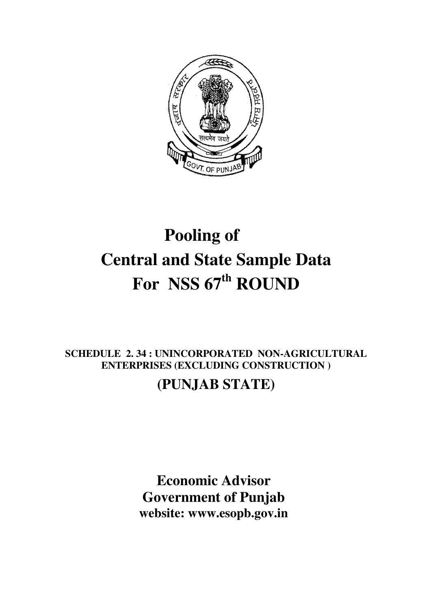

# **Pooling of Central and State Sample Data For NSS 67th ROUND**

## **SCHEDULE 2. 34 : UNINCORPORATED NON-AGRICULTURAL ENTERPRISES (EXCLUDING CONSTRUCTION )**

## **(PUNJAB STATE)**

**Economic Advisor Government of Punjab website: www.esopb.gov.in**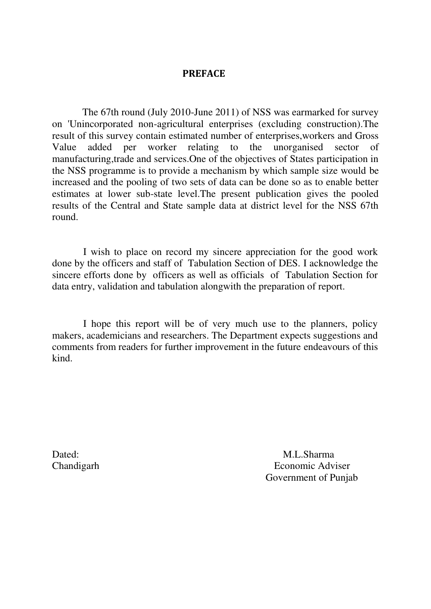### **PREFACE**

 The 67th round (July 2010-June 2011) of NSS was earmarked for survey on 'Unincorporated non-agricultural enterprises (excluding construction).The result of this survey contain estimated number of enterprises,workers and Gross Value added per worker relating to the unorganised sector of manufacturing,trade and services.One of the objectives of States participation in the NSS programme is to provide a mechanism by which sample size would be increased and the pooling of two sets of data can be done so as to enable better estimates at lower sub-state level.The present publication gives the pooled results of the Central and State sample data at district level for the NSS 67th round.

 I wish to place on record my sincere appreciation for the good work done by the officers and staff of Tabulation Section of DES. I acknowledge the sincere efforts done by officers as well as officials of Tabulation Section for data entry, validation and tabulation alongwith the preparation of report.

 I hope this report will be of very much use to the planners, policy makers, academicians and researchers. The Department expects suggestions and comments from readers for further improvement in the future endeavours of this kind.

Dated: M.L.Sharma Chandigarh Economic Adviser Government of Punjab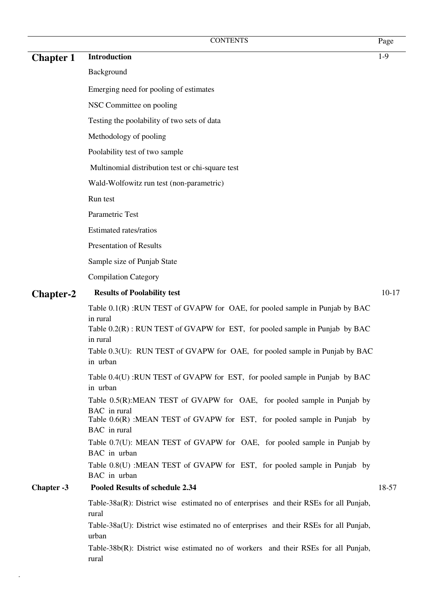### **Chapter 1 Introduction** 1-9

#### Background

Emerging need for pooling of estimates

NSC Committee on pooling

Testing the poolability of two sets of data

Methodology of pooling

Poolability test of two sample

Multinomial distribution test or chi-square test

Wald-Wolfowitz run test (non-parametric)

Run test

Parametric Test

Estimated rates/ratios

Presentation of Results

Sample size of Punjab State

Compilation Category

#### **Chapter-2 Results of Poolability test** 10-17

Table 0.1(R) :RUN TEST of GVAPW for OAE, for pooled sample in Punjab by BAC in rural

Table  $0.2(R)$ : RUN TEST of GVAPW for EST, for pooled sample in Punjab by BAC in rural

Table 0.3(U): RUN TEST of GVAPW for OAE, for pooled sample in Punjab by BAC in urban

Table 0.4(U) :RUN TEST of GVAPW for EST, for pooled sample in Punjab by BAC in urban

Table 0.5(R):MEAN TEST of GVAPW for OAE, for pooled sample in Punjab by BAC in rural

Table 0.6(R) :MEAN TEST of GVAPW for EST, for pooled sample in Punjab by BAC in rural

Table 0.7(U): MEAN TEST of GVAPW for OAE, for pooled sample in Punjab by BAC in urban

Table 0.8(U) :MEAN TEST of GVAPW for EST, for pooled sample in Punjab by BAC in urban

#### **Chapter -3 Pooled Results of schedule 2.34** 18-57

Table-38a(R): District wise estimated no of enterprises and their RSEs for all Punjab, rural

Table-38a(U): District wise estimated no of enterprises and their RSEs for all Punjab, urban

Table-38b(R): District wise estimated no of workers and their RSEs for all Punjab, rural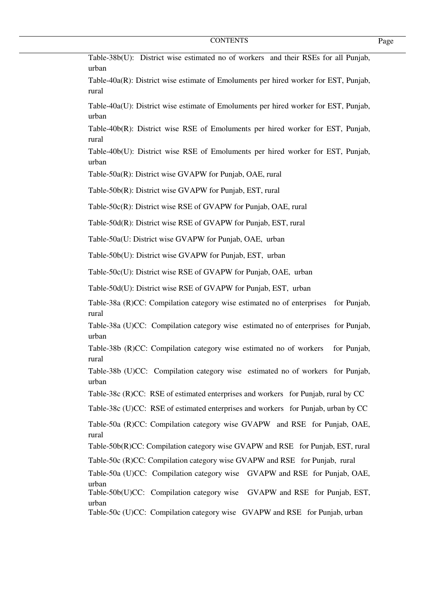| Table-38b(U): District wise estimated no of workers and their RSEs for all Punjab,<br>urban   |
|-----------------------------------------------------------------------------------------------|
| Table-40a(R): District wise estimate of Emoluments per hired worker for EST, Punjab,<br>rural |
| Table-40a(U): District wise estimate of Emoluments per hired worker for EST, Punjab,<br>urban |
| Table-40b(R): District wise RSE of Emoluments per hired worker for EST, Punjab,<br>rural      |
| Table-40b(U): District wise RSE of Emoluments per hired worker for EST, Punjab,<br>urban      |
| Table-50a(R): District wise GVAPW for Punjab, OAE, rural                                      |
| Table-50b(R): District wise GVAPW for Punjab, EST, rural                                      |
| Table-50c(R): District wise RSE of GVAPW for Punjab, OAE, rural                               |
| Table-50d(R): District wise RSE of GVAPW for Punjab, EST, rural                               |
| Table-50a(U: District wise GVAPW for Punjab, OAE, urban                                       |
| Table-50b(U): District wise GVAPW for Punjab, EST, urban                                      |
| Table-50c(U): District wise RSE of GVAPW for Punjab, OAE, urban                               |
| Table-50d(U): District wise RSE of GVAPW for Punjab, EST, urban                               |
| Table-38a (R)CC: Compilation category wise estimated no of enterprises for Punjab,<br>rural   |
| Table-38a (U)CC: Compilation category wise estimated no of enterprises for Punjab,<br>urban   |
| Table-38b (R)CC: Compilation category wise estimated no of workers<br>for Punjab,<br>rural    |
| Table-38b (U)CC: Compilation category wise estimated no of workers for Punjab,<br>urban       |
| Table-38c (R)CC: RSE of estimated enterprises and workers for Punjab, rural by CC             |
| Table-38c (U)CC: RSE of estimated enterprises and workers for Punjab, urban by CC             |
| Table-50a (R)CC: Compilation category wise GVAPW and RSE for Punjab, OAE,<br>rural            |
| Table-50b(R)CC: Compilation category wise GVAPW and RSE for Punjab, EST, rural                |
| Table-50c (R)CC: Compilation category wise GVAPW and RSE for Punjab, rural                    |
| Table-50a (U)CC: Compilation category wise GVAPW and RSE for Punjab, OAE,                     |
| urban<br>Table-50b(U)CC: Compilation category wise GVAPW and RSE for Punjab, EST,<br>urban    |
| Table-50c (U)CC: Compilation category wise GVAPW and RSE for Punjab, urban                    |
|                                                                                               |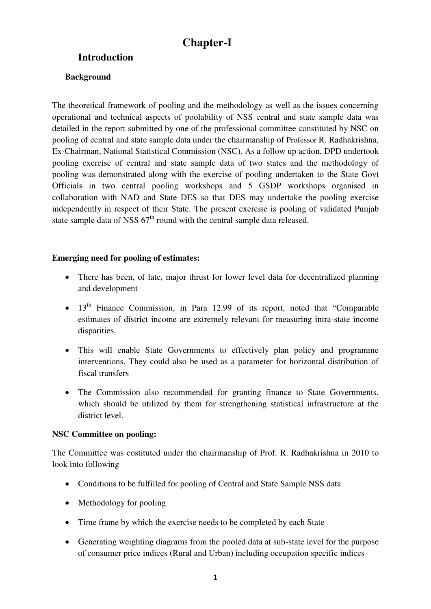### **Chapter-I**

### **Introduction**

### **Background**

The theoretical framework of pooling and the methodology as well as the issues concerning operational and technical aspects of poolability of NSS central and state sample data was detailed in the report submitted by one of the professional committee constituted by NSC on pooling of central and state sample data under the chairmanship of Professor R. Radhakrishna, Ex-Chairman, National Statistical Commission (NSC). As a follow up action, DPD undertook pooling exercise of central and state sample data of two states and the methodology of pooling was demonstrated along with the exercise of pooling undertaken to the State Govt Officials in two central pooling workshops and 5 GSDP workshops organised in collaboration with NAD and State DES so that DES may undertake the pooling exercise independently in respect of their State. The present exercise is pooling of validated Punjab state sample data of NSS  $67<sup>th</sup>$  round with the central sample data released.

#### **Emerging need for pooling of estimates:**

- There has been, of late, major thrust for lower level data for decentralized planning and development
- $\bullet$  13<sup>th</sup> Finance Commission, in Para 12.99 of its report, noted that "Comparable" estimates of district income are extremely relevant for measuring intra-state income disparities.
- This will enable State Governments to effectively plan policy and programme interventions. They could also be used as a parameter for horizontal distribution of fiscal transfers
- The Commission also recommended for granting finance to State Governments, which should be utilized by them for strengthening statistical infrastructure at the district level.

#### **NSC Committee on pooling:**

The Committee was costituted under the chairmanship of Prof. R. Radhakrishna in 2010 to look into following

- Conditions to be fulfilled for pooling of Central and State Sample NSS data
- Methodology for pooling
- Time frame by which the exercise needs to be completed by each State
- Generating weighting diagrams from the pooled data at sub-state level for the purpose of consumer price indices (Rural and Urban) including occupation specific indices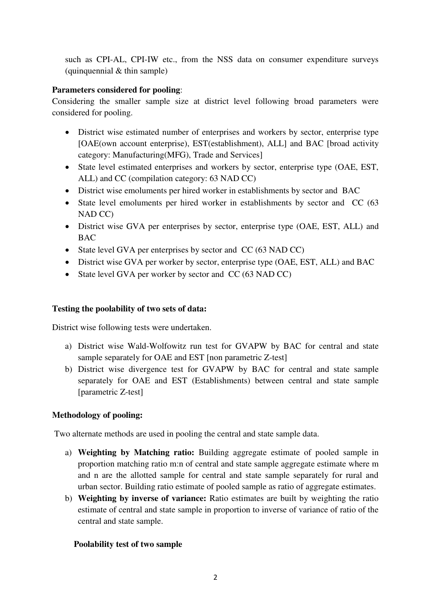such as CPI-AL, CPI-IW etc., from the NSS data on consumer expenditure surveys (quinquennial & thin sample)

#### **Parameters considered for pooling**:

Considering the smaller sample size at district level following broad parameters were considered for pooling.

- District wise estimated number of enterprises and workers by sector, enterprise type [OAE(own account enterprise), EST(establishment), ALL] and BAC [broad activity category: Manufacturing(MFG), Trade and Services]
- State level estimated enterprises and workers by sector, enterprise type (OAE, EST, ALL) and CC (compilation category: 63 NAD CC)
- District wise emoluments per hired worker in establishments by sector and BAC
- State level emoluments per hired worker in establishments by sector and CC (63) NAD CC)
- District wise GVA per enterprises by sector, enterprise type (OAE, EST, ALL) and BAC
- State level GVA per enterprises by sector and CC (63 NAD CC)
- District wise GVA per worker by sector, enterprise type (OAE, EST, ALL) and BAC
- State level GVA per worker by sector and CC (63 NAD CC)

### **Testing the poolability of two sets of data:**

District wise following tests were undertaken.

- a) District wise Wald-Wolfowitz run test for GVAPW by BAC for central and state sample separately for OAE and EST [non parametric Z-test]
- b) District wise divergence test for GVAPW by BAC for central and state sample separately for OAE and EST (Establishments) between central and state sample [parametric Z-test]

### **Methodology of pooling:**

Two alternate methods are used in pooling the central and state sample data.

- a) **Weighting by Matching ratio:** Building aggregate estimate of pooled sample in proportion matching ratio m:n of central and state sample aggregate estimate where m and n are the allotted sample for central and state sample separately for rural and urban sector. Building ratio estimate of pooled sample as ratio of aggregate estimates.
- b) **Weighting by inverse of variance:** Ratio estimates are built by weighting the ratio estimate of central and state sample in proportion to inverse of variance of ratio of the central and state sample.

### **Poolability test of two sample**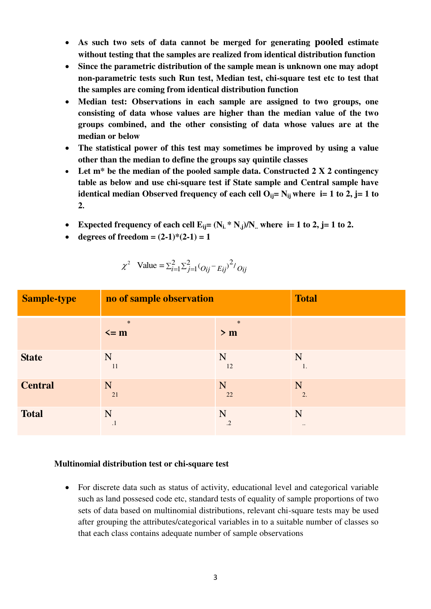- **As such two sets of data cannot be merged for generating pooled estimate without testing that the samples are realized from identical distribution function**
- **Since the parametric distribution of the sample mean is unknown one may adopt non-parametric tests such Run test, Median test, chi-square test etc to test that the samples are coming from identical distribution function**
- **Median test: Observations in each sample are assigned to two groups, one consisting of data whose values are higher than the median value of the two groups combined, and the other consisting of data whose values are at the median or below**
- **The statistical power of this test may sometimes be improved by using a value other than the median to define the groups say quintile classes**
- **Let m\* be the median of the pooled sample data. Constructed 2 X 2 contingency table as below and use chi-square test if State sample and Central sample have identical median Observed frequency of each cell**  $O_{ij} = N_{ij}$  **where**  $i = 1$  **to 2,**  $j = 1$  **to 2.**
- Expected frequency of each cell  $E_{ij} = (N_i * N_j)/N$ , where  $i = 1$  to 2,  $j = 1$  to 2.
- degrees of freedom =  $(2-1)*(2-1) = 1$

| <b>Sample-type</b> | no of sample observation |               | <b>Total</b>        |
|--------------------|--------------------------|---------------|---------------------|
|                    | $\ast$<br>$\leq$ m       | $\ast$<br>> m |                     |
| <b>State</b>       | N                        | N             | N                   |
|                    | 11                       | 12            | 1.                  |
| <b>Central</b>     | N                        | N             | N                   |
|                    | 21                       | 22            | 2.                  |
| <b>Total</b>       | N                        | N             | N                   |
|                    | $\cdot$ 1                | $\cdot$ .2    | $\bullet$ $\bullet$ |

$$
\chi^2
$$
 Value =  $\sum_{i=1}^{2} \sum_{j=1}^{2} (O_{ij} - E_{ij})^2 / O_{ij}$ 

#### **Multinomial distribution test or chi-square test**

 For discrete data such as status of activity, educational level and categorical variable such as land possesed code etc, standard tests of equality of sample proportions of two sets of data based on multinomial distributions, relevant chi-square tests may be used after grouping the attributes/categorical variables in to a suitable number of classes so that each class contains adequate number of sample observations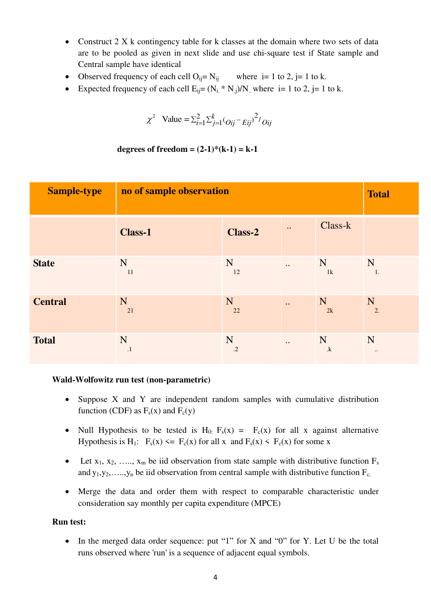- Construct 2 X k contingency table for k classes at the domain where two sets of data are to be pooled as given in next slide and use chi-square test if State sample and Central sample have identical
- Observed frequency of each cell  $O_{ii} = N_{ii}$  where  $i = 1$  to 2,  $j = 1$  to k.
- Expected frequency of each cell  $E_{ij} = (N_i * N_j)/N$ , where  $i = 1$  to 2,  $j = 1$  to k.

$$
\chi^2
$$
 Value =  $\sum_{i=1}^{2} \sum_{j=1}^{k} (O_{ij} - E_{ij})^2 / O_{ij}$ 

**degrees of freedom =**  $(2-1)*(k-1) = k-1$ 

| <b>Sample-type</b> | no of sample observation | <b>Total</b>    |                           |                |                   |
|--------------------|--------------------------|-----------------|---------------------------|----------------|-------------------|
|                    | <b>Class-1</b>           | <b>Class-2</b>  | $\bullet\bullet$          | Class-k        |                   |
| <b>State</b>       | N<br>11                  | N<br>12         | $\bullet$ .               | N<br>1k        | N<br>1.           |
| <b>Central</b>     | N<br>21                  | N<br>22         | $\ddot{\phantom{0}}\cdot$ | N<br>2k        | N<br>2.           |
| <b>Total</b>       | N<br>$\cdot$             | N<br>$\cdot$ .2 | $\ddotsc$                 | N<br>$\cdot$ k | N<br>$\cdot\cdot$ |

#### **Wald-Wolfowitz run test (non-parametric)**

- Suppose X and Y are independent random samples with cumulative distribution function (CDF) as  $F_s(x)$  and  $F_c(y)$
- Null Hypothesis to be tested is  $H_0$ :  $F_s(x) = F_c(x)$  for all x against alternative Hypothesis is H<sub>1</sub>:  $F_s(x) \leq F_c(x)$  for all x and  $F_s(x) \leq F_c(x)$  for some x
- Let  $x_1, x_2, \ldots, x_m$  be iid observation from state sample with distributive function  $F_s$ and  $y_1, y_2, \ldots, y_n$  be iid observation from central sample with distributive function  $F_c$ .
- Merge the data and order them with respect to comparable characteristic under consideration say monthly per capita expenditure (MPCE)

#### **Run test:**

• In the merged data order sequence: put "1" for X and "0" for Y. Let U be the total runs observed where 'run' is a sequence of adjacent equal symbols.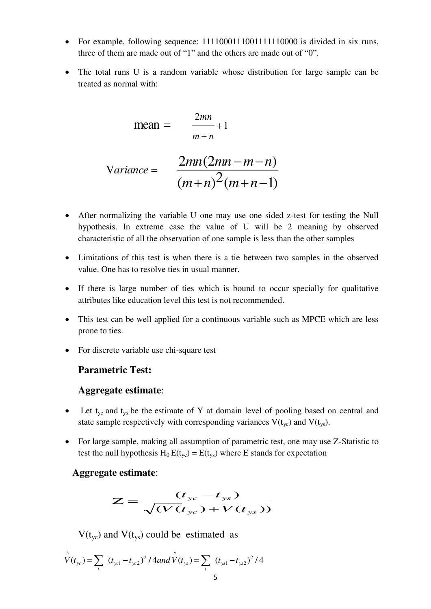- For example, following sequence: 1111000111001111110000 is divided in six runs, three of them are made out of "1" and the others are made out of "0".
- The total runs U is a random variable whose distribution for large sample can be treated as normal with:

$$
mean = \frac{2mn}{m+n} + 1
$$

$$
Variance = \frac{2mn(2mn-m-n)}{(m+n)^2(m+n-1)}
$$

- After normalizing the variable U one may use one sided z-test for testing the Null hypothesis. In extreme case the value of U will be 2 meaning by observed characteristic of all the observation of one sample is less than the other samples
- Limitations of this test is when there is a tie between two samples in the observed value. One has to resolve ties in usual manner.
- If there is large number of ties which is bound to occur specially for qualitative attributes like education level this test is not recommended.
- This test can be well applied for a continuous variable such as MPCE which are less prone to ties.
- For discrete variable use chi-square test

### **Parametric Test:**

#### **Aggregate estimate**:

- $\bullet$  Let t<sub>yc</sub> and t<sub>ys</sub> be the estimate of Y at domain level of pooling based on central and state sample respectively with corresponding variances  $V(t_{yc})$  and  $V(t_{vs})$ .
- For large sample, making all assumption of parametric test, one may use Z-Statistic to test the null hypothesis  $H_0 E(t_{yc}) = E(t_{ys})$  where E stands for expectation

#### **Aggregate estimate**:

$$
Z = \frac{(t_{yc} - t_{ys})}{\sqrt{(V(t_{yc}) + V(t_{ys}))}}
$$

 $V(t_{\rm vc})$  and  $V(t_{\rm vs})$  could be estimated as

$$
\hat{V}(t_{yc}) = \sum_{l} (t_{yc1} - t_{yc2})^2 / 4 and \hat{V}(t_{ys}) = \sum_{l} (t_{ys1} - t_{ys2})^2 / 4
$$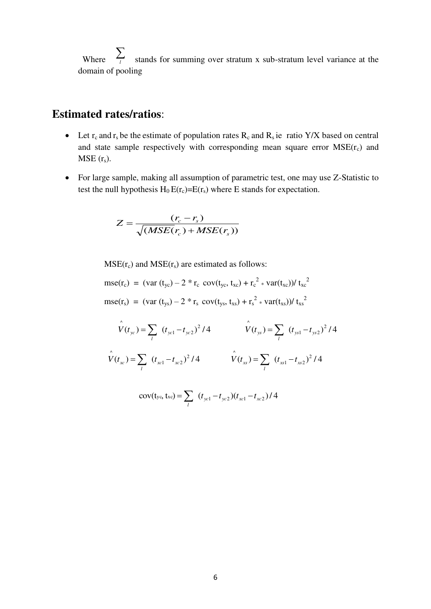Where  $\sum_{i}$  stands for summing over stratum x sub-stratum level variance at the domain of pooling

### **Estimated rates/ratios**:

- Let  $r_c$  and  $r_s$  be the estimate of population rates  $R_c$  and  $R_s$  ie ratio Y/X based on central and state sample respectively with corresponding mean square error  $MSE(r_c)$  and  $MSE(r<sub>s</sub>)$ .
- For large sample, making all assumption of parametric test, one may use Z-Statistic to test the null hypothesis  $H_0 E(r_c)=E(r_s)$  where E stands for expectation.

$$
Z = \frac{(r_c - r_s)}{\sqrt{(MSE(r_c) + MSE(r_s))}}
$$

 $MSE(r_c)$  and  $MSE(r_s)$  are estimated as follows:

$$
mse(r_c) = (var(t_{yc}) - 2 * r_c cov(t_{yc}, t_{xc}) + r_c^2 * var(t_{xc})) / t_{xc}^2
$$
  

$$
mse(r_s) = (var(t_{ys}) - 2 * r_s cov(t_{ys}, t_{xs}) + r_s^2 * var(t_{xs})) / t_{xs}^2
$$

$$
\hat{V}(t_{yc}) = \sum_{l} (t_{yc1} - t_{yc2})^2 / 4 \qquad \hat{V}(t_{ys}) = \sum_{l} (t_{ys1} - t_{ys2})^2 / 4
$$
  

$$
\hat{V}(t_{xc}) = \sum_{l} (t_{xc1} - t_{xc2})^2 / 4 \qquad \hat{V}(t_{xs}) = \sum_{l} (t_{xs1} - t_{xs2})^2 / 4
$$

$$
cov(t_{yc}, t_{xc}) = \sum_{l} (t_{yc1} - t_{yc2})(t_{xc1} - t_{xc2})/4
$$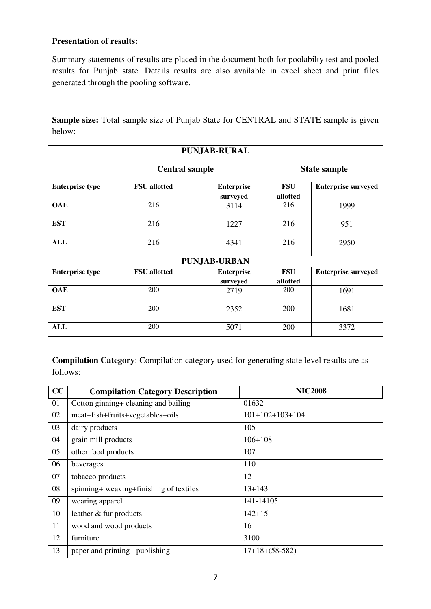#### **Presentation of results:**

Summary statements of results are placed in the document both for poolabilty test and pooled results for Punjab state. Details results are also available in excel sheet and print files generated through the pooling software.

**Sample size:** Total sample size of Punjab State for CENTRAL and STATE sample is given below:

| <b>PUNJAB-RURAL</b>    |                     |                               |                     |                            |  |  |  |
|------------------------|---------------------|-------------------------------|---------------------|----------------------------|--|--|--|
| <b>Central sample</b>  |                     |                               | <b>State sample</b> |                            |  |  |  |
| <b>Enterprise type</b> | <b>FSU</b> allotted | <b>Enterprise</b><br>surveyed | FSU<br>allotted     | <b>Enterprise surveyed</b> |  |  |  |
| <b>OAE</b>             | 216                 | 3114                          | 216                 | 1999                       |  |  |  |
| <b>EST</b>             | 216                 | 1227                          | 216                 | 951                        |  |  |  |
| <b>ALL</b>             | 216                 | 4341                          | 216                 | 2950                       |  |  |  |
|                        |                     | <b>PUNJAB-URBAN</b>           |                     |                            |  |  |  |
| <b>Enterprise type</b> | <b>FSU</b> allotted | <b>Enterprise</b>             | <b>FSU</b>          | <b>Enterprise surveyed</b> |  |  |  |
|                        |                     | surveyed                      | allotted            |                            |  |  |  |
| <b>OAE</b>             | 200                 | 2719                          | 200                 | 1691                       |  |  |  |
| <b>EST</b>             | 200                 | 2352                          | 200                 | 1681                       |  |  |  |
| <b>ALL</b>             | 200                 | 5071                          | 200                 | 3372                       |  |  |  |

**Compilation Category**: Compilation category used for generating state level results are as follows:

| CC | <b>Compilation Category Description</b> | <b>NIC2008</b>    |
|----|-----------------------------------------|-------------------|
| 01 | Cotton ginning+ cleaning and bailing    | 01632             |
| 02 | meat+fish+fruits+vegetables+oils        | $101+102+103+104$ |
| 03 | dairy products                          | 105               |
| 04 | grain mill products                     | $106 + 108$       |
| 05 | other food products                     | 107               |
| 06 | beverages                               | 110               |
| 07 | tobacco products                        | 12                |
| 08 | spinning+ weaving+finishing of textiles | $13 + 143$        |
| 09 | wearing apparel                         | 141-14105         |
| 10 | leather & fur products                  | $142 + 15$        |
| 11 | wood and wood products                  | 16                |
| 12 | furniture                               | 3100              |
| 13 | paper and printing +publishing          | $17+18+(58-582)$  |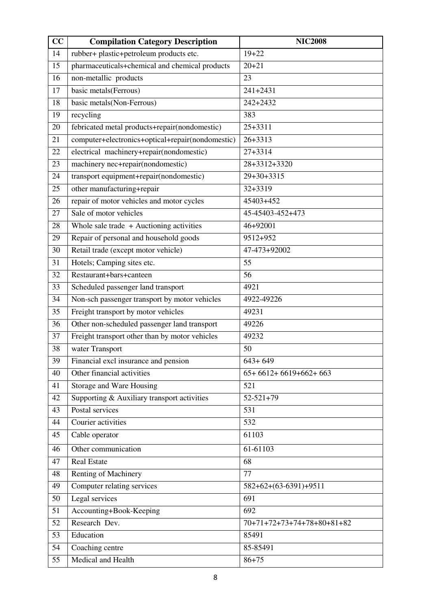| CC | <b>Compilation Category Description</b>          | <b>NIC2008</b>               |
|----|--------------------------------------------------|------------------------------|
| 14 | rubber+ plastic+petroleum products etc.          | $19 + 22$                    |
| 15 | pharmaceuticals+chemical and chemical products   | $20 + 21$                    |
| 16 | non-metallic products                            | 23                           |
| 17 | basic metals(Ferrous)                            | $241 + 2431$                 |
| 18 | basic metals(Non-Ferrous)                        | 242+2432                     |
| 19 | recycling                                        | 383                          |
| 20 | febricated metal products+repair(nondomestic)    | $25+3311$                    |
| 21 | computer+electronics+optical+repair(nondomestic) | $26 + 3313$                  |
| 22 | electrical machinery+repair(nondomestic)         | $27 + 3314$                  |
| 23 | machinery nec+repair(nondomestic)                | 28+3312+3320                 |
| 24 | transport equipment+repair(nondomestic)          | $29+30+3315$                 |
| 25 | other manufacturing+repair                       | 32+3319                      |
| 26 | repair of motor vehicles and motor cycles        | 45403+452                    |
| 27 | Sale of motor vehicles                           | 45-45403-452+473             |
| 28 | Whole sale trade $+$ Auctioning activities       | 46+92001                     |
| 29 | Repair of personal and household goods           | 9512+952                     |
| 30 | Retail trade (except motor vehicle)              | 47-473+92002                 |
| 31 | Hotels; Camping sites etc.                       | 55                           |
| 32 | Restaurant+bars+canteen                          | 56                           |
| 33 | Scheduled passenger land transport               | 4921                         |
| 34 | Non-sch passenger transport by motor vehicles    | 4922-49226                   |
| 35 | Freight transport by motor vehicles              | 49231                        |
| 36 | Other non-scheduled passenger land transport     | 49226                        |
| 37 | Freight transport other than by motor vehicles   | 49232                        |
| 38 | water Transport                                  | 50                           |
| 39 | Financial excl insurance and pension             | $643 + 649$                  |
| 40 | Other financial activities                       | $65+6612+6619+662+663$       |
| 41 | Storage and Ware Housing                         | 521                          |
| 42 | Supporting & Auxiliary transport activities      | $52 - 521 + 79$              |
| 43 | Postal services                                  | 531                          |
| 44 | Courier activities                               | 532                          |
| 45 | Cable operator                                   | 61103                        |
| 46 | Other communication                              | 61-61103                     |
| 47 | <b>Real Estate</b>                               | 68                           |
| 48 | Renting of Machinery                             | 77                           |
| 49 | Computer relating services                       | 582+62+(63-6391)+9511        |
| 50 | Legal services                                   | 691                          |
| 51 | Accounting+Book-Keeping                          | 692                          |
| 52 | Research Dev.                                    | $70+71+72+73+74+78+80+81+82$ |
| 53 | Education                                        | 85491                        |
| 54 | Coaching centre                                  | 85-85491                     |
| 55 | Medical and Health                               | $86 + 75$                    |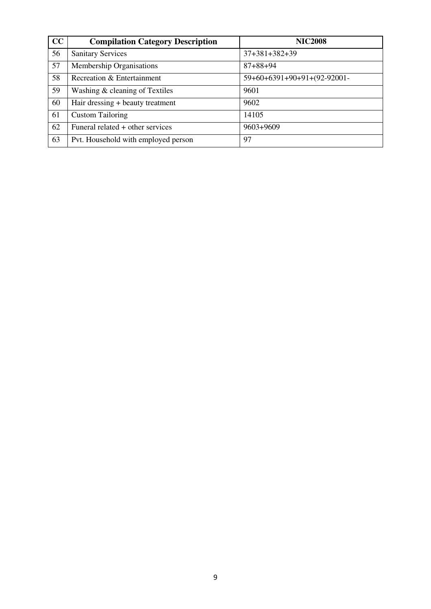| CC | <b>Compilation Category Description</b> | <b>NIC2008</b>              |
|----|-----------------------------------------|-----------------------------|
| 56 | <b>Sanitary Services</b>                | $37+381+382+39$             |
| 57 | Membership Organisations                | $87 + 88 + 94$              |
| 58 | Recreation & Entertainment              | 59+60+6391+90+91+(92-92001- |
| 59 | Washing & cleaning of Textiles          | 9601                        |
| 60 | Hair dressing + beauty treatment        | 9602                        |
| 61 | <b>Custom Tailoring</b>                 | 14105                       |
| 62 | Funeral related + other services        | 9603+9609                   |
| 63 | Pvt. Household with employed person     | 97                          |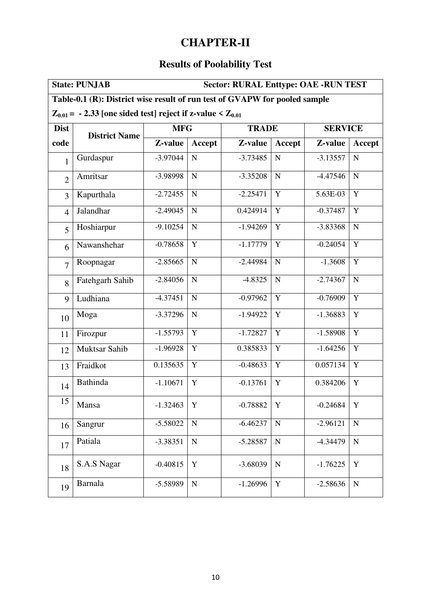### **CHAPTER-II**

## **Results of Poolability Test**

|                | <b>Sector: RURAL Enttype: OAE -RUN TEST</b><br><b>State: PUNJAB</b>        |            |                |              |             |                |               |  |
|----------------|----------------------------------------------------------------------------|------------|----------------|--------------|-------------|----------------|---------------|--|
|                | Table-0.1 (R): District wise result of run test of GVAPW for pooled sample |            |                |              |             |                |               |  |
|                | $Z_{0.01}$ = - 2.33 [one sided test] reject if z-value < $Z_{0.01}$        |            |                |              |             |                |               |  |
| <b>Dist</b>    | <b>District Name</b>                                                       | <b>MFG</b> |                | <b>TRADE</b> |             | <b>SERVICE</b> |               |  |
| code           |                                                                            | Z-value    | Accept         | Z-value      | Accept      | Z-value        | <b>Accept</b> |  |
| $\mathbf{1}$   | Gurdaspur                                                                  | $-3.97044$ | ${\bf N}$      | $-3.73485$   | $\mathbf N$ | $-3.13557$     | ${\bf N}$     |  |
| $\overline{2}$ | Amritsar                                                                   | -3.98998   | $\mathbf N$    | $-3.35208$   | $\mathbf N$ | $-4.47546$     | ${\bf N}$     |  |
| 3              | Kapurthala                                                                 | $-2.72455$ | $\mathbf N$    | $-2.25471$   | $\mathbf Y$ | 5.63E-03       | $\mathbf Y$   |  |
| $\overline{4}$ | Jalandhar                                                                  | $-2.49045$ | ${\bf N}$      | 0.424914     | Y           | $-0.37487$     | Y             |  |
| 5              | Hoshiarpur                                                                 | $-9.10254$ | ${\bf N}$      | $-1.94269$   | $\mathbf Y$ | $-3.83368$     | ${\bf N}$     |  |
| 6              | Nawanshehar                                                                | $-0.78658$ | $\overline{Y}$ | $-1.17779$   | Y           | $-0.24054$     | $\mathbf Y$   |  |
| $\overline{7}$ | Roopnagar                                                                  | $-2.85665$ | $\mathbf N$    | $-2.44984$   | N           | $-1.3608$      | Y             |  |
| 8              | Fatehgarh Sahib                                                            | $-2.84056$ | ${\bf N}$      | $-4.8325$    | $\mathbf N$ | $-2.74367$     | ${\bf N}$     |  |
| 9              | Ludhiana                                                                   | $-4.37451$ | ${\bf N}$      | $-0.97962$   | Y           | $-0.76909$     | Y             |  |
| 10             | Moga                                                                       | $-3.37296$ | ${\bf N}$      | $-1.94922$   | Y           | $-1.36883$     | Y             |  |
| 11             | Firozpur                                                                   | $-1.55793$ | Y              | $-1.72827$   | Y           | $-1.58908$     | Y             |  |
| 12             | Muktsar Sahib                                                              | $-1.96928$ | $\mathbf Y$    | 0.385833     | Y           | $-1.64256$     | Y             |  |
| 13             | Fraidkot                                                                   | 0.135635   | $\mathbf Y$    | $-0.48633$   | Y           | 0.057134       | $\mathbf Y$   |  |
| 14             | Bathinda                                                                   | $-1.10671$ | Y              | $-0.13761$   | Y           | 0.384206       | Y             |  |
| 15             | Mansa                                                                      | $-1.32463$ | Y              | $-0.78882$   | Y           | $-0.24684$     | Y             |  |
| 16             | Sangrur                                                                    | $-5.58022$ | ${\bf N}$      | $-6.46237$   | $\mathbf N$ | $-2.96121$     | $\mathbf N$   |  |
| 17             | Patiala                                                                    | $-3.38351$ | ${\bf N}$      | $-5.28587$   | $\mathbf N$ | $-4.34479$     | ${\bf N}$     |  |
| 18             | S.A.S Nagar                                                                | $-0.40815$ | Y              | $-3.68039$   | N           | $-1.76225$     | Y             |  |
| 19             | Barnala                                                                    | -5.58989   | $\mathbf N$    | $-1.26996$   | Y           | $-2.58636$     | $\mathbf N$   |  |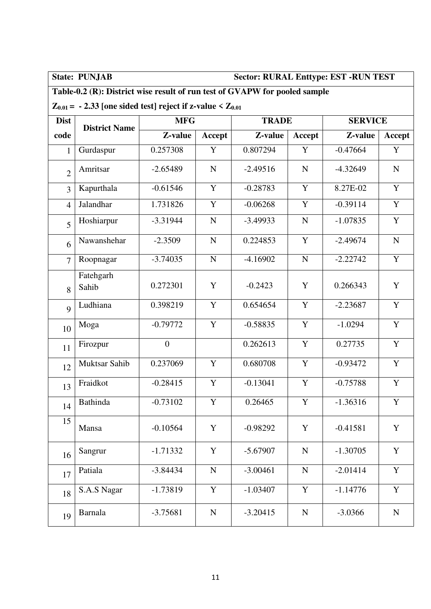### **State: PUNJAB Sector: RURAL Enttype: EST -RUN TEST**

### **Table-0.2 (R): District wise result of run test of GVAPW for pooled sample**

### $Z_{0.01}$  = - 2.33 [one sided test] reject if z-value <  $Z_{0.01}$

| <b>Dist</b>    | <b>District Name</b> | <b>MFG</b>   |             | <b>TRADE</b> |             | <b>SERVICE</b> |             |
|----------------|----------------------|--------------|-------------|--------------|-------------|----------------|-------------|
| code           |                      | Z-value      | Accept      | Z-value      | Accept      | Z-value        | Accept      |
| $\mathbf{1}$   | Gurdaspur            | 0.257308     | $\mathbf Y$ | 0.807294     | Y           | $-0.47664$     | $\mathbf Y$ |
| $\overline{2}$ | Amritsar             | $-2.65489$   | $\mathbf N$ | $-2.49516$   | $\mathbf N$ | $-4.32649$     | $\mathbf N$ |
| 3              | Kapurthala           | $-0.61546$   | $\mathbf Y$ | $-0.28783$   | Y           | 8.27E-02       | Y           |
| $\overline{4}$ | Jalandhar            | 1.731826     | $\mathbf Y$ | $-0.06268$   | $\mathbf Y$ | $-0.39114$     | Y           |
| 5              | Hoshiarpur           | $-3.31944$   | $\mathbf N$ | $-3.49933$   | ${\bf N}$   | $-1.07835$     | Y           |
| 6              | Nawanshehar          | $-2.3509$    | $\mathbf N$ | 0.224853     | Y           | $-2.49674$     | ${\bf N}$   |
| $\overline{7}$ | Roopnagar            | $-3.74035$   | $\mathbf N$ | $-4.16902$   | $\mathbf N$ | $-2.22742$     | Y           |
| 8              | Fatehgarh<br>Sahib   | 0.272301     | Y           | $-0.2423$    | Y           | 0.266343       | Y           |
| 9              | Ludhiana             | 0.398219     | $\mathbf Y$ | 0.654654     | Y           | $-2.23687$     | $\mathbf Y$ |
| 10             | Moga                 | $-0.79772$   | $\mathbf Y$ | $-0.58835$   | $\mathbf Y$ | $-1.0294$      | Y           |
| 11             | Firozpur             | $\mathbf{0}$ |             | 0.262613     | Y           | 0.27735        | $\mathbf Y$ |
| 12             | <b>Muktsar Sahib</b> | 0.237069     | $\mathbf Y$ | 0.680708     | Y           | $-0.93472$     | $\mathbf Y$ |
| 13             | Fraidkot             | $-0.28415$   | Y           | $-0.13041$   | Y           | $-0.75788$     | $\mathbf Y$ |
| 14             | <b>Bathinda</b>      | $-0.73102$   | $\mathbf Y$ | 0.26465      | Y           | $-1.36316$     | $\mathbf Y$ |
| 15             | Mansa                | $-0.10564$   | Y           | $-0.98292$   | Y           | $-0.41581$     | Y           |
| 16             | Sangrur              | $-1.71332$   | Y           | $-5.67907$   | ${\bf N}$   | $-1.30705$     | $\mathbf Y$ |
| 17             | Patiala              | $-3.84434$   | ${\bf N}$   | $-3.00461$   | ${\bf N}$   | $-2.01414$     | Y           |
| 18             | S.A.S Nagar          | $-1.73819$   | $\mathbf Y$ | $-1.03407$   | $\mathbf Y$ | $-1.14776$     | $\mathbf Y$ |
| 19             | <b>Barnala</b>       | $-3.75681$   | ${\bf N}$   | $-3.20415$   | ${\bf N}$   | $-3.0366$      | ${\bf N}$   |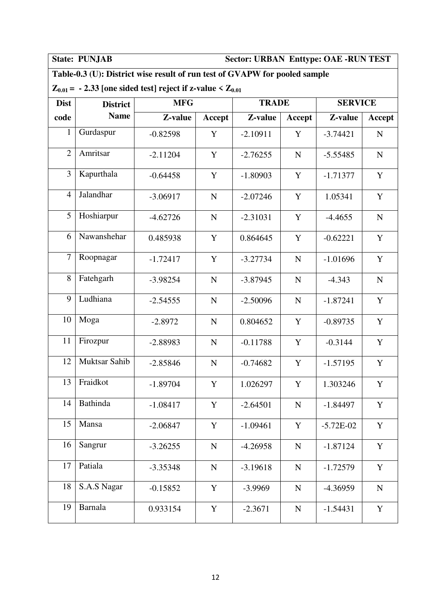### **State: PUNJAB Sector: URBAN Enttype: OAE -RUN TEST**

### **Table-0.3 (U): District wise result of run test of GVAPW for pooled sample**

### $Z_{0.01}$  = - 2.33 [one sided test] reject if z-value  $Z_{0.01}$

| <b>Dist</b>    | <b>District</b>      | <b>MFG</b> |             | <b>TRADE</b> |             | <b>SERVICE</b> |             |
|----------------|----------------------|------------|-------------|--------------|-------------|----------------|-------------|
| code           | <b>Name</b>          | Z-value    | Accept      | Z-value      | Accept      | Z-value        | Accept      |
| 1              | Gurdaspur            | $-0.82598$ | Y           | $-2.10911$   | Y           | $-3.74421$     | $\mathbf N$ |
| $\overline{2}$ | Amritsar             | $-2.11204$ | Y           | $-2.76255$   | ${\bf N}$   | $-5.55485$     | $\mathbf N$ |
| 3              | Kapurthala           | $-0.64458$ | Y           | $-1.80903$   | $\mathbf Y$ | $-1.71377$     | $\mathbf Y$ |
| $\overline{4}$ | Jalandhar            | $-3.06917$ | ${\bf N}$   | $-2.07246$   | Y           | 1.05341        | Y           |
| 5              | Hoshiarpur           | $-4.62726$ | $\mathbf N$ | $-2.31031$   | Y           | $-4.4655$      | $\mathbf N$ |
| 6              | Nawanshehar          | 0.485938   | Y           | 0.864645     | Y           | $-0.62221$     | $\mathbf Y$ |
| $\overline{7}$ | Roopnagar            | $-1.72417$ | Y           | $-3.27734$   | ${\bf N}$   | $-1.01696$     | Y           |
| 8              | Fatehgarh            | $-3.98254$ | ${\bf N}$   | $-3.87945$   | ${\bf N}$   | $-4.343$       | $\mathbf N$ |
| 9              | Ludhiana             | $-2.54555$ | ${\bf N}$   | $-2.50096$   | ${\bf N}$   | $-1.87241$     | Y           |
| 10             | Moga                 | $-2.8972$  | $\mathbf N$ | 0.804652     | Y           | $-0.89735$     | Y           |
| 11             | Firozpur             | $-2.88983$ | ${\bf N}$   | $-0.11788$   | Y           | $-0.3144$      | $\mathbf Y$ |
| 12             | <b>Muktsar Sahib</b> | $-2.85846$ | ${\bf N}$   | $-0.74682$   | Y           | $-1.57195$     | Y           |
| 13             | Fraidkot             | $-1.89704$ | $\mathbf Y$ | 1.026297     | Y           | 1.303246       | $\mathbf Y$ |
| 14             | <b>Bathinda</b>      | $-1.08417$ | Y           | $-2.64501$   | $\mathbf N$ | $-1.84497$     | Y           |
| 15             | Mansa                | $-2.06847$ | Y           | $-1.09461$   | Y           | $-5.72E-02$    | Y           |
| 16             | Sangrur              | $-3.26255$ | ${\bf N}$   | $-4.26958$   | ${\bf N}$   | $-1.87124$     | Y           |
| 17             | Patiala              | $-3.35348$ | ${\bf N}$   | $-3.19618$   | ${\bf N}$   | $-1.72579$     | $\mathbf Y$ |
| 18             | S.A.S Nagar          | $-0.15852$ | Y           | $-3.9969$    | ${\bf N}$   | $-4.36959$     | ${\bf N}$   |
| 19             | <b>Barnala</b>       | 0.933154   | $\mathbf Y$ | $-2.3671$    | ${\bf N}$   | $-1.54431$     | $\mathbf Y$ |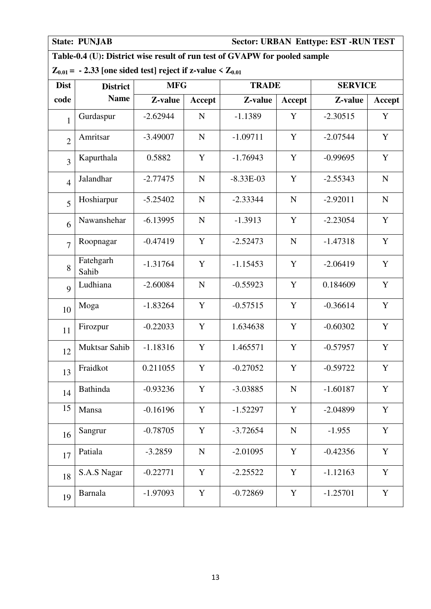### **State: PUNJAB Sector: URBAN Enttype: EST -RUN TEST**

### **Table-0.4 (U): District wise result of run test of GVAPW for pooled sample**

### $Z_{0.01} = -2.33$  [one sided test] reject if z-value  $Z_{0.01}$

| <b>Dist</b>    | <b>District</b>    |            | <b>MFG</b>  |             | <b>TRADE</b> |            | <b>SERVICE</b> |  |
|----------------|--------------------|------------|-------------|-------------|--------------|------------|----------------|--|
| code           | <b>Name</b>        | Z-value    | Accept      | Z-value     | Accept       | Z-value    | Accept         |  |
| $\mathbf{1}$   | Gurdaspur          | $-2.62944$ | $\mathbf N$ | $-1.1389$   | Y            | $-2.30515$ | Y              |  |
| $\overline{2}$ | Amritsar           | $-3.49007$ | $\mathbf N$ | $-1.09711$  | Y            | $-2.07544$ | $\mathbf Y$    |  |
| $\overline{3}$ | Kapurthala         | 0.5882     | $\mathbf Y$ | $-1.76943$  | $\mathbf Y$  | $-0.99695$ | $\mathbf Y$    |  |
| $\overline{4}$ | Jalandhar          | $-2.77475$ | N           | $-8.33E-03$ | Y            | $-2.55343$ | $\mathbf N$    |  |
| 5              | Hoshiarpur         | $-5.25402$ | $\mathbf N$ | $-2.33344$  | ${\bf N}$    | $-2.92011$ | ${\bf N}$      |  |
| 6              | Nawanshehar        | $-6.13995$ | $\mathbf N$ | $-1.3913$   | Y            | $-2.23054$ | $\mathbf Y$    |  |
| $\overline{7}$ | Roopnagar          | $-0.47419$ | Y           | $-2.52473$  | $\mathbf N$  | $-1.47318$ | Y              |  |
| 8              | Fatehgarh<br>Sahib | $-1.31764$ | Y           | $-1.15453$  | Y            | $-2.06419$ | Y              |  |
| 9              | Ludhiana           | $-2.60084$ | $\mathbf N$ | $-0.55923$  | Y            | 0.184609   | $\mathbf Y$    |  |
| 10             | Moga               | $-1.83264$ | Y           | $-0.57515$  | $\mathbf Y$  | $-0.36614$ | $\mathbf Y$    |  |
| 11             | Firozpur           | $-0.22033$ | Y           | 1.634638    | Y            | $-0.60302$ | $\mathbf Y$    |  |
| 12             | Muktsar Sahib      | $-1.18316$ | Y           | 1.465571    | Y            | $-0.57957$ | Y              |  |
| 13             | Fraidkot           | 0.211055   | Y           | $-0.27052$  | Y            | $-0.59722$ | $\mathbf Y$    |  |
| 14             | Bathinda           | $-0.93236$ | Y           | $-3.03885$  | ${\bf N}$    | $-1.60187$ | $\mathbf Y$    |  |
| 15             | Mansa              | $-0.16196$ | Y           | $-1.52297$  | Y            | $-2.04899$ | Y              |  |
| 16             | Sangrur            | $-0.78705$ | Y           | $-3.72654$  | ${\bf N}$    | $-1.955$   | $\mathbf Y$    |  |
| 17             | Patiala            | $-3.2859$  | $\mathbf N$ | $-2.01095$  | Y            | $-0.42356$ | Y              |  |
| 18             | S.A.S Nagar        | $-0.22771$ | Y           | $-2.25522$  | $\mathbf Y$  | $-1.12163$ | $\mathbf Y$    |  |
| 19             | <b>Barnala</b>     | $-1.97093$ | Y           | $-0.72869$  | Y            | $-1.25701$ | $\mathbf Y$    |  |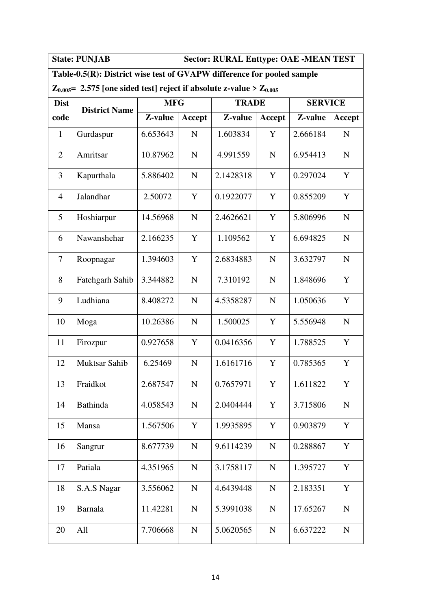**State: PUNJAB Sector: RURAL Enttype: OAE -MEAN TEST** 

### **Table-0.5(R): District wise test of GVAPW difference for pooled sample**

 $Z_{0.005}$  = 2.575 [one sided test] reject if absolute z-value >  $Z_{0.005}$ 

| <b>Dist</b>    | <b>District Name</b> | <b>MFG</b> |               | <b>TRADE</b> |             | <b>SERVICE</b> |               |
|----------------|----------------------|------------|---------------|--------------|-------------|----------------|---------------|
| code           |                      | Z-value    | <b>Accept</b> | Z-value      | Accept      | Z-value        | <b>Accept</b> |
| $\mathbf{1}$   | Gurdaspur            | 6.653643   | $\mathbf N$   | 1.603834     | Y           | 2.666184       | N             |
| $\overline{2}$ | Amritsar             | 10.87962   | $\mathbf N$   | 4.991559     | $\mathbf N$ | 6.954413       | $\mathbf N$   |
| 3              | Kapurthala           | 5.886402   | $\mathbf N$   | 2.1428318    | Y           | 0.297024       | Y             |
| $\overline{4}$ | Jalandhar            | 2.50072    | Y             | 0.1922077    | Y           | 0.855209       | Y             |
| 5              | Hoshiarpur           | 14.56968   | $\mathbf N$   | 2.4626621    | Y           | 5.806996       | $\mathbf N$   |
| 6              | Nawanshehar          | 2.166235   | Y             | 1.109562     | Y           | 6.694825       | $\mathbf N$   |
| 7              | Roopnagar            | 1.394603   | Y             | 2.6834883    | $\mathbf N$ | 3.632797       | $\mathbf N$   |
| 8              | Fatehgarh Sahib      | 3.344882   | $\mathbf N$   | 7.310192     | N           | 1.848696       | Y             |
| 9              | Ludhiana             | 8.408272   | $\mathbf N$   | 4.5358287    | $\mathbf N$ | 1.050636       | Y             |
| 10             | Moga                 | 10.26386   | $\mathbf N$   | 1.500025     | Y           | 5.556948       | $\mathbf N$   |
| 11             | Firozpur             | 0.927658   | Y             | 0.0416356    | Y           | 1.788525       | Y             |
| 12             | <b>Muktsar Sahib</b> | 6.25469    | $\mathbf N$   | 1.6161716    | Y           | 0.785365       | Y             |
| 13             | Fraidkot             | 2.687547   | $\mathbf N$   | 0.7657971    | Y           | 1.611822       | Y             |
| 14             | <b>Bathinda</b>      | 4.058543   | $\mathbf N$   | 2.0404444    | Y           | 3.715806       | ${\bf N}$     |
| 15             | Mansa                | 1.567506   | Y             | 1.9935895    | Y           | 0.903879       | Y             |
| 16             | Sangrur              | 8.677739   | ${\bf N}$     | 9.6114239    | ${\bf N}$   | 0.288867       | $\mathbf Y$   |
| 17             | Patiala              | 4.351965   | $\mathbf N$   | 3.1758117    | $\mathbf N$ | 1.395727       | Y             |
| 18             | S.A.S Nagar          | 3.556062   | $\mathbf N$   | 4.6439448    | $\mathbf N$ | 2.183351       | Y             |
| 19             | <b>Barnala</b>       | 11.42281   | ${\bf N}$     | 5.3991038    | ${\bf N}$   | 17.65267       | $\mathbf N$   |
| 20             | All                  | 7.706668   | ${\bf N}$     | 5.0620565    | ${\bf N}$   | 6.637222       | ${\bf N}$     |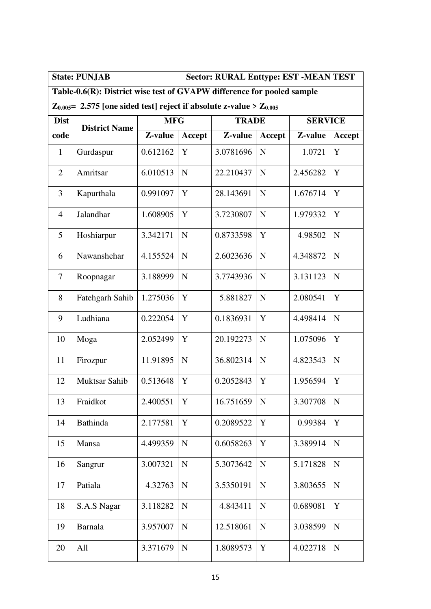### State: PUNJAB Sector: RURAL Enttype: EST -MEAN TEST

### **Table-0.6(R): District wise test of GVAPW difference for pooled sample**

 $Z_{0.005}$  = 2.575 [one sided test] reject if absolute z-value >  $Z_{0.005}$ 

| <b>Dist</b>    | <b>District Name</b> | <b>MFG</b> |             | <b>TRADE</b> |             | <b>SERVICE</b> |               |
|----------------|----------------------|------------|-------------|--------------|-------------|----------------|---------------|
| code           |                      | Z-value    | Accept      | Z-value      | Accept      | Z-value        | <b>Accept</b> |
| $\mathbf{1}$   | Gurdaspur            | 0.612162   | Y           | 3.0781696    | $\mathbf N$ | 1.0721         | Y             |
| $\overline{2}$ | Amritsar             | 6.010513   | N           | 22.210437    | $\mathbf N$ | 2.456282       | Y             |
| 3              | Kapurthala           | 0.991097   | Y           | 28.143691    | $\mathbf N$ | 1.676714       | Y             |
| $\overline{4}$ | Jalandhar            | 1.608905   | Y           | 3.7230807    | $\mathbf N$ | 1.979332       | Y             |
| 5              | Hoshiarpur           | 3.342171   | $\mathbf N$ | 0.8733598    | Y           | 4.98502        | $\mathbf N$   |
| 6              | Nawanshehar          | 4.155524   | $\mathbf N$ | 2.6023636    | $\mathbf N$ | 4.348872       | $\mathbf N$   |
| 7              | Roopnagar            | 3.188999   | N           | 3.7743936    | $\mathbf N$ | 3.131123       | $\mathbf N$   |
| 8              | Fatehgarh Sahib      | 1.275036   | Y           | 5.881827     | N           | 2.080541       | Y             |
| 9              | Ludhiana             | 0.222054   | Y           | 0.1836931    | Y           | 4.498414       | $\mathbf N$   |
| 10             | Moga                 | 2.052499   | Y           | 20.192273    | $\mathbf N$ | 1.075096       | Y             |
| 11             | Firozpur             | 11.91895   | $\mathbf N$ | 36.802314    | $\mathbf N$ | 4.823543       | $\mathbf N$   |
| 12             | <b>Muktsar Sahib</b> | 0.513648   | Y           | 0.2052843    | Y           | 1.956594       | Y             |
| 13             | Fraidkot             | 2.400551   | Y           | 16.751659    | $\mathbf N$ | 3.307708       | $\mathbf N$   |
| 14             | Bathinda             | 2.177581   | Y           | 0.2089522    | Y           | 0.99384        | Y             |
| 15             | Mansa                | 4.499359   | N           | 0.6058263    | Y           | 3.389914       | $\mathbf N$   |
| 16             | Sangrur              | 3.007321   | $\mathbf N$ | 5.3073642    | $\mathbf N$ | 5.171828       | $\mathbf N$   |
| 17             | Patiala              | 4.32763    | $\mathbf N$ | 3.5350191    | $\mathbf N$ | 3.803655       | N             |
| 18             | S.A.S Nagar          | 3.118282   | N           | 4.843411     | $\mathbf N$ | 0.689081       | Y             |
| 19             | <b>Barnala</b>       | 3.957007   | ${\bf N}$   | 12.518061    | $\mathbf N$ | 3.038599       | $\mathbf N$   |
| 20             | All                  | 3.371679   | $\mathbf N$ | 1.8089573    | Y           | 4.022718       | $\mathbf N$   |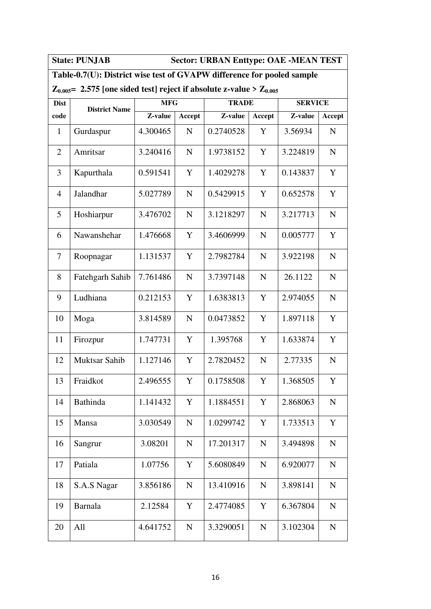**State: PUNJAB Sector: URBAN Enttype: OAE -MEAN TEST** 

### **Table-0.7(U): District wise test of GVAPW difference for pooled sample**

### $\mathbb{Z}_{0.005}$  = 2.575 [one sided test] reject if absolute z-value >  $\mathbb{Z}_{0.005}$

| <b>Dist</b>    | <b>District Name</b> | <b>MFG</b> |             | <b>TRADE</b> |             | <b>SERVICE</b> |             |
|----------------|----------------------|------------|-------------|--------------|-------------|----------------|-------------|
| code           |                      | Z-value    | Accept      | Z-value      | Accept      | Z-value        | Accept      |
| $\mathbf{1}$   | Gurdaspur            | 4.300465   | $\mathbf N$ | 0.2740528    | Y           | 3.56934        | $\mathbf N$ |
| $\overline{2}$ | Amritsar             | 3.240416   | ${\bf N}$   | 1.9738152    | $\mathbf Y$ | 3.224819       | $\mathbf N$ |
| 3              | Kapurthala           | 0.591541   | Y           | 1.4029278    | Y           | 0.143837       | Y           |
| $\overline{4}$ | Jalandhar            | 5.027789   | ${\bf N}$   | 0.5429915    | Y           | 0.652578       | Y           |
| 5              | Hoshiarpur           | 3.476702   | ${\bf N}$   | 3.1218297    | ${\bf N}$   | 3.217713       | ${\bf N}$   |
| 6              | Nawanshehar          | 1.476668   | Y           | 3.4606999    | ${\bf N}$   | 0.005777       | Y           |
| $\overline{7}$ | Roopnagar            | 1.131537   | $\mathbf Y$ | 2.7982784    | ${\bf N}$   | 3.922198       | ${\bf N}$   |
| 8              | Fatehgarh Sahib      | 7.761486   | $\mathbf N$ | 3.7397148    | $\mathbf N$ | 26.1122        | ${\bf N}$   |
| 9              | Ludhiana             | 0.212153   | Y           | 1.6383813    | Y           | 2.974055       | $\mathbf N$ |
| 10             | Moga                 | 3.814589   | ${\bf N}$   | 0.0473852    | Y           | 1.897118       | Y           |
| 11             | Firozpur             | 1.747731   | Y           | 1.395768     | Y           | 1.633874       | Y           |
| 12             | Muktsar Sahib        | 1.127146   | $\mathbf Y$ | 2.7820452    | ${\bf N}$   | 2.77335        | ${\bf N}$   |
| 13             | Fraidkot             | 2.496555   | Y           | 0.1758508    | Y           | 1.368505       | Y           |
| 14             | <b>Bathinda</b>      | 1.141432   | Y           | 1.1884551    | Y           | 2.868063       | $\mathbf N$ |
| 15             | Mansa                | 3.030549   | ${\bf N}$   | 1.0299742    | Y           | 1.733513       | Y           |
| 16             | Sangrur              | 3.08201    | ${\bf N}$   | 17.201317    | ${\bf N}$   | 3.494898       | ${\bf N}$   |
| 17             | Patiala              | 1.07756    | Y           | 5.6080849    | ${\bf N}$   | 6.920077       | ${\bf N}$   |
| 18             | S.A.S Nagar          | 3.856186   | ${\bf N}$   | 13.410916    | ${\bf N}$   | 3.898141       | ${\bf N}$   |
| 19             | <b>Barnala</b>       | 2.12584    | Y           | 2.4774085    | Y           | 6.367804       | ${\bf N}$   |
| 20             | All                  | 4.641752   | ${\bf N}$   | 3.3290051    | ${\bf N}$   | 3.102304       | ${\bf N}$   |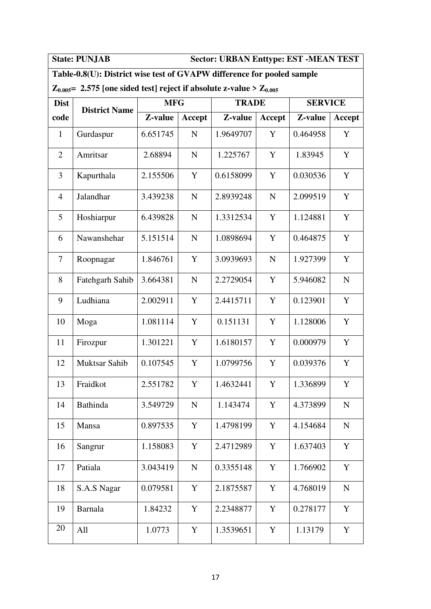**State: PUNJAB Sector: URBAN Enttype: EST -MEAN TEST** 

### **Table-0.8(U): District wise test of GVAPW difference for pooled sample**

### $Z_{0.005}$  = 2.575 [one sided test] reject if absolute z-value >  $Z_{0.005}$

| <b>Dist</b>    | <b>District Name</b> | <b>MFG</b> |               | <b>TRADE</b> |             | <b>SERVICE</b> |             |
|----------------|----------------------|------------|---------------|--------------|-------------|----------------|-------------|
| code           |                      | Z-value    | <b>Accept</b> | Z-value      | Accept      | Z-value        | Accept      |
| $\mathbf{1}$   | Gurdaspur            | 6.651745   | $\mathbf N$   | 1.9649707    | Y           | 0.464958       | Y           |
| $\overline{2}$ | Amritsar             | 2.68894    | $\mathbf N$   | 1.225767     | Y           | 1.83945        | Y           |
| 3              | Kapurthala           | 2.155506   | Y             | 0.6158099    | Y           | 0.030536       | Y           |
| $\overline{4}$ | Jalandhar            | 3.439238   | $\mathbf N$   | 2.8939248    | $\mathbf N$ | 2.099519       | Y           |
| 5              | Hoshiarpur           | 6.439828   | $\mathbf N$   | 1.3312534    | Y           | 1.124881       | Y           |
| 6              | Nawanshehar          | 5.151514   | $\mathbf N$   | 1.0898694    | Y           | 0.464875       | Y           |
| 7              | Roopnagar            | 1.846761   | Y             | 3.0939693    | ${\bf N}$   | 1.927399       | Y           |
| 8              | Fatehgarh Sahib      | 3.664381   | $\mathbf N$   | 2.2729054    | Y           | 5.946082       | $\mathbf N$ |
| 9              | Ludhiana             | 2.002911   | Y             | 2.4415711    | Y           | 0.123901       | Y           |
| 10             | Moga                 | 1.081114   | Y             | 0.151131     | Y           | 1.128006       | Y           |
| 11             | Firozpur             | 1.301221   | Y             | 1.6180157    | Y           | 0.000979       | Y           |
| 12             | <b>Muktsar Sahib</b> | 0.107545   | Y             | 1.0799756    | Y           | 0.039376       | Y           |
| 13             | Fraidkot             | 2.551782   | Y             | 1.4632441    | Y           | 1.336899       | Y           |
| 14             | Bathinda             | 3.549729   | N             | 1.143474     | Y           | 4.373899       | ${\bf N}$   |
| 15             | Mansa                | 0.897535   | Y             | 1.4798199    | Y           | 4.154684       | $\mathbf N$ |
| 16             | Sangrur              | 1.158083   | Y             | 2.4712989    | Y           | 1.637403       | Y           |
| 17             | Patiala              | 3.043419   | ${\bf N}$     | 0.3355148    | $\mathbf Y$ | 1.766902       | Y           |
| 18             | S.A.S Nagar          | 0.079581   | Y             | 2.1875587    | Y           | 4.768019       | ${\bf N}$   |
| 19             | Barnala              | 1.84232    | Y             | 2.2348877    | Y           | 0.278177       | Y           |
| 20             | All                  | 1.0773     | Y             | 1.3539651    | Y           | 1.13179        | Y           |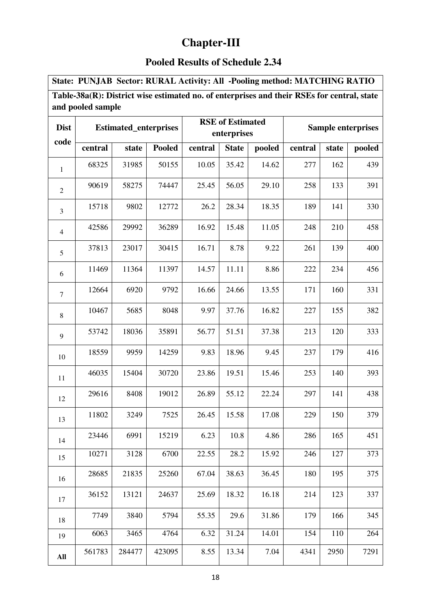## **Chapter-III**

### **Pooled Results of Schedule 2.34**

**State: PUNJAB Sector: RURAL Activity: All -Pooling method: MATCHING RATIO** 

| Table-38a(R): District wise estimated no. of enterprises and their RSEs for central, state |  |
|--------------------------------------------------------------------------------------------|--|
| and pooled sample                                                                          |  |

| <b>Dist</b>    |         | <b>Estimated_enterprises</b> |               |         | <b>RSE</b> of Estimated<br>enterprises |        | <b>Sample enterprises</b> |       |        |  |
|----------------|---------|------------------------------|---------------|---------|----------------------------------------|--------|---------------------------|-------|--------|--|
| code           | central | state                        | <b>Pooled</b> | central | <b>State</b>                           | pooled | central                   | state | pooled |  |
| $\mathbf{1}$   | 68325   | 31985                        | 50155         | 10.05   | 35.42                                  | 14.62  | 277                       | 162   | 439    |  |
| $\overline{2}$ | 90619   | 58275                        | 74447         | 25.45   | 56.05                                  | 29.10  | 258                       | 133   | 391    |  |
| 3              | 15718   | 9802                         | 12772         | 26.2    | 28.34                                  | 18.35  | 189                       | 141   | 330    |  |
| $\overline{4}$ | 42586   | 29992                        | 36289         | 16.92   | 15.48                                  | 11.05  | 248                       | 210   | 458    |  |
| 5              | 37813   | 23017                        | 30415         | 16.71   | 8.78                                   | 9.22   | 261                       | 139   | 400    |  |
| 6              | 11469   | 11364                        | 11397         | 14.57   | 11.11                                  | 8.86   | 222                       | 234   | 456    |  |
| $\tau$         | 12664   | 6920                         | 9792          | 16.66   | 24.66                                  | 13.55  | 171                       | 160   | 331    |  |
| $\,8\,$        | 10467   | 5685                         | 8048          | 9.97    | 37.76                                  | 16.82  | 227                       | 155   | 382    |  |
| 9              | 53742   | 18036                        | 35891         | 56.77   | 51.51                                  | 37.38  | 213                       | 120   | 333    |  |
| 10             | 18559   | 9959                         | 14259         | 9.83    | 18.96                                  | 9.45   | 237                       | 179   | 416    |  |
| 11             | 46035   | 15404                        | 30720         | 23.86   | 19.51                                  | 15.46  | 253                       | 140   | 393    |  |
| 12             | 29616   | 8408                         | 19012         | 26.89   | 55.12                                  | 22.24  | 297                       | 141   | 438    |  |
| 13             | 11802   | 3249                         | 7525          | 26.45   | 15.58                                  | 17.08  | 229                       | 150   | 379    |  |
| 14             | 23446   | 6991                         | 15219         | 6.23    | 10.8                                   | 4.86   | 286                       | 165   | 451    |  |
| 15             | 10271   | 3128                         | 6700          | 22.55   | 28.2                                   | 15.92  | 246                       | 127   | 373    |  |
| 16             | 28685   | 21835                        | 25260         | 67.04   | 38.63                                  | 36.45  | 180                       | 195   | 375    |  |
| 17             | 36152   | 13121                        | 24637         | 25.69   | 18.32                                  | 16.18  | 214                       | 123   | 337    |  |
| 18             | 7749    | 3840                         | 5794          | 55.35   | 29.6                                   | 31.86  | 179                       | 166   | 345    |  |
| 19             | 6063    | 3465                         | 4764          | 6.32    | 31.24                                  | 14.01  | 154                       | 110   | 264    |  |
| All            | 561783  | 284477                       | 423095        | 8.55    | 13.34                                  | 7.04   | 4341                      | 2950  | 7291   |  |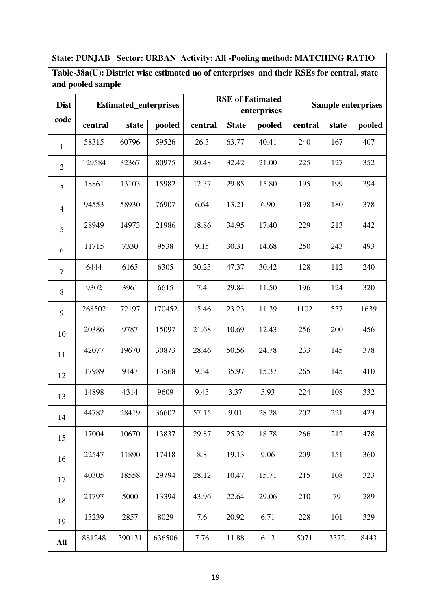**State: PUNJAB Sector: URBAN Activity: All -Pooling method: MATCHING RATIO**

**Table-38a(U): District wise estimated no of enterprises and their RSEs for central, state and pooled sample** 

| <b>Dist</b>    |         | <b>Estimated_enterprises</b> |        |         |              | <b>RSE</b> of Estimated<br>enterprises | <b>Sample enterprises</b> |       |        |  |
|----------------|---------|------------------------------|--------|---------|--------------|----------------------------------------|---------------------------|-------|--------|--|
| code           | central | state                        | pooled | central | <b>State</b> | pooled                                 | central                   | state | pooled |  |
| $\mathbf{1}$   | 58315   | 60796                        | 59526  | 26.3    | 63.77        | 40.41                                  | 240                       | 167   | 407    |  |
| $\overline{2}$ | 129584  | 32367                        | 80975  | 30.48   | 32.42        | 21.00                                  | 225                       | 127   | 352    |  |
| 3              | 18861   | 13103                        | 15982  | 12.37   | 29.85        | 15.80                                  | 195                       | 199   | 394    |  |
| $\overline{4}$ | 94553   | 58930                        | 76907  | 6.64    | 13.21        | 6.90                                   | 198                       | 180   | 378    |  |
| 5              | 28949   | 14973                        | 21986  | 18.86   | 34.95        | 17.40                                  | 229                       | 213   | 442    |  |
| 6              | 11715   | 7330                         | 9538   | 9.15    | 30.31        | 14.68                                  | 250                       | 243   | 493    |  |
| $\tau$         | 6444    | 6165                         | 6305   | 30.25   | 47.37        | 30.42                                  | 128                       | 112   | 240    |  |
| 8              | 9302    | 3961                         | 6615   | 7.4     | 29.84        | 11.50                                  | 196                       | 124   | 320    |  |
| 9              | 268502  | 72197                        | 170452 | 15.46   | 23.23        | 11.39                                  | 1102                      | 537   | 1639   |  |
| 10             | 20386   | 9787                         | 15097  | 21.68   | 10.69        | 12.43                                  | 256                       | 200   | 456    |  |
| 11             | 42077   | 19670                        | 30873  | 28.46   | 50.56        | 24.78                                  | 233                       | 145   | 378    |  |
| 12             | 17989   | 9147                         | 13568  | 9.34    | 35.97        | 15.37                                  | 265                       | 145   | 410    |  |
| 13             | 14898   | 4314                         | 9609   | 9.45    | 3.37         | 5.93                                   | 224                       | 108   | 332    |  |
| 14             | 44782   | 28419                        | 36602  | 57.15   | 9.01         | 28.28                                  | 202                       | 221   | 423    |  |
| 15             | 17004   | 10670                        | 13837  | 29.87   | 25.32        | 18.78                                  | 266                       | 212   | 478    |  |
| 16             | 22547   | 11890                        | 17418  | 8.8     | 19.13        | 9.06                                   | 209                       | 151   | 360    |  |
| 17             | 40305   | 18558                        | 29794  | 28.12   | 10.47        | 15.71                                  | 215                       | 108   | 323    |  |
| 18             | 21797   | 5000                         | 13394  | 43.96   | 22.64        | 29.06                                  | 210                       | 79    | 289    |  |
| 19             | 13239   | 2857                         | 8029   | 7.6     | 20.92        | 6.71                                   | 228                       | 101   | 329    |  |
| All            | 881248  | 390131                       | 636506 | 7.76    | 11.88        | 6.13                                   | 5071                      | 3372  | 8443   |  |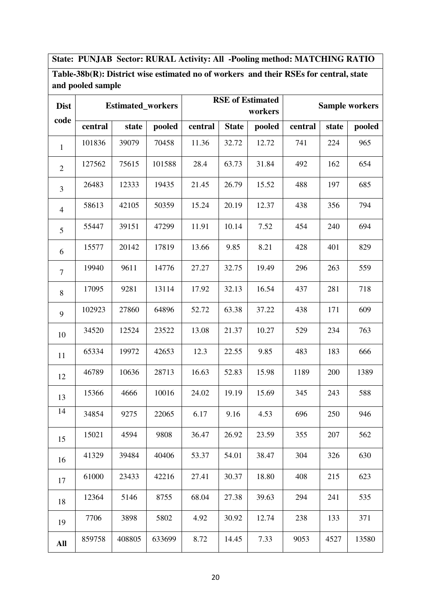### **State: PUNJAB Sector: RURAL Activity: All -Pooling method: MATCHING RATIO**

**Table-38b(R): District wise estimated no of workers and their RSEs for central, state and pooled sample** 

| <b>Dist</b>    |         | <b>Estimated_workers</b> |        |         |              | <b>RSE</b> of Estimated<br>workers | <b>Sample workers</b> |       |        |  |
|----------------|---------|--------------------------|--------|---------|--------------|------------------------------------|-----------------------|-------|--------|--|
| code           | central | state                    | pooled | central | <b>State</b> | pooled                             | central               | state | pooled |  |
| $\mathbf{1}$   | 101836  | 39079                    | 70458  | 11.36   | 32.72        | 12.72                              | 741                   | 224   | 965    |  |
| $\sqrt{2}$     | 127562  | 75615                    | 101588 | 28.4    | 63.73        | 31.84                              | 492                   | 162   | 654    |  |
| 3              | 26483   | 12333                    | 19435  | 21.45   | 26.79        | 15.52                              | 488                   | 197   | 685    |  |
| $\overline{4}$ | 58613   | 42105                    | 50359  | 15.24   | 20.19        | 12.37                              | 438                   | 356   | 794    |  |
| 5              | 55447   | 39151                    | 47299  | 11.91   | 10.14        | 7.52                               | 454                   | 240   | 694    |  |
| 6              | 15577   | 20142                    | 17819  | 13.66   | 9.85         | 8.21                               | 428                   | 401   | 829    |  |
| $\overline{7}$ | 19940   | 9611                     | 14776  | 27.27   | 32.75        | 19.49                              | 296                   | 263   | 559    |  |
| $\,8\,$        | 17095   | 9281                     | 13114  | 17.92   | 32.13        | 16.54                              | 437                   | 281   | 718    |  |
| 9              | 102923  | 27860                    | 64896  | 52.72   | 63.38        | 37.22                              | 438                   | 171   | 609    |  |
| 10             | 34520   | 12524                    | 23522  | 13.08   | 21.37        | 10.27                              | 529                   | 234   | 763    |  |
| 11             | 65334   | 19972                    | 42653  | 12.3    | 22.55        | 9.85                               | 483                   | 183   | 666    |  |
| 12             | 46789   | 10636                    | 28713  | 16.63   | 52.83        | 15.98                              | 1189                  | 200   | 1389   |  |
| 13             | 15366   | 4666                     | 10016  | 24.02   | 19.19        | 15.69                              | 345                   | 243   | 588    |  |
| 14             | 34854   | 9275                     | 22065  | 6.17    | 9.16         | 4.53                               | 696                   | 250   | 946    |  |
| 15             | 15021   | 4594                     | 9808   | 36.47   | 26.92        | 23.59                              | 355                   | 207   | 562    |  |
| 16             | 41329   | 39484                    | 40406  | 53.37   | 54.01        | 38.47                              | 304                   | 326   | 630    |  |
| 17             | 61000   | 23433                    | 42216  | 27.41   | 30.37        | 18.80                              | 408                   | 215   | 623    |  |
| 18             | 12364   | 5146                     | 8755   | 68.04   | 27.38        | 39.63                              | 294                   | 241   | 535    |  |
| 19             | 7706    | 3898                     | 5802   | 4.92    | 30.92        | 12.74                              | 238                   | 133   | 371    |  |
| All            | 859758  | 408805                   | 633699 | 8.72    | 14.45        | 7.33                               | 9053                  | 4527  | 13580  |  |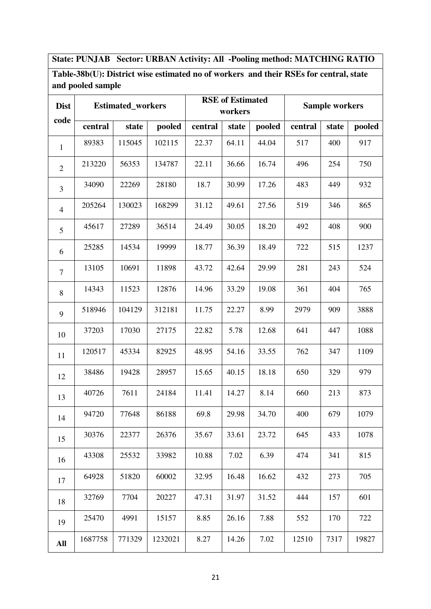### **State: PUNJAB Sector: URBAN Activity: All -Pooling method: MATCHING RATIO**

### **Table-38b(U): District wise estimated no of workers and their RSEs for central, state and pooled sample**

| <b>Dist</b>    |         | <b>Estimated_workers</b> |         |         | <b>RSE</b> of Estimated<br>workers |        | <b>Sample workers</b> |       |        |  |
|----------------|---------|--------------------------|---------|---------|------------------------------------|--------|-----------------------|-------|--------|--|
| code           | central | state                    | pooled  | central | state                              | pooled | central               | state | pooled |  |
| $\mathbf{1}$   | 89383   | 115045                   | 102115  | 22.37   | 64.11                              | 44.04  | 517                   | 400   | 917    |  |
| $\overline{2}$ | 213220  | 56353                    | 134787  | 22.11   | 36.66                              | 16.74  | 496                   | 254   | 750    |  |
| $\overline{3}$ | 34090   | 22269                    | 28180   | 18.7    | 30.99                              | 17.26  | 483                   | 449   | 932    |  |
| $\overline{4}$ | 205264  | 130023                   | 168299  | 31.12   | 49.61                              | 27.56  | 519                   | 346   | 865    |  |
| 5              | 45617   | 27289                    | 36514   | 24.49   | 30.05                              | 18.20  | 492                   | 408   | 900    |  |
| 6              | 25285   | 14534                    | 19999   | 18.77   | 36.39                              | 18.49  | 722                   | 515   | 1237   |  |
| $\tau$         | 13105   | 10691                    | 11898   | 43.72   | 42.64                              | 29.99  | 281                   | 243   | 524    |  |
| 8              | 14343   | 11523                    | 12876   | 14.96   | 33.29                              | 19.08  | 361                   | 404   | 765    |  |
| 9              | 518946  | 104129                   | 312181  | 11.75   | 22.27                              | 8.99   | 2979                  | 909   | 3888   |  |
| 10             | 37203   | 17030                    | 27175   | 22.82   | 5.78                               | 12.68  | 641                   | 447   | 1088   |  |
| 11             | 120517  | 45334                    | 82925   | 48.95   | 54.16                              | 33.55  | 762                   | 347   | 1109   |  |
| 12             | 38486   | 19428                    | 28957   | 15.65   | 40.15                              | 18.18  | 650                   | 329   | 979    |  |
| 13             | 40726   | 7611                     | 24184   | 11.41   | 14.27                              | 8.14   | 660                   | 213   | 873    |  |
| 14             | 94720   | 77648                    | 86188   | 69.8    | 29.98                              | 34.70  | 400                   | 679   | 1079   |  |
| 15             | 30376   | 22377                    | 26376   | 35.67   | 33.61                              | 23.72  | 645                   | 433   | 1078   |  |
| 16             | 43308   | 25532                    | 33982   | 10.88   | 7.02                               | 6.39   | 474                   | 341   | 815    |  |
| 17             | 64928   | 51820                    | 60002   | 32.95   | 16.48                              | 16.62  | 432                   | 273   | 705    |  |
| 18             | 32769   | 7704                     | 20227   | 47.31   | 31.97                              | 31.52  | 444                   | 157   | 601    |  |
| 19             | 25470   | 4991                     | 15157   | 8.85    | 26.16                              | 7.88   | 552                   | 170   | 722    |  |
| All            | 1687758 | 771329                   | 1232021 | 8.27    | 14.26                              | 7.02   | 12510                 | 7317  | 19827  |  |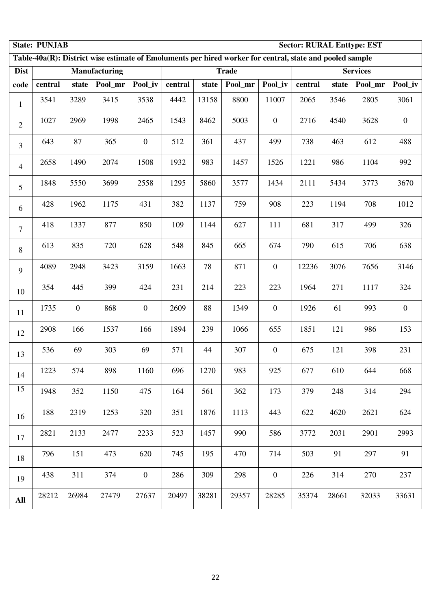|                | <b>State: PUNJAB</b><br><b>Sector: RURAL Enttype: EST</b> |                  |                                                                                                          |                  |         |       |              |                  |         |       |                 |                  |
|----------------|-----------------------------------------------------------|------------------|----------------------------------------------------------------------------------------------------------|------------------|---------|-------|--------------|------------------|---------|-------|-----------------|------------------|
|                |                                                           |                  | Table-40a(R): District wise estimate of Emoluments per hired worker for central, state and pooled sample |                  |         |       |              |                  |         |       |                 |                  |
| <b>Dist</b>    |                                                           |                  | <b>Manufacturing</b>                                                                                     |                  |         |       | <b>Trade</b> |                  |         |       | <b>Services</b> |                  |
| code           | central                                                   | state            | Pool_mr                                                                                                  | Pool_iv          | central | state | Pool_mr      | Pool iv          | central | state | Pool_mr         | Pool_iv          |
| $\mathbf{1}$   | 3541                                                      | 3289             | 3415                                                                                                     | 3538             | 4442    | 13158 | 8800         | 11007            | 2065    | 3546  | 2805            | 3061             |
| $\overline{2}$ | 1027                                                      | 2969             | 1998                                                                                                     | 2465             | 1543    | 8462  | 5003         | $\boldsymbol{0}$ | 2716    | 4540  | 3628            | $\boldsymbol{0}$ |
| 3              | 643                                                       | 87               | 365                                                                                                      | $\boldsymbol{0}$ | 512     | 361   | 437          | 499              | 738     | 463   | 612             | 488              |
| $\overline{4}$ | 2658                                                      | 1490             | 2074                                                                                                     | 1508             | 1932    | 983   | 1457         | 1526             | 1221    | 986   | 1104            | 992              |
| 5              | 1848                                                      | 5550             | 3699                                                                                                     | 2558             | 1295    | 5860  | 3577         | 1434             | 2111    | 5434  | 3773            | 3670             |
| 6              | 428                                                       | 1962             | 1175                                                                                                     | 431              | 382     | 1137  | 759          | 908              | 223     | 1194  | 708             | 1012             |
| 7              | 418                                                       | 1337             | 877                                                                                                      | 850              | 109     | 1144  | 627          | 111              | 681     | 317   | 499             | 326              |
| 8              | 613                                                       | 835              | 720                                                                                                      | 628              | 548     | 845   | 665          | 674              | 790     | 615   | 706             | 638              |
| 9              | 4089                                                      | 2948             | 3423                                                                                                     | 3159             | 1663    | 78    | 871          | $\boldsymbol{0}$ | 12236   | 3076  | 7656            | 3146             |
| 10             | 354                                                       | 445              | 399                                                                                                      | 424              | 231     | 214   | 223          | 223              | 1964    | 271   | 1117            | 324              |
| 11             | 1735                                                      | $\boldsymbol{0}$ | 868                                                                                                      | $\overline{0}$   | 2609    | 88    | 1349         | $\boldsymbol{0}$ | 1926    | 61    | 993             | $\boldsymbol{0}$ |
| 12             | 2908                                                      | 166              | 1537                                                                                                     | 166              | 1894    | 239   | 1066         | 655              | 1851    | 121   | 986             | 153              |
| 13             | 536                                                       | 69               | 303                                                                                                      | 69               | 571     | 44    | 307          | $\boldsymbol{0}$ | 675     | 121   | 398             | 231              |
| 14             | 1223                                                      | 574              | 898                                                                                                      | 1160             | 696     | 1270  | 983          | 925              | 677     | 610   | 644             | 668              |
| 15             | 1948                                                      | 352              | 1150                                                                                                     | 475              | 164     | 561   | 362          | 173              | 379     | 248   | 314             | 294              |
| 16             | 188                                                       | 2319             | 1253                                                                                                     | 320              | 351     | 1876  | 1113         | 443              | 622     | 4620  | 2621            | 624              |
| 17             | 2821                                                      | 2133             | 2477                                                                                                     | 2233             | 523     | 1457  | 990          | 586              | 3772    | 2031  | 2901            | 2993             |
| 18             | 796                                                       | 151              | 473                                                                                                      | 620              | 745     | 195   | 470          | 714              | 503     | 91    | 297             | 91               |
| 19             | 438                                                       | 311              | 374                                                                                                      | $\overline{0}$   | 286     | 309   | 298          | $\overline{0}$   | 226     | 314   | 270             | 237              |
| All            | 28212                                                     | 26984            | 27479                                                                                                    | 27637            | 20497   | 38281 | 29357        | 28285            | 35374   | 28661 | 32033           | 33631            |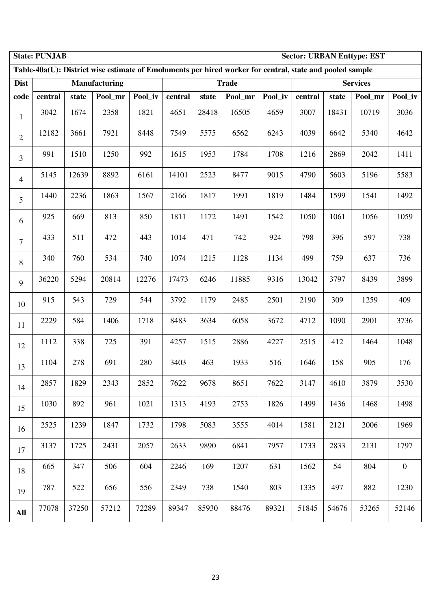|                | <b>State: PUNJAB</b><br><b>Sector: URBAN Enttype: EST</b> |       |               |         |         |       |                                                                                                          |         |         |       |                 |                  |
|----------------|-----------------------------------------------------------|-------|---------------|---------|---------|-------|----------------------------------------------------------------------------------------------------------|---------|---------|-------|-----------------|------------------|
|                |                                                           |       |               |         |         |       | Table-40a(U): District wise estimate of Emoluments per hired worker for central, state and pooled sample |         |         |       |                 |                  |
| <b>Dist</b>    |                                                           |       | Manufacturing |         |         |       | <b>Trade</b>                                                                                             |         |         |       | <b>Services</b> |                  |
| code           | central                                                   | state | Pool mr       | Pool_iv | central | state | Pool_mr                                                                                                  | Pool_iv | central | state | Pool_mr         | Pool_iv          |
| $\mathbf{1}$   | 3042                                                      | 1674  | 2358          | 1821    | 4651    | 28418 | 16505                                                                                                    | 4659    | 3007    | 18431 | 10719           | 3036             |
| $\overline{2}$ | 12182                                                     | 3661  | 7921          | 8448    | 7549    | 5575  | 6562                                                                                                     | 6243    | 4039    | 6642  | 5340            | 4642             |
| 3              | 991                                                       | 1510  | 1250          | 992     | 1615    | 1953  | 1784                                                                                                     | 1708    | 1216    | 2869  | 2042            | 1411             |
| 4              | 5145                                                      | 12639 | 8892          | 6161    | 14101   | 2523  | 8477                                                                                                     | 9015    | 4790    | 5603  | 5196            | 5583             |
| 5              | 1440                                                      | 2236  | 1863          | 1567    | 2166    | 1817  | 1991                                                                                                     | 1819    | 1484    | 1599  | 1541            | 1492             |
| 6              | 925                                                       | 669   | 813           | 850     | 1811    | 1172  | 1491                                                                                                     | 1542    | 1050    | 1061  | 1056            | 1059             |
| $\overline{7}$ | 433                                                       | 511   | 472           | 443     | 1014    | 471   | 742                                                                                                      | 924     | 798     | 396   | 597             | 738              |
| 8              | 340                                                       | 760   | 534           | 740     | 1074    | 1215  | 1128                                                                                                     | 1134    | 499     | 759   | 637             | 736              |
| 9              | 36220                                                     | 5294  | 20814         | 12276   | 17473   | 6246  | 11885                                                                                                    | 9316    | 13042   | 3797  | 8439            | 3899             |
| 10             | 915                                                       | 543   | 729           | 544     | 3792    | 1179  | 2485                                                                                                     | 2501    | 2190    | 309   | 1259            | 409              |
| 11             | 2229                                                      | 584   | 1406          | 1718    | 8483    | 3634  | 6058                                                                                                     | 3672    | 4712    | 1090  | 2901            | 3736             |
| 12             | 1112                                                      | 338   | 725           | 391     | 4257    | 1515  | 2886                                                                                                     | 4227    | 2515    | 412   | 1464            | 1048             |
| 13             | 1104                                                      | 278   | 691           | 280     | 3403    | 463   | 1933                                                                                                     | 516     | 1646    | 158   | 905             | 176              |
| 14             | 2857                                                      | 1829  | 2343          | 2852    | 7622    | 9678  | 8651                                                                                                     | 7622    | 3147    | 4610  | 3879            | 3530             |
| 15             | 1030                                                      | 892   | 961           | 1021    | 1313    | 4193  | 2753                                                                                                     | 1826    | 1499    | 1436  | 1468            | 1498             |
| 16             | 2525                                                      | 1239  | 1847          | 1732    | 1798    | 5083  | 3555                                                                                                     | 4014    | 1581    | 2121  | 2006            | 1969             |
| 17             | 3137                                                      | 1725  | 2431          | 2057    | 2633    | 9890  | 6841                                                                                                     | 7957    | 1733    | 2833  | 2131            | 1797             |
| 18             | 665                                                       | 347   | 506           | 604     | 2246    | 169   | 1207                                                                                                     | 631     | 1562    | 54    | 804             | $\boldsymbol{0}$ |
| 19             | 787                                                       | 522   | 656           | 556     | 2349    | 738   | 1540                                                                                                     | 803     | 1335    | 497   | 882             | 1230             |
| All            | 77078                                                     | 37250 | 57212         | 72289   | 89347   | 85930 | 88476                                                                                                    | 89321   | 51845   | 54676 | 53265           | 52146            |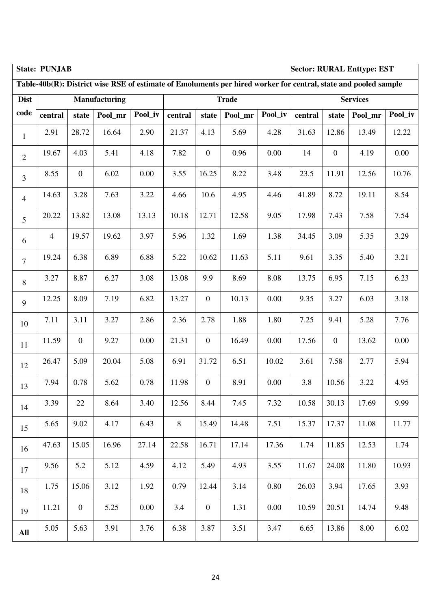|                  | <b>Sector: RURAL Enttype: EST</b><br><b>State: PUNJAB</b> |                  |                                                                                                                 |         |         |                  |              |         |         |                  |                 |         |  |
|------------------|-----------------------------------------------------------|------------------|-----------------------------------------------------------------------------------------------------------------|---------|---------|------------------|--------------|---------|---------|------------------|-----------------|---------|--|
|                  |                                                           |                  | Table-40b(R): District wise RSE of estimate of Emoluments per hired worker for central, state and pooled sample |         |         |                  |              |         |         |                  |                 |         |  |
| <b>Dist</b>      |                                                           |                  | <b>Manufacturing</b>                                                                                            |         |         |                  | <b>Trade</b> |         |         |                  | <b>Services</b> |         |  |
| code             | central                                                   | state            | Pool_mr                                                                                                         | Pool_iv | central | state            | Pool_mr      | Pool_iv | central | state            | Pool_mr         | Pool_iv |  |
| $\mathbf{1}$     | 2.91                                                      | 28.72            | 16.64                                                                                                           | 2.90    | 21.37   | 4.13             | 5.69         | 4.28    | 31.63   | 12.86            | 13.49           | 12.22   |  |
| $\overline{2}$   | 19.67                                                     | 4.03             | 5.41                                                                                                            | 4.18    | 7.82    | $\boldsymbol{0}$ | 0.96         | 0.00    | 14      | $\boldsymbol{0}$ | 4.19            | 0.00    |  |
| 3                | 8.55                                                      | $\boldsymbol{0}$ | 6.02                                                                                                            | 0.00    | 3.55    | 16.25            | 8.22         | 3.48    | 23.5    | 11.91            | 12.56           | 10.76   |  |
| $\overline{4}$   | 14.63                                                     | 3.28             | 7.63                                                                                                            | 3.22    | 4.66    | 10.6             | 4.95         | 4.46    | 41.89   | 8.72             | 19.11           | 8.54    |  |
| 5                | 20.22                                                     | 13.82            | 13.08                                                                                                           | 13.13   | 10.18   | 12.71            | 12.58        | 9.05    | 17.98   | 7.43             | 7.58            | 7.54    |  |
| 6                | $\overline{4}$                                            | 19.57            | 19.62                                                                                                           | 3.97    | 5.96    | 1.32             | 1.69         | 1.38    | 34.45   | 3.09             | 5.35            | 3.29    |  |
| $\boldsymbol{7}$ | 19.24                                                     | 6.38             | 6.89                                                                                                            | 6.88    | 5.22    | 10.62            | 11.63        | 5.11    | 9.61    | 3.35             | 5.40            | 3.21    |  |
| 8                | 3.27                                                      | 8.87             | 6.27                                                                                                            | 3.08    | 13.08   | 9.9              | 8.69         | 8.08    | 13.75   | 6.95             | 7.15            | 6.23    |  |
| 9                | 12.25                                                     | 8.09             | 7.19                                                                                                            | 6.82    | 13.27   | $\boldsymbol{0}$ | 10.13        | 0.00    | 9.35    | 3.27             | 6.03            | 3.18    |  |
| 10               | 7.11                                                      | 3.11             | 3.27                                                                                                            | 2.86    | 2.36    | 2.78             | 1.88         | 1.80    | 7.25    | 9.41             | 5.28            | 7.76    |  |
| 11               | 11.59                                                     | $\boldsymbol{0}$ | 9.27                                                                                                            | 0.00    | 21.31   | $\overline{0}$   | 16.49        | 0.00    | 17.56   | $\mathbf{0}$     | 13.62           | 0.00    |  |
| 12               | 26.47                                                     | 5.09             | 20.04                                                                                                           | 5.08    | 6.91    | 31.72            | 6.51         | 10.02   | 3.61    | 7.58             | 2.77            | 5.94    |  |
| 13               | 7.94                                                      | 0.78             | 5.62                                                                                                            | 0.78    | 11.98   | $\boldsymbol{0}$ | 8.91         | 0.00    | 3.8     | 10.56            | 3.22            | 4.95    |  |
| 14               | 3.39                                                      | 22               | 8.64                                                                                                            | 3.40    | 12.56   | 8.44             | 7.45         | 7.32    | 10.58   | 30.13            | 17.69           | 9.99    |  |
| 15               | 5.65                                                      | 9.02             | 4.17                                                                                                            | 6.43    | 8       | 15.49            | 14.48        | 7.51    | 15.37   | 17.37            | 11.08           | 11.77   |  |
| 16               | 47.63                                                     | 15.05            | 16.96                                                                                                           | 27.14   | 22.58   | 16.71            | 17.14        | 17.36   | 1.74    | 11.85            | 12.53           | 1.74    |  |
| 17               | 9.56                                                      | 5.2              | 5.12                                                                                                            | 4.59    | 4.12    | 5.49             | 4.93         | 3.55    | 11.67   | 24.08            | 11.80           | 10.93   |  |
| 18               | 1.75                                                      | 15.06            | 3.12                                                                                                            | 1.92    | 0.79    | 12.44            | 3.14         | 0.80    | 26.03   | 3.94             | 17.65           | 3.93    |  |
| 19               | 11.21                                                     | $\overline{0}$   | 5.25                                                                                                            | 0.00    | 3.4     | $\overline{0}$   | 1.31         | 0.00    | 10.59   | 20.51            | 14.74           | 9.48    |  |
| All              | 5.05                                                      | 5.63             | 3.91                                                                                                            | 3.76    | 6.38    | 3.87             | 3.51         | 3.47    | 6.65    | 13.86            | 8.00            | 6.02    |  |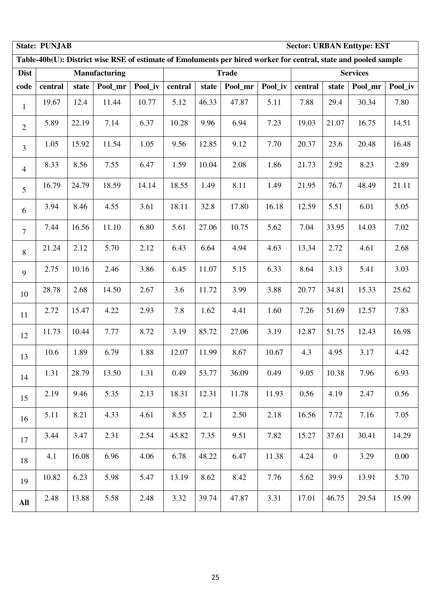|                | <b>State: PUNJAB</b> |       |                      |         |         |       |              |         |         |                | <b>Sector: URBAN Enttype: EST</b>                                                                               |          |
|----------------|----------------------|-------|----------------------|---------|---------|-------|--------------|---------|---------|----------------|-----------------------------------------------------------------------------------------------------------------|----------|
|                |                      |       |                      |         |         |       |              |         |         |                | Table-40b(U): District wise RSE of estimate of Emoluments per hired worker for central, state and pooled sample |          |
| <b>Dist</b>    |                      |       | <b>Manufacturing</b> |         |         |       | <b>Trade</b> |         |         |                | <b>Services</b>                                                                                                 |          |
| code           | central              | state | Pool_mr              | Pool_iv | central | state | Pool_mr      | Pool_iv | central | state          | Pool_mr                                                                                                         | Pool_iv  |
| $\mathbf{1}$   | 19.67                | 12.4  | 11.44                | 10.77   | 5.12    | 46.33 | 47.87        | 5.11    | 7.88    | 29.4           | 30.34                                                                                                           | 7.80     |
| $\overline{2}$ | 5.89                 | 22.19 | 7.14                 | 6.37    | 10.28   | 9.96  | 6.94         | 7.23    | 19.03   | 21.07          | 16.75                                                                                                           | 14.51    |
| $\overline{3}$ | 1.05                 | 15.92 | 11.54                | 1.05    | 9.56    | 12.85 | 9.12         | 7.70    | 20.37   | 23.6           | 20.48                                                                                                           | 16.48    |
| $\overline{4}$ | 8.33                 | 8.56  | 7.55                 | 6.47    | 1.59    | 10.04 | 2.08         | 1.86    | 21.73   | 2.92           | 8.23                                                                                                            | 2.89     |
| 5              | 16.79                | 24.79 | 18.59                | 14.14   | 18.55   | 1.49  | 8.11         | 1.49    | 21.95   | 76.7           | 48.49                                                                                                           | 21.11    |
| 6              | 3.94                 | 8.46  | 4.55                 | 3.61    | 18.11   | 32.8  | 17.80        | 16.18   | 12.59   | 5.51           | 6.01                                                                                                            | 5.05     |
| $\overline{7}$ | 7.44                 | 16.56 | 11.10                | 6.80    | 5.61    | 27.06 | 10.75        | 5.62    | 7.04    | 33.95          | 14.03                                                                                                           | 7.02     |
| $8\,$          | 21.24                | 2.12  | 5.70                 | 2.12    | 6.43    | 6.64  | 4.94         | 4.63    | 13.34   | 2.72           | 4.61                                                                                                            | 2.68     |
| 9              | 2.75                 | 10.16 | 2.46                 | 3.86    | 6.45    | 11.07 | 5.15         | 6.33    | 8.64    | 3.13           | 5.41                                                                                                            | 3.03     |
| 10             | 28.78                | 2.68  | 14.50                | 2.67    | 3.6     | 11.72 | 3.99         | 3.88    | 20.77   | 34.81          | 15.33                                                                                                           | 25.62    |
| 11             | 2.72                 | 15.47 | 4.22                 | 2.93    | 7.8     | 1.62  | 4.41         | 1.60    | 7.26    | 51.69          | 12.57                                                                                                           | 7.83     |
| 12             | 11.73                | 10.44 | 7.77                 | 8.72    | 3.19    | 85.72 | 27.06        | 3.19    | 12.87   | 51.75          | 12.43                                                                                                           | 16.98    |
| 13             | 10.6                 | 1.89  | 6.79                 | 1.88    | 12.07   | 11.99 | 8.67         | 10.67   | 4.3     | 4.95           | 3.17                                                                                                            | 4.42     |
| 14             | 1.31                 | 28.79 | 13.50                | 1.31    | 0.49    | 53.77 | 36.09        | 0.49    | 9.05    | 10.38          | 7.96                                                                                                            | 6.93     |
| 15             | 2.19                 | 9.46  | 5.35                 | 2.13    | 18.31   | 12.31 | 11.78        | 11.93   | 0.56    | 4.19           | 2.47                                                                                                            | 0.56     |
| 16             | 5.11                 | 8.21  | 4.33                 | 4.61    | 8.55    | 2.1   | 2.50         | 2.18    | 16.56   | 7.72           | 7.16                                                                                                            | 7.05     |
| 17             | 3.44                 | 3.47  | 2.31                 | 2.54    | 45.82   | 7.35  | 9.51         | 7.82    | 15.27   | 37.61          | 30.41                                                                                                           | 14.29    |
| 18             | 4.1                  | 16.08 | 6.96                 | 4.06    | 6.78    | 48.22 | 6.47         | 11.38   | 4.24    | $\overline{0}$ | 3.29                                                                                                            | $0.00\,$ |
| 19             | 10.82                | 6.23  | 5.98                 | 5.47    | 13.19   | 8.62  | 8.42         | 7.76    | 5.62    | 39.9           | 13.91                                                                                                           | 5.70     |
| All            | 2.48                 | 13.88 | 5.58                 | 2.48    | 3.32    | 39.74 | 47.87        | 3.31    | 17.01   | 46.75          | 29.54                                                                                                           | 15.99    |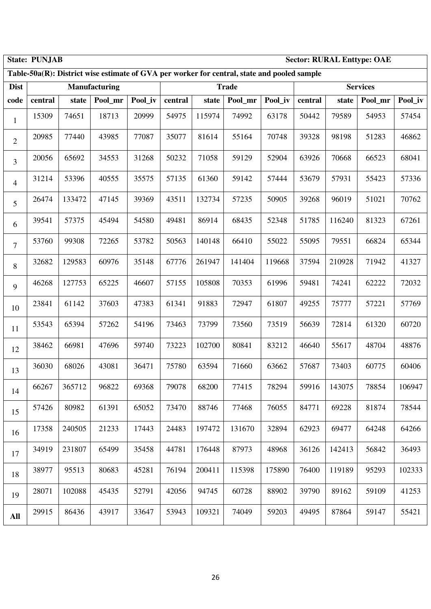|                | <b>State: PUNJAB</b><br><b>Sector: RURAL Enttype: OAE</b><br>Table-50a(R): District wise estimate of GVA per worker for central, state and pooled sample |        |                      |         |         |        |              |         |         |        |                 |         |
|----------------|----------------------------------------------------------------------------------------------------------------------------------------------------------|--------|----------------------|---------|---------|--------|--------------|---------|---------|--------|-----------------|---------|
|                |                                                                                                                                                          |        |                      |         |         |        |              |         |         |        |                 |         |
| <b>Dist</b>    |                                                                                                                                                          |        | <b>Manufacturing</b> |         |         |        | <b>Trade</b> |         |         |        | <b>Services</b> |         |
| code           | central                                                                                                                                                  | state  | Pool_mr              | Pool_iv | central | state  | Pool_mr      | Pool_iv | central | state  | Pool_mr         | Pool_iv |
| $\mathbf{1}$   | 15309                                                                                                                                                    | 74651  | 18713                | 20999   | 54975   | 115974 | 74992        | 63178   | 50442   | 79589  | 54953           | 57454   |
| $\overline{2}$ | 20985                                                                                                                                                    | 77440  | 43985                | 77087   | 35077   | 81614  | 55164        | 70748   | 39328   | 98198  | 51283           | 46862   |
| $\overline{3}$ | 20056                                                                                                                                                    | 65692  | 34553                | 31268   | 50232   | 71058  | 59129        | 52904   | 63926   | 70668  | 66523           | 68041   |
| $\overline{4}$ | 31214                                                                                                                                                    | 53396  | 40555                | 35575   | 57135   | 61360  | 59142        | 57444   | 53679   | 57931  | 55423           | 57336   |
| 5              | 26474                                                                                                                                                    | 133472 | 47145                | 39369   | 43511   | 132734 | 57235        | 50905   | 39268   | 96019  | 51021           | 70762   |
| 6              | 39541                                                                                                                                                    | 57375  | 45494                | 54580   | 49481   | 86914  | 68435        | 52348   | 51785   | 116240 | 81323           | 67261   |
| $\tau$         | 53760                                                                                                                                                    | 99308  | 72265                | 53782   | 50563   | 140148 | 66410        | 55022   | 55095   | 79551  | 66824           | 65344   |
| 8              | 32682                                                                                                                                                    | 129583 | 60976                | 35148   | 67776   | 261947 | 141404       | 119668  | 37594   | 210928 | 71942           | 41327   |
| 9              | 46268                                                                                                                                                    | 127753 | 65225                | 46607   | 57155   | 105808 | 70353        | 61996   | 59481   | 74241  | 62222           | 72032   |
| 10             | 23841                                                                                                                                                    | 61142  | 37603                | 47383   | 61341   | 91883  | 72947        | 61807   | 49255   | 75777  | 57221           | 57769   |
| 11             | 53543                                                                                                                                                    | 65394  | 57262                | 54196   | 73463   | 73799  | 73560        | 73519   | 56639   | 72814  | 61320           | 60720   |
| 12             | 38462                                                                                                                                                    | 66981  | 47696                | 59740   | 73223   | 102700 | 80841        | 83212   | 46640   | 55617  | 48704           | 48876   |
| 13             | 36030                                                                                                                                                    | 68026  | 43081                | 36471   | 75780   | 63594  | 71660        | 63662   | 57687   | 73403  | 60775           | 60406   |
| 14             | 66267                                                                                                                                                    | 365712 | 96822                | 69368   | 79078   | 68200  | 77415        | 78294   | 59916   | 143075 | 78854           | 106947  |
| 15             | 57426                                                                                                                                                    | 80982  | 61391                | 65052   | 73470   | 88746  | 77468        | 76055   | 84771   | 69228  | 81874           | 78544   |
| 16             | 17358                                                                                                                                                    | 240505 | 21233                | 17443   | 24483   | 197472 | 131670       | 32894   | 62923   | 69477  | 64248           | 64266   |
| 17             | 34919                                                                                                                                                    | 231807 | 65499                | 35458   | 44781   | 176448 | 87973        | 48968   | 36126   | 142413 | 56842           | 36493   |
| 18             | 38977                                                                                                                                                    | 95513  | 80683                | 45281   | 76194   | 200411 | 115398       | 175890  | 76400   | 119189 | 95293           | 102333  |
| 19             | 28071                                                                                                                                                    | 102088 | 45435                | 52791   | 42056   | 94745  | 60728        | 88902   | 39790   | 89162  | 59109           | 41253   |
| <b>All</b>     | 29915                                                                                                                                                    | 86436  | 43917                | 33647   | 53943   | 109321 | 74049        | 59203   | 49495   | 87864  | 59147           | 55421   |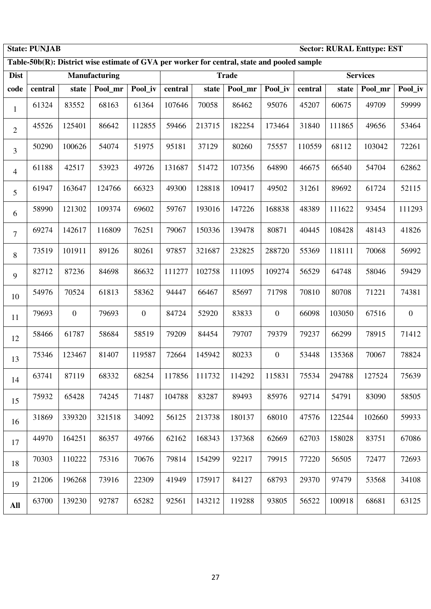|                | <b>State: PUNJAB</b><br><b>Sector: RURAL Enttype: EST</b><br>Table-50b(R): District wise estimate of GVA per worker for central, state and pooled sample |                  |                      |              |         |        |              |                  |         |        |                 |                  |
|----------------|----------------------------------------------------------------------------------------------------------------------------------------------------------|------------------|----------------------|--------------|---------|--------|--------------|------------------|---------|--------|-----------------|------------------|
|                |                                                                                                                                                          |                  |                      |              |         |        |              |                  |         |        |                 |                  |
| <b>Dist</b>    |                                                                                                                                                          |                  | <b>Manufacturing</b> |              |         |        | <b>Trade</b> |                  |         |        | <b>Services</b> |                  |
| code           | central                                                                                                                                                  | state            | Pool_mr              | Pool_iv      | central | state  | Pool mr      | Pool_iv          | central | state  | Pool_mr         | Pool_iv          |
| 1              | 61324                                                                                                                                                    | 83552            | 68163                | 61364        | 107646  | 70058  | 86462        | 95076            | 45207   | 60675  | 49709           | 59999            |
| $\overline{2}$ | 45526                                                                                                                                                    | 125401           | 86642                | 112855       | 59466   | 213715 | 182254       | 173464           | 31840   | 111865 | 49656           | 53464            |
| 3              | 50290                                                                                                                                                    | 100626           | 54074                | 51975        | 95181   | 37129  | 80260        | 75557            | 110559  | 68112  | 103042          | 72261            |
| $\overline{4}$ | 61188                                                                                                                                                    | 42517            | 53923                | 49726        | 131687  | 51472  | 107356       | 64890            | 46675   | 66540  | 54704           | 62862            |
| 5              | 61947                                                                                                                                                    | 163647           | 124766               | 66323        | 49300   | 128818 | 109417       | 49502            | 31261   | 89692  | 61724           | 52115            |
| 6              | 58990                                                                                                                                                    | 121302           | 109374               | 69602        | 59767   | 193016 | 147226       | 168838           | 48389   | 111622 | 93454           | 111293           |
| $\overline{7}$ | 69274                                                                                                                                                    | 142617           | 116809               | 76251        | 79067   | 150336 | 139478       | 80871            | 40445   | 108428 | 48143           | 41826            |
| $8\,$          | 73519                                                                                                                                                    | 101911           | 89126                | 80261        | 97857   | 321687 | 232825       | 288720           | 55369   | 118111 | 70068           | 56992            |
| 9              | 82712                                                                                                                                                    | 87236            | 84698                | 86632        | 111277  | 102758 | 111095       | 109274           | 56529   | 64748  | 58046           | 59429            |
| 10             | 54976                                                                                                                                                    | 70524            | 61813                | 58362        | 94447   | 66467  | 85697        | 71798            | 70810   | 80708  | 71221           | 74381            |
| 11             | 79693                                                                                                                                                    | $\boldsymbol{0}$ | 79693                | $\mathbf{0}$ | 84724   | 52920  | 83833        | $\boldsymbol{0}$ | 66098   | 103050 | 67516           | $\boldsymbol{0}$ |
| 12             | 58466                                                                                                                                                    | 61787            | 58684                | 58519        | 79209   | 84454  | 79707        | 79379            | 79237   | 66299  | 78915           | 71412            |
| 13             | 75346                                                                                                                                                    | 123467           | 81407                | 119587       | 72664   | 145942 | 80233        | $\boldsymbol{0}$ | 53448   | 135368 | 70067           | 78824            |
| 14             | 63741                                                                                                                                                    | 87119            | 68332                | 68254        | 117856  | 111732 | 114292       | 115831           | 75534   | 294788 | 127524          | 75639            |
| 15             | 75932                                                                                                                                                    | 65428            | 74245                | 71487        | 104788  | 83287  | 89493        | 85976            | 92714   | 54791  | 83090           | 58505            |
| 16             | 31869                                                                                                                                                    | 339320           | 321518               | 34092        | 56125   | 213738 | 180137       | 68010            | 47576   | 122544 | 102660          | 59933            |
| 17             | 44970                                                                                                                                                    | 164251           | 86357                | 49766        | 62162   | 168343 | 137368       | 62669            | 62703   | 158028 | 83751           | 67086            |
| 18             | 70303                                                                                                                                                    | 110222           | 75316                | 70676        | 79814   | 154299 | 92217        | 79915            | 77220   | 56505  | 72477           | 72693            |
| 19             | 21206                                                                                                                                                    | 196268           | 73916                | 22309        | 41949   | 175917 | 84127        | 68793            | 29370   | 97479  | 53568           | 34108            |
| <b>All</b>     | 63700                                                                                                                                                    | 139230           | 92787                | 65282        | 92561   | 143212 | 119288       | 93805            | 56522   | 100918 | 68681           | 63125            |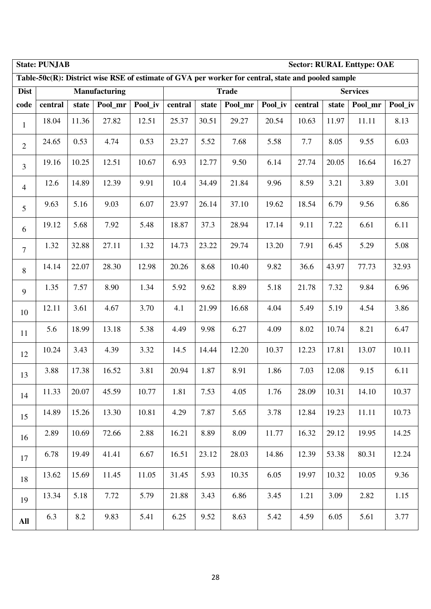|                | <b>Sector: RURAL Enttype: OAE</b><br><b>State: PUNJAB</b><br>Table-50c(R): District wise RSE of estimate of GVA per worker for central, state and pooled sample |       |               |         |         |       |              |         |         |       |                 |         |  |
|----------------|-----------------------------------------------------------------------------------------------------------------------------------------------------------------|-------|---------------|---------|---------|-------|--------------|---------|---------|-------|-----------------|---------|--|
|                |                                                                                                                                                                 |       |               |         |         |       |              |         |         |       |                 |         |  |
| <b>Dist</b>    |                                                                                                                                                                 |       | Manufacturing |         |         |       | <b>Trade</b> |         |         |       | <b>Services</b> |         |  |
| code           | central                                                                                                                                                         | state | Pool_mr       | Pool_iv | central | state | Pool_mr      | Pool_iv | central | state | Pool_mr         | Pool_iv |  |
| $\mathbf{1}$   | 18.04                                                                                                                                                           | 11.36 | 27.82         | 12.51   | 25.37   | 30.51 | 29.27        | 20.54   | 10.63   | 11.97 | 11.11           | 8.13    |  |
| $\overline{2}$ | 24.65                                                                                                                                                           | 0.53  | 4.74          | 0.53    | 23.27   | 5.52  | 7.68         | 5.58    | 7.7     | 8.05  | 9.55            | 6.03    |  |
| $\overline{3}$ | 19.16                                                                                                                                                           | 10.25 | 12.51         | 10.67   | 6.93    | 12.77 | 9.50         | 6.14    | 27.74   | 20.05 | 16.64           | 16.27   |  |
| $\overline{4}$ | 12.6                                                                                                                                                            | 14.89 | 12.39         | 9.91    | 10.4    | 34.49 | 21.84        | 9.96    | 8.59    | 3.21  | 3.89            | 3.01    |  |
| 5              | 9.63                                                                                                                                                            | 5.16  | 9.03          | 6.07    | 23.97   | 26.14 | 37.10        | 19.62   | 18.54   | 6.79  | 9.56            | 6.86    |  |
| 6              | 19.12                                                                                                                                                           | 5.68  | 7.92          | 5.48    | 18.87   | 37.3  | 28.94        | 17.14   | 9.11    | 7.22  | 6.61            | 6.11    |  |
| $\tau$         | 1.32                                                                                                                                                            | 32.88 | 27.11         | 1.32    | 14.73   | 23.22 | 29.74        | 13.20   | 7.91    | 6.45  | 5.29            | 5.08    |  |
| 8              | 14.14                                                                                                                                                           | 22.07 | 28.30         | 12.98   | 20.26   | 8.68  | 10.40        | 9.82    | 36.6    | 43.97 | 77.73           | 32.93   |  |
| 9              | 1.35                                                                                                                                                            | 7.57  | 8.90          | 1.34    | 5.92    | 9.62  | 8.89         | 5.18    | 21.78   | 7.32  | 9.84            | 6.96    |  |
| 10             | 12.11                                                                                                                                                           | 3.61  | 4.67          | 3.70    | 4.1     | 21.99 | 16.68        | 4.04    | 5.49    | 5.19  | 4.54            | 3.86    |  |
| 11             | 5.6                                                                                                                                                             | 18.99 | 13.18         | 5.38    | 4.49    | 9.98  | 6.27         | 4.09    | 8.02    | 10.74 | 8.21            | 6.47    |  |
| 12             | 10.24                                                                                                                                                           | 3.43  | 4.39          | 3.32    | 14.5    | 14.44 | 12.20        | 10.37   | 12.23   | 17.81 | 13.07           | 10.11   |  |
| 13             | 3.88                                                                                                                                                            | 17.38 | 16.52         | 3.81    | 20.94   | 1.87  | 8.91         | 1.86    | 7.03    | 12.08 | 9.15            | 6.11    |  |
| 14             | 11.33                                                                                                                                                           | 20.07 | 45.59         | 10.77   | 1.81    | 7.53  | 4.05         | 1.76    | 28.09   | 10.31 | 14.10           | 10.37   |  |
| 15             | 14.89                                                                                                                                                           | 15.26 | 13.30         | 10.81   | 4.29    | 7.87  | 5.65         | 3.78    | 12.84   | 19.23 | 11.11           | 10.73   |  |
| 16             | 2.89                                                                                                                                                            | 10.69 | 72.66         | 2.88    | 16.21   | 8.89  | 8.09         | 11.77   | 16.32   | 29.12 | 19.95           | 14.25   |  |
| 17             | 6.78                                                                                                                                                            | 19.49 | 41.41         | 6.67    | 16.51   | 23.12 | 28.03        | 14.86   | 12.39   | 53.38 | 80.31           | 12.24   |  |
| 18             | 13.62                                                                                                                                                           | 15.69 | 11.45         | 11.05   | 31.45   | 5.93  | 10.35        | 6.05    | 19.97   | 10.32 | 10.05           | 9.36    |  |
| 19             | 13.34                                                                                                                                                           | 5.18  | 7.72          | 5.79    | 21.88   | 3.43  | 6.86         | 3.45    | 1.21    | 3.09  | 2.82            | 1.15    |  |
| All            | 6.3                                                                                                                                                             | 8.2   | 9.83          | 5.41    | 6.25    | 9.52  | 8.63         | 5.42    | 4.59    | 6.05  | 5.61            | 3.77    |  |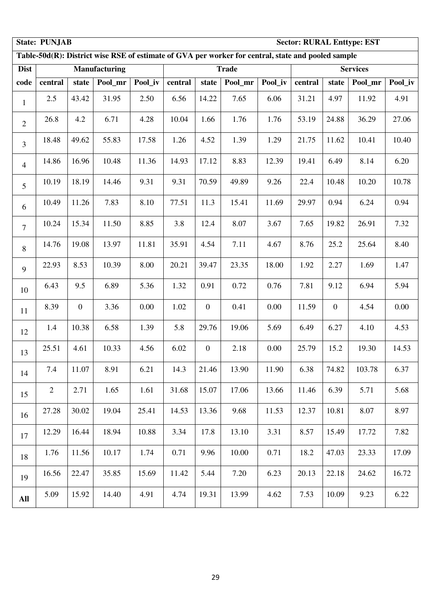|                | <b>State: PUNJAB</b><br><b>Sector: RURAL Enttype: EST</b><br>Table-50d(R): District wise RSE of estimate of GVA per worker for central, state and pooled sample |                  |                      |         |         |                  |              |         |         |                  |                 |         |  |
|----------------|-----------------------------------------------------------------------------------------------------------------------------------------------------------------|------------------|----------------------|---------|---------|------------------|--------------|---------|---------|------------------|-----------------|---------|--|
|                |                                                                                                                                                                 |                  |                      |         |         |                  |              |         |         |                  |                 |         |  |
| <b>Dist</b>    |                                                                                                                                                                 |                  | <b>Manufacturing</b> |         |         |                  | <b>Trade</b> |         |         |                  | <b>Services</b> |         |  |
| code           | central                                                                                                                                                         | state            | Pool_mr              | Pool_iv | central | state            | Pool_mr      | Pool_iv | central | state            | Pool_mr         | Pool_iv |  |
| $\mathbf{1}$   | 2.5                                                                                                                                                             | 43.42            | 31.95                | 2.50    | 6.56    | 14.22            | 7.65         | 6.06    | 31.21   | 4.97             | 11.92           | 4.91    |  |
| $\mathbf{2}$   | 26.8                                                                                                                                                            | 4.2              | 6.71                 | 4.28    | 10.04   | 1.66             | 1.76         | 1.76    | 53.19   | 24.88            | 36.29           | 27.06   |  |
| $\overline{3}$ | 18.48                                                                                                                                                           | 49.62            | 55.83                | 17.58   | 1.26    | 4.52             | 1.39         | 1.29    | 21.75   | 11.62            | 10.41           | 10.40   |  |
| $\overline{4}$ | 14.86                                                                                                                                                           | 16.96            | 10.48                | 11.36   | 14.93   | 17.12            | 8.83         | 12.39   | 19.41   | 6.49             | 8.14            | 6.20    |  |
| 5              | 10.19                                                                                                                                                           | 18.19            | 14.46                | 9.31    | 9.31    | 70.59            | 49.89        | 9.26    | 22.4    | 10.48            | 10.20           | 10.78   |  |
| 6              | 10.49                                                                                                                                                           | 11.26            | 7.83                 | 8.10    | 77.51   | 11.3             | 15.41        | 11.69   | 29.97   | 0.94             | 6.24            | 0.94    |  |
| $\overline{7}$ | 10.24                                                                                                                                                           | 15.34            | 11.50                | 8.85    | 3.8     | 12.4             | 8.07         | 3.67    | 7.65    | 19.82            | 26.91           | 7.32    |  |
| 8              | 14.76                                                                                                                                                           | 19.08            | 13.97                | 11.81   | 35.91   | 4.54             | 7.11         | 4.67    | 8.76    | 25.2             | 25.64           | 8.40    |  |
| 9              | 22.93                                                                                                                                                           | 8.53             | 10.39                | 8.00    | 20.21   | 39.47            | 23.35        | 18.00   | 1.92    | 2.27             | 1.69            | 1.47    |  |
| 10             | 6.43                                                                                                                                                            | 9.5              | 6.89                 | 5.36    | 1.32    | 0.91             | 0.72         | 0.76    | 7.81    | 9.12             | 6.94            | 5.94    |  |
| 11             | 8.39                                                                                                                                                            | $\boldsymbol{0}$ | 3.36                 | 0.00    | 1.02    | $\boldsymbol{0}$ | 0.41         | 0.00    | 11.59   | $\boldsymbol{0}$ | 4.54            | 0.00    |  |
| 12             | 1.4                                                                                                                                                             | 10.38            | 6.58                 | 1.39    | 5.8     | 29.76            | 19.06        | 5.69    | 6.49    | 6.27             | 4.10            | 4.53    |  |
| 13             | 25.51                                                                                                                                                           | 4.61             | 10.33                | 4.56    | 6.02    | $\boldsymbol{0}$ | 2.18         | 0.00    | 25.79   | 15.2             | 19.30           | 14.53   |  |
| 14             | 7.4                                                                                                                                                             | 11.07            | 8.91                 | 6.21    | 14.3    | 21.46            | 13.90        | 11.90   | 6.38    | 74.82            | 103.78          | 6.37    |  |
| 15             | $\overline{2}$                                                                                                                                                  | 2.71             | 1.65                 | 1.61    | 31.68   | 15.07            | 17.06        | 13.66   | 11.46   | 6.39             | 5.71            | 5.68    |  |
| 16             | 27.28                                                                                                                                                           | 30.02            | 19.04                | 25.41   | 14.53   | 13.36            | 9.68         | 11.53   | 12.37   | 10.81            | 8.07            | 8.97    |  |
| 17             | 12.29                                                                                                                                                           | 16.44            | 18.94                | 10.88   | 3.34    | 17.8             | 13.10        | 3.31    | 8.57    | 15.49            | 17.72           | 7.82    |  |
| 18             | 1.76                                                                                                                                                            | 11.56            | 10.17                | 1.74    | 0.71    | 9.96             | 10.00        | 0.71    | 18.2    | 47.03            | 23.33           | 17.09   |  |
| 19             | 16.56                                                                                                                                                           | 22.47            | 35.85                | 15.69   | 11.42   | 5.44             | 7.20         | 6.23    | 20.13   | 22.18            | 24.62           | 16.72   |  |
| All            | 5.09                                                                                                                                                            | 15.92            | 14.40                | 4.91    | 4.74    | 19.31            | 13.99        | 4.62    | 7.53    | 10.09            | 9.23            | 6.22    |  |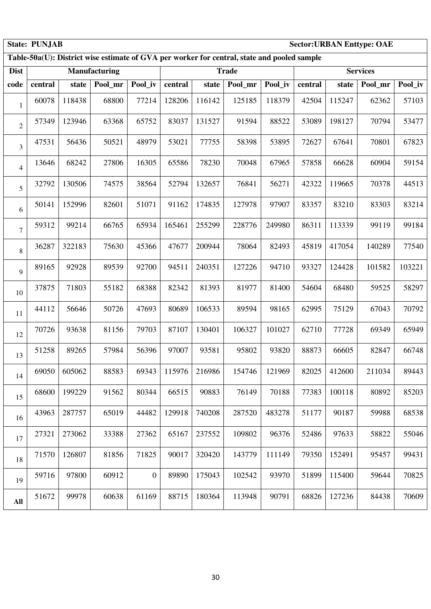|                | <b>State: PUNJAB</b><br><b>Sector: URBAN Enttype: OAE</b><br>Table-50a(U): District wise estimate of GVA per worker for central, state and pooled sample |        |                      |                  |         |        |              |         |         |        |                 |         |  |
|----------------|----------------------------------------------------------------------------------------------------------------------------------------------------------|--------|----------------------|------------------|---------|--------|--------------|---------|---------|--------|-----------------|---------|--|
|                |                                                                                                                                                          |        |                      |                  |         |        |              |         |         |        |                 |         |  |
| <b>Dist</b>    |                                                                                                                                                          |        | <b>Manufacturing</b> |                  |         |        | <b>Trade</b> |         |         |        | <b>Services</b> |         |  |
| code           | central                                                                                                                                                  | state  | Pool_mr              | Pool_iv          | central | state  | Pool mr      | Pool_iv | central | state  | Pool_mr         | Pool_iv |  |
| $\mathbf{1}$   | 60078                                                                                                                                                    | 118438 | 68800                | 77214            | 128206  | 116142 | 125185       | 118379  | 42504   | 115247 | 62362           | 57103   |  |
| $\mathfrak{2}$ | 57349                                                                                                                                                    | 123946 | 63368                | 65752            | 83037   | 131527 | 91594        | 88522   | 53089   | 198127 | 70794           | 53477   |  |
| 3              | 47531                                                                                                                                                    | 56436  | 50521                | 48979            | 53021   | 77755  | 58398        | 53895   | 72627   | 67641  | 70801           | 67823   |  |
| 4              | 13646                                                                                                                                                    | 68242  | 27806                | 16305            | 65586   | 78230  | 70048        | 67965   | 57858   | 66628  | 60904           | 59154   |  |
| 5              | 32792                                                                                                                                                    | 130506 | 74575                | 38564            | 52794   | 132657 | 76841        | 56271   | 42322   | 119665 | 70378           | 44513   |  |
| 6              | 50141                                                                                                                                                    | 152996 | 82601                | 51071            | 91162   | 174835 | 127978       | 97907   | 83357   | 83210  | 83303           | 83214   |  |
| 7              | 59312                                                                                                                                                    | 99214  | 66765                | 65934            | 165461  | 255299 | 228776       | 249980  | 86311   | 113339 | 99119           | 99184   |  |
| 8              | 36287                                                                                                                                                    | 322183 | 75630                | 45366            | 47677   | 200944 | 78064        | 82493   | 45819   | 417054 | 140289          | 77540   |  |
| 9              | 89165                                                                                                                                                    | 92928  | 89539                | 92700            | 94511   | 240351 | 127226       | 94710   | 93327   | 124428 | 101582          | 103221  |  |
| 10             | 37875                                                                                                                                                    | 71803  | 55182                | 68388            | 82342   | 81393  | 81977        | 81400   | 54604   | 68480  | 59525           | 58297   |  |
| 11             | 44112                                                                                                                                                    | 56646  | 50726                | 47693            | 80689   | 106533 | 89594        | 98165   | 62995   | 75129  | 67043           | 70792   |  |
| 12             | 70726                                                                                                                                                    | 93638  | 81156                | 79703            | 87107   | 130401 | 106327       | 101027  | 62710   | 77728  | 69349           | 65949   |  |
| 13             | 51258                                                                                                                                                    | 89265  | 57984                | 56396            | 97007   | 93581  | 95802        | 93820   | 88873   | 66605  | 82847           | 66748   |  |
| 14             | 69050                                                                                                                                                    | 605062 | 88583                | 69343            | 115976  | 216986 | 154746       | 121969  | 82025   | 412600 | 211034          | 89443   |  |
| 15             | 68600                                                                                                                                                    | 199229 | 91562                | 80344            | 66515   | 90883  | 76149        | 70188   | 77383   | 100118 | 80892           | 85203   |  |
| 16             | 43963                                                                                                                                                    | 287757 | 65019                | 44482            | 129918  | 740208 | 287520       | 483278  | 51177   | 90187  | 59988           | 68538   |  |
| 17             | 27321                                                                                                                                                    | 273062 | 33388                | 27362            | 65167   | 237552 | 109802       | 96376   | 52486   | 97633  | 58822           | 55046   |  |
| 18             | 71570                                                                                                                                                    | 126807 | 81856                | 71825            | 90017   | 320420 | 143779       | 111149  | 79350   | 152491 | 95457           | 99431   |  |
| 19             | 59716                                                                                                                                                    | 97800  | 60912                | $\boldsymbol{0}$ | 89890   | 175043 | 102542       | 93970   | 51899   | 115400 | 59644           | 70825   |  |
| All            | 51672                                                                                                                                                    | 99978  | 60638                | 61169            | 88715   | 180364 | 113948       | 90791   | 68826   | 127236 | 84438           | 70609   |  |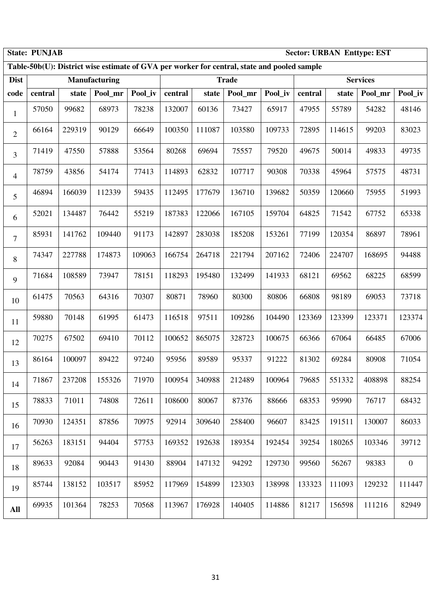|                | <b>State: PUNJAB</b><br><b>Sector: URBAN Enttype: EST</b><br>Table-50b(U): District wise estimate of GVA per worker for central, state and pooled sample |        |                      |         |         |        |              |         |         |        |                 |              |
|----------------|----------------------------------------------------------------------------------------------------------------------------------------------------------|--------|----------------------|---------|---------|--------|--------------|---------|---------|--------|-----------------|--------------|
|                |                                                                                                                                                          |        |                      |         |         |        |              |         |         |        |                 |              |
| <b>Dist</b>    |                                                                                                                                                          |        | <b>Manufacturing</b> |         |         |        | <b>Trade</b> |         |         |        | <b>Services</b> |              |
| code           | central                                                                                                                                                  | state  | Pool_mr              | Pool_iv | central | state  | Pool_mr      | Pool_iv | central | state  | Pool_mr         | Pool_iv      |
| $\mathbf{1}$   | 57050                                                                                                                                                    | 99682  | 68973                | 78238   | 132007  | 60136  | 73427        | 65917   | 47955   | 55789  | 54282           | 48146        |
| $\overline{2}$ | 66164                                                                                                                                                    | 229319 | 90129                | 66649   | 100350  | 111087 | 103580       | 109733  | 72895   | 114615 | 99203           | 83023        |
| $\overline{3}$ | 71419                                                                                                                                                    | 47550  | 57888                | 53564   | 80268   | 69694  | 75557        | 79520   | 49675   | 50014  | 49833           | 49735        |
| $\overline{4}$ | 78759                                                                                                                                                    | 43856  | 54174                | 77413   | 114893  | 62832  | 107717       | 90308   | 70338   | 45964  | 57575           | 48731        |
| 5              | 46894                                                                                                                                                    | 166039 | 112339               | 59435   | 112495  | 177679 | 136710       | 139682  | 50359   | 120660 | 75955           | 51993        |
| 6              | 52021                                                                                                                                                    | 134487 | 76442                | 55219   | 187383  | 122066 | 167105       | 159704  | 64825   | 71542  | 67752           | 65338        |
| $\overline{7}$ | 85931                                                                                                                                                    | 141762 | 109440               | 91173   | 142897  | 283038 | 185208       | 153261  | 77199   | 120354 | 86897           | 78961        |
| 8              | 74347                                                                                                                                                    | 227788 | 174873               | 109063  | 166754  | 264718 | 221794       | 207162  | 72406   | 224707 | 168695          | 94488        |
| 9              | 71684                                                                                                                                                    | 108589 | 73947                | 78151   | 118293  | 195480 | 132499       | 141933  | 68121   | 69562  | 68225           | 68599        |
| 10             | 61475                                                                                                                                                    | 70563  | 64316                | 70307   | 80871   | 78960  | 80300        | 80806   | 66808   | 98189  | 69053           | 73718        |
| 11             | 59880                                                                                                                                                    | 70148  | 61995                | 61473   | 116518  | 97511  | 109286       | 104490  | 123369  | 123399 | 123371          | 123374       |
| 12             | 70275                                                                                                                                                    | 67502  | 69410                | 70112   | 100652  | 865075 | 328723       | 100675  | 66366   | 67064  | 66485           | 67006        |
| 13             | 86164                                                                                                                                                    | 100097 | 89422                | 97240   | 95956   | 89589  | 95337        | 91222   | 81302   | 69284  | 80908           | 71054        |
| 14             | 71867                                                                                                                                                    | 237208 | 155326               | 71970   | 100954  | 340988 | 212489       | 100964  | 79685   | 551332 | 408898          | 88254        |
| 15             | 78833                                                                                                                                                    | 71011  | 74808                | 72611   | 108600  | 80067  | 87376        | 88666   | 68353   | 95990  | 76717           | 68432        |
| 16             | 70930                                                                                                                                                    | 124351 | 87856                | 70975   | 92914   | 309640 | 258400       | 96607   | 83425   | 191511 | 130007          | 86033        |
| 17             | 56263                                                                                                                                                    | 183151 | 94404                | 57753   | 169352  | 192638 | 189354       | 192454  | 39254   | 180265 | 103346          | 39712        |
| 18             | 89633                                                                                                                                                    | 92084  | 90443                | 91430   | 88904   | 147132 | 94292        | 129730  | 99560   | 56267  | 98383           | $\mathbf{0}$ |
| 19             | 85744                                                                                                                                                    | 138152 | 103517               | 85952   | 117969  | 154899 | 123303       | 138998  | 133323  | 111093 | 129232          | 111447       |
| All            | 69935                                                                                                                                                    | 101364 | 78253                | 70568   | 113967  | 176928 | 140405       | 114886  | 81217   | 156598 | 111216          | 82949        |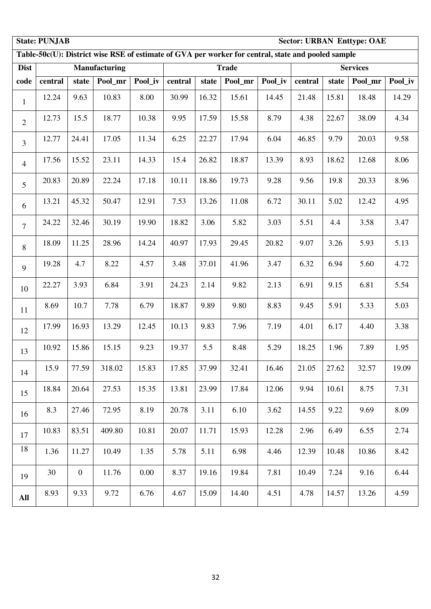|                | <b>State: PUNJAB</b><br><b>Sector: URBAN Enttype: OAE</b><br>Table-50c(U): District wise RSE of estimate of GVA per worker for central, state and pooled sample |                |               |         |         |       |              |         |         |       |                 |         |  |
|----------------|-----------------------------------------------------------------------------------------------------------------------------------------------------------------|----------------|---------------|---------|---------|-------|--------------|---------|---------|-------|-----------------|---------|--|
|                |                                                                                                                                                                 |                |               |         |         |       |              |         |         |       |                 |         |  |
| <b>Dist</b>    |                                                                                                                                                                 |                | Manufacturing |         |         |       | <b>Trade</b> |         |         |       | <b>Services</b> |         |  |
| code           | central                                                                                                                                                         | state          | Pool_mr       | Pool_iv | central | state | Pool_mr      | Pool_iv | central | state | Pool_mr         | Pool_iv |  |
| $\mathbf{1}$   | 12.24                                                                                                                                                           | 9.63           | 10.83         | 8.00    | 30.99   | 16.32 | 15.61        | 14.45   | 21.48   | 15.81 | 18.48           | 14.29   |  |
| $\overline{2}$ | 12.73                                                                                                                                                           | 15.5           | 18.77         | 10.38   | 9.95    | 17.59 | 15.58        | 8.79    | 4.38    | 22.67 | 38.09           | 4.34    |  |
| $\overline{3}$ | 12.77                                                                                                                                                           | 24.41          | 17.05         | 11.34   | 6.25    | 22.27 | 17.94        | 6.04    | 46.85   | 9.79  | 20.03           | 9.58    |  |
| $\overline{4}$ | 17.56                                                                                                                                                           | 15.52          | 23.11         | 14.33   | 15.4    | 26.82 | 18.87        | 13.39   | 8.93    | 18.62 | 12.68           | 8.06    |  |
| 5              | 20.83                                                                                                                                                           | 20.89          | 22.24         | 17.18   | 10.11   | 18.86 | 19.73        | 9.28    | 9.56    | 19.8  | 20.33           | 8.96    |  |
| 6              | 13.21                                                                                                                                                           | 45.32          | 50.47         | 12.91   | 7.53    | 13.26 | 11.08        | 6.72    | 30.11   | 5.02  | 12.42           | 4.95    |  |
| $\overline{7}$ | 24.22                                                                                                                                                           | 32.46          | 30.19         | 19.90   | 18.82   | 3.06  | 5.82         | 3.03    | 5.51    | 4.4   | 3.58            | 3.47    |  |
| 8              | 18.09                                                                                                                                                           | 11.25          | 28.96         | 14.24   | 40.97   | 17.93 | 29.45        | 20.82   | 9.07    | 3.26  | 5.93            | 5.13    |  |
| 9              | 19.28                                                                                                                                                           | 4.7            | 8.22          | 4.57    | 3.48    | 37.01 | 41.96        | 3.47    | 6.32    | 6.94  | 5.60            | 4.72    |  |
| 10             | 22.27                                                                                                                                                           | 3.93           | 6.84          | 3.91    | 24.23   | 2.14  | 9.82         | 2.13    | 6.91    | 9.15  | 6.81            | 5.54    |  |
| 11             | 8.69                                                                                                                                                            | 10.7           | 7.78          | 6.79    | 18.87   | 9.89  | 9.80         | 8.83    | 9.45    | 5.91  | 5.33            | 5.03    |  |
| 12             | 17.99                                                                                                                                                           | 16.93          | 13.29         | 12.45   | 10.13   | 9.83  | 7.96         | 7.19    | 4.01    | 6.17  | 4.40            | 3.38    |  |
| 13             | 10.92                                                                                                                                                           | 15.86          | 15.15         | 9.23    | 19.37   | 5.5   | 8.48         | 5.29    | 18.25   | 1.96  | 7.89            | 1.95    |  |
| 14             | 15.9                                                                                                                                                            | 77.59          | 318.02        | 15.83   | 17.85   | 37.99 | 32.41        | 16.46   | 21.05   | 27.62 | 32.57           | 19.09   |  |
| 15             | 18.84                                                                                                                                                           | 20.64          | 27.53         | 15.35   | 13.81   | 23.99 | 17.84        | 12.06   | 9.94    | 10.61 | 8.75            | 7.31    |  |
| 16             | 8.3                                                                                                                                                             | 27.46          | 72.95         | 8.19    | 20.78   | 3.11  | 6.10         | 3.62    | 14.55   | 9.22  | 9.69            | 8.09    |  |
| 17             | 10.83                                                                                                                                                           | 83.51          | 409.80        | 10.81   | 20.07   | 11.71 | 15.93        | 12.28   | 2.96    | 6.49  | 6.55            | 2.74    |  |
| 18             | 1.36                                                                                                                                                            | 11.27          | 10.49         | 1.35    | 5.78    | 5.11  | 6.98         | 4.46    | 12.39   | 10.48 | 10.86           | 8.42    |  |
| 19             | 30                                                                                                                                                              | $\overline{0}$ | 11.76         | 0.00    | 8.37    | 19.16 | 19.84        | 7.81    | 10.49   | 7.24  | 9.16            | 6.44    |  |
| All            | 8.93                                                                                                                                                            | 9.33           | 9.72          | 6.76    | 4.67    | 15.09 | 14.40        | 4.51    | 4.78    | 14.57 | 13.26           | 4.59    |  |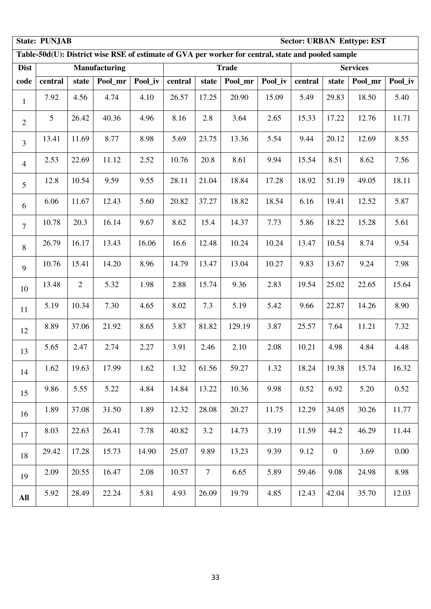|                | <b>State: PUNJAB</b><br><b>Sector: URBAN Enttype: EST</b><br>Table-50d(U): District wise RSE of estimate of GVA per worker for central, state and pooled sample |       |                      |         |         |        |              |         |         |                |                 |         |  |
|----------------|-----------------------------------------------------------------------------------------------------------------------------------------------------------------|-------|----------------------|---------|---------|--------|--------------|---------|---------|----------------|-----------------|---------|--|
|                |                                                                                                                                                                 |       |                      |         |         |        |              |         |         |                |                 |         |  |
| <b>Dist</b>    |                                                                                                                                                                 |       | <b>Manufacturing</b> |         |         |        | <b>Trade</b> |         |         |                | <b>Services</b> |         |  |
| code           | central                                                                                                                                                         | state | Pool mr              | Pool_iv | central | state  | Pool_mr      | Pool_iv | central | state          | Pool_mr         | Pool_iv |  |
| $\mathbf{1}$   | 7.92                                                                                                                                                            | 4.56  | 4.74                 | 4.10    | 26.57   | 17.25  | 20.90        | 15.09   | 5.49    | 29.83          | 18.50           | 5.40    |  |
| $\overline{2}$ | 5                                                                                                                                                               | 26.42 | 40.36                | 4.96    | 8.16    | 2.8    | 3.64         | 2.65    | 15.33   | 17.22          | 12.76           | 11.71   |  |
| $\overline{3}$ | 13.41                                                                                                                                                           | 11.69 | 8.77                 | 8.98    | 5.69    | 23.75  | 13.36        | 5.54    | 9.44    | 20.12          | 12.69           | 8.55    |  |
| $\overline{4}$ | 2.53                                                                                                                                                            | 22.69 | 11.12                | 2.52    | 10.76   | 20.8   | 8.61         | 9.94    | 15.54   | 8.51           | 8.62            | 7.56    |  |
| 5              | 12.8                                                                                                                                                            | 10.54 | 9.59                 | 9.55    | 28.11   | 21.04  | 18.84        | 17.28   | 18.92   | 51.19          | 49.05           | 18.11   |  |
| 6              | 6.06                                                                                                                                                            | 11.67 | 12.43                | 5.60    | 20.82   | 37.27  | 18.82        | 18.54   | 6.16    | 19.41          | 12.52           | 5.87    |  |
| $\overline{7}$ | 10.78                                                                                                                                                           | 20.3  | 16.14                | 9.67    | 8.62    | 15.4   | 14.37        | 7.73    | 5.86    | 18.22          | 15.28           | 5.61    |  |
| 8              | 26.79                                                                                                                                                           | 16.17 | 13.43                | 16.06   | 16.6    | 12.48  | 10.24        | 10.24   | 13.47   | 10.54          | 8.74            | 9.54    |  |
| 9              | 10.76                                                                                                                                                           | 15.41 | 14.20                | 8.96    | 14.79   | 13.47  | 13.04        | 10.27   | 9.83    | 13.67          | 9.24            | 7.98    |  |
| 10             | 13.48                                                                                                                                                           | 2     | 5.32                 | 1.98    | 2.88    | 15.74  | 9.36         | 2.83    | 19.54   | 25.02          | 22.65           | 15.64   |  |
| 11             | 5.19                                                                                                                                                            | 10.34 | 7.30                 | 4.65    | 8.02    | 7.3    | 5.19         | 5.42    | 9.66    | 22.87          | 14.26           | 8.90    |  |
| 12             | 8.89                                                                                                                                                            | 37.06 | 21.92                | 8.65    | 3.87    | 81.82  | 129.19       | 3.87    | 25.57   | 7.64           | 11.21           | 7.32    |  |
| 13             | 5.65                                                                                                                                                            | 2.47  | 2.74                 | 2.27    | 3.91    | 2.46   | 2.10         | 2.08    | 10.21   | 4.98           | 4.84            | 4.48    |  |
| 14             | 1.62                                                                                                                                                            | 19.63 | 17.99                | 1.62    | 1.32    | 61.56  | 59.27        | 1.32    | 18.24   | 19.38          | 15.74           | 16.32   |  |
| 15             | 9.86                                                                                                                                                            | 5.55  | 5.22                 | 4.84    | 14.84   | 13.22  | 10.36        | 9.98    | 0.52    | 6.92           | 5.20            | 0.52    |  |
| 16             | 1.89                                                                                                                                                            | 37.08 | 31.50                | 1.89    | 12.32   | 28.08  | 20.27        | 11.75   | 12.29   | 34.05          | 30.26           | 11.77   |  |
| 17             | 8.03                                                                                                                                                            | 22.63 | 26.41                | 7.78    | 40.82   | 3.2    | 14.73        | 3.19    | 11.59   | 44.2           | 46.29           | 11.44   |  |
| 18             | 29.42                                                                                                                                                           | 17.28 | 15.73                | 14.90   | 25.07   | 9.89   | 13.23        | 9.39    | 9.12    | $\overline{0}$ | 3.69            | 0.00    |  |
| 19             | 2.09                                                                                                                                                            | 20.55 | 16.47                | 2.08    | 10.57   | $\tau$ | 6.65         | 5.89    | 59.46   | 9.08           | 24.98           | 8.98    |  |
| All            | 5.92                                                                                                                                                            | 28.49 | 22.24                | 5.81    | 4.93    | 26.09  | 19.79        | 4.85    | 12.43   | 42.04          | 35.70           | 12.03   |  |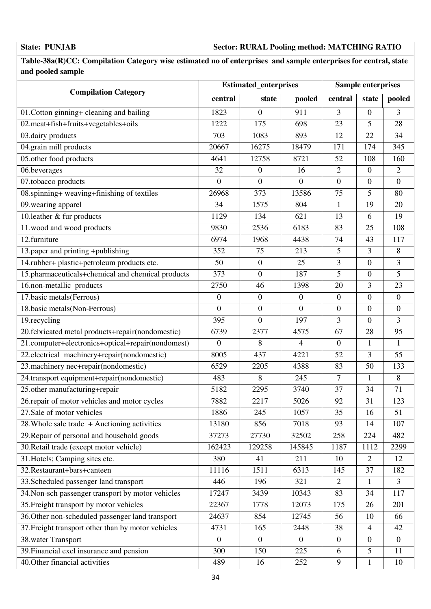### **State: PUNJAB Sector: RURAL Pooling method: MATCHING RATIO**

### **Table-38a(R)CC: Compilation Category wise estimated no of enterprises and sample enterprises for central, state and pooled sample**

|                                                    |                  | <b>Estimated_enterprises</b> |                  |                  | <b>Sample enterprises</b> |                  |
|----------------------------------------------------|------------------|------------------------------|------------------|------------------|---------------------------|------------------|
| <b>Compilation Category</b>                        | central          | state                        | pooled           | central          | state                     | pooled           |
| 01. Cotton ginning+ cleaning and bailing           | 1823             | $\overline{0}$               | 911              | 3                | $\boldsymbol{0}$          | 3                |
| 02.meat+fish+fruits+vegetables+oils                | 1222             | 175                          | 698              | 23               | 5                         | 28               |
| 03.dairy products                                  | 703              | 1083                         | 893              | 12               | 22                        | 34               |
| 04.grain mill products                             | 20667            | 16275                        | 18479            | 171              | 174                       | 345              |
| 05.other food products                             | 4641             | 12758                        | 8721             | 52               | 108                       | 160              |
| 06.beverages                                       | 32               | $\boldsymbol{0}$             | 16               | $\overline{2}$   | $\boldsymbol{0}$          | $\overline{2}$   |
| 07.tobacco products                                | $\overline{0}$   | $\overline{0}$               | $\overline{0}$   | $\boldsymbol{0}$ | $\boldsymbol{0}$          | $\boldsymbol{0}$ |
| 08.spinning+ weaving+finishing of textiles         | 26968            | 373                          | 13586            | 75               | 5                         | 80               |
| 09. wearing apparel                                | 34               | 1575                         | 804              | 1                | 19                        | 20               |
| 10.1eather $\&$ fur products                       | <sup>1</sup> 129 | 134                          | 621              | 13               | 6                         | 19               |
| 11.wood and wood products                          | 9830             | 2536                         | 6183             | 83               | 25                        | 108              |
| 12.furniture                                       | 6974             | 1968                         | 4438             | 74               | 43                        | 117              |
| 13.paper and printing +publishing                  | 352              | 75                           | 213              | 5                | 3                         | 8                |
| 14.rubber+ plastic+petroleum products etc.         | 50               | $\boldsymbol{0}$             | 25               | 3                | $\boldsymbol{0}$          | 3                |
| 15.pharmaceuticals+chemical and chemical products  | 373              | $\overline{0}$               | 187              | 5                | $\boldsymbol{0}$          | 5                |
| 16.non-metallic products                           | 2750             | 46                           | 1398             | 20               | 3                         | 23               |
| 17.basic metals(Ferrous)                           | $\boldsymbol{0}$ | $\boldsymbol{0}$             | $\boldsymbol{0}$ | $\boldsymbol{0}$ | $\boldsymbol{0}$          | $\boldsymbol{0}$ |
| 18. basic metals (Non-Ferrous)                     | $\overline{0}$   | $\boldsymbol{0}$             | $\mathbf{0}$     | $\boldsymbol{0}$ | $\overline{0}$            | $\boldsymbol{0}$ |
| 19.recycling                                       | 395              | $\overline{0}$               | 197              | 3                | $\overline{0}$            | 3                |
| 20.febricated metal products+repair(nondomestic)   | 6739             | 2377                         | 4575             | 67               | 28                        | 95               |
| 21.computer+electronics+optical+repair(nondomest)  | $\overline{0}$   | 8                            | 4                | $\boldsymbol{0}$ | $\mathbf{1}$              | $\mathbf{1}$     |
| 22.electrical machinery+repair(nondomestic)        | 8005             | 437                          | 4221             | 52               | $\overline{3}$            | 55               |
| 23.machinery nec+repair(nondomestic)               | 6529             | 2205                         | 4388             | 83               | 50                        | 133              |
| 24.transport equipment+repair(nondomestic)         | 483              | 8                            | 245              | $\tau$           | $\mathbf{1}$              | 8                |
| 25.other manufacturing+repair                      | 5182             | 2295                         | 3740             | 37               | 34                        | 71               |
| 26.repair of motor vehicles and motor cycles       | 7882             | 2217                         | 5026             | 92               | 31                        | 123              |
| 27. Sale of motor vehicles                         | 1886             | 245                          | 1057             | 35               | 16                        | 51               |
| 28. Whole sale trade $+$ Auctioning activities     | 13180            | 856                          | 7018             | 93               | 14                        | 107              |
| 29. Repair of personal and household goods         | 37273            | 27730                        | 32502            | 258              | 224                       | 482              |
| 30. Retail trade (except motor vehicle)            | 162423           | 129258                       | 145845           | 1187             | 1112                      | 2299             |
| 31. Hotels; Camping sites etc.                     | 380              | 41                           | 211              | 10               | $\overline{2}$            | 12               |
| 32. Restaurant+bars+canteen                        | 11116            | 1511                         | 6313             | 145              | 37                        | 182              |
| 33. Scheduled passenger land transport             | 446              | 196                          | 321              | 2                | 1                         | $\overline{3}$   |
| 34. Non-sch passenger transport by motor vehicles  | 17247            | 3439                         | 10343            | 83               | 34                        | 117              |
| 35. Freight transport by motor vehicles            | 22367            | 1778                         | 12073            | 175              | 26                        | 201              |
| 36. Other non-scheduled passenger land transport   | 24637            | 854                          | 12745            | 56               | 10                        | 66               |
| 37. Freight transport other than by motor vehicles | 4731             | 165                          | 2448             | 38               | $\overline{4}$            | 42               |
| 38. water Transport                                | $\theta$         | $\overline{0}$               | $\overline{0}$   | $\boldsymbol{0}$ | $\mathbf{0}$              | $\overline{0}$   |
| 39. Financial excl insurance and pension           | 300              | 150                          | 225              | 6                | 5                         | 11               |
| 40. Other financial activities                     | 489              | 16                           | 252              | 9                | $\mathbf{1}$              | 10               |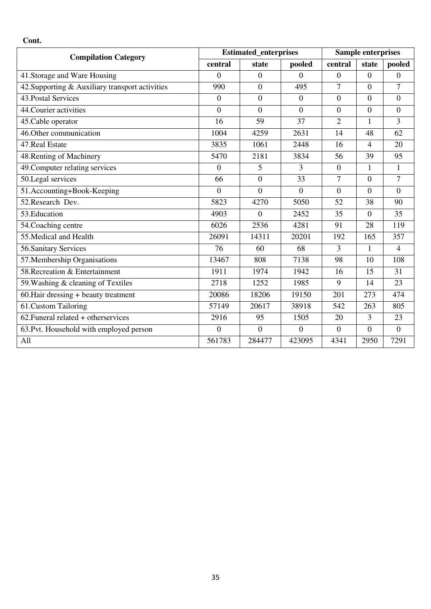| <b>Compilation Category</b>                     |                  | <b>Estimated_enterprises</b> |                  |                  | <b>Sample enterprises</b> |                |
|-------------------------------------------------|------------------|------------------------------|------------------|------------------|---------------------------|----------------|
|                                                 | central          | state                        | pooled           | central          | state                     | pooled         |
| 41. Storage and Ware Housing                    | $\Omega$         | $\Omega$                     | $\overline{0}$   | $\Omega$         | $\overline{0}$            | $\theta$       |
| 42. Supporting & Auxiliary transport activities | 990              | $\overline{0}$               | 495              | $\overline{7}$   | $\overline{0}$            | 7              |
| 43. Postal Services                             | $\boldsymbol{0}$ | $\overline{0}$               | $\overline{0}$   | $\boldsymbol{0}$ | $\overline{0}$            | $\overline{0}$ |
| 44. Courier activities                          | $\overline{0}$   | $\overline{0}$               | $\mathbf{0}$     | $\boldsymbol{0}$ | $\mathbf{0}$              | $\overline{0}$ |
| 45. Cable operator                              | 16               | 59                           | $\overline{37}$  | $\overline{2}$   | $\mathbf{1}$              | 3              |
| 46. Other communication                         | 1004             | 4259                         | 2631             | 14               | 48                        | 62             |
| 47. Real Estate                                 | 3835             | 1061                         | 2448             | 16               | $\overline{4}$            | 20             |
| 48. Renting of Machinery                        | 5470             | 2181                         | 3834             | 56               | 39                        | 95             |
| 49. Computer relating services                  | $\Omega$         | 5                            | 3                | $\boldsymbol{0}$ | 1                         | $\mathbf{1}$   |
| 50.Legal services                               | 66               | $\overline{0}$               | 33               | $\overline{7}$   | $\overline{0}$            | $\overline{7}$ |
| 51.Accounting+Book-Keeping                      | $\overline{0}$   | $\overline{0}$               | $\boldsymbol{0}$ | $\boldsymbol{0}$ | $\overline{0}$            | $\overline{0}$ |
| 52. Research Dev.                               | 5823             | 4270                         | 5050             | 52               | 38                        | 90             |
| 53. Education                                   | 4903             | $\Omega$                     | 2452             | 35               | $\overline{0}$            | 35             |
| 54. Coaching centre                             | 6026             | 2536                         | 4281             | 91               | 28                        | 119            |
| 55. Medical and Health                          | 26091            | 14311                        | 20201            | 192              | 165                       | 357            |
| 56. Sanitary Services                           | 76               | 60                           | 68               | 3                | 1                         | $\overline{4}$ |
| 57. Membership Organisations                    | 13467            | 808                          | 7138             | 98               | 10                        | 108            |
| 58. Recreation & Entertainment                  | 1911             | 1974                         | 1942             | 16               | 15                        | 31             |
| 59. Washing & cleaning of Textiles              | 2718             | 1252                         | 1985             | 9                | 14                        | 23             |
| 60. Hair dressing + beauty treatment            | 20086            | 18206                        | 19150            | 201              | 273                       | 474            |
| 61.Custom Tailoring                             | 57149            | 20617                        | 38918            | 542              | 263                       | 805            |
| $62.$ Funeral related + otherservices           | 2916             | 95                           | 1505             | 20               | 3                         | 23             |
| 63. Pvt. Household with employed person         | $\boldsymbol{0}$ | $\overline{0}$               | $\boldsymbol{0}$ | $\boldsymbol{0}$ | $\overline{0}$            | $\overline{0}$ |
| All                                             | 561783           | 284477                       | 423095           | 4341             | 2950                      | 7291           |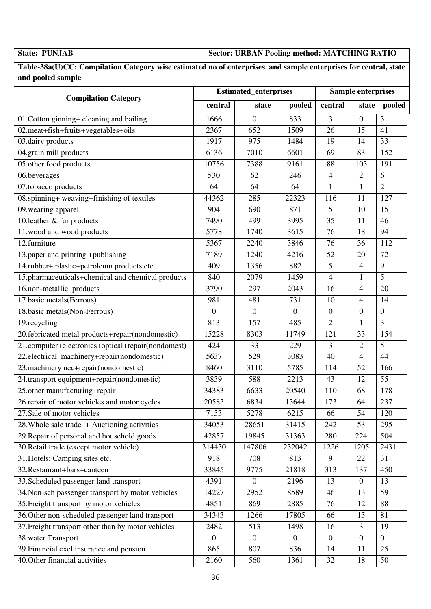**State: PUNJAB Sector: URBAN Pooling method: MATCHING RATIO** 

**Table-38a(U)CC: Compilation Category wise estimated no of enterprises and sample enterprises for central, state and pooled sample** 

|                                                    |                | <b>Estimated_enterprises</b> |                |                  | <b>Sample enterprises</b> |                |
|----------------------------------------------------|----------------|------------------------------|----------------|------------------|---------------------------|----------------|
| <b>Compilation Category</b>                        | central        | state                        | pooled         | central          | state                     | pooled         |
| 01. Cotton ginning+ cleaning and bailing           | 1666           | $\boldsymbol{0}$             | 833            | 3                | $\overline{0}$            | 3              |
| 02.meat+fish+fruits+vegetables+oils                | 2367           | 652                          | 1509           | 26               | 15                        | 41             |
| 03.dairy products                                  | 1917           | 975                          | 1484           | 19               | 14                        | 33             |
| 04.grain mill products                             | 6136           | 7010                         | 6601           | 69               | 83                        | 152            |
| 05.other food products                             | 10756          | 7388                         | 9161           | 88               | 103                       | 191            |
| 06.beverages                                       | 530            | 62                           | 246            | 4                | 2                         | 6              |
| 07.tobacco products                                | 64             | 64                           | 64             | $\mathbf{1}$     | $\mathbf{1}$              | $\overline{2}$ |
| 08.spinning+ weaving+finishing of textiles         | 44362          | 285                          | 22323          | 116              | 11                        | 127            |
| 09. wearing apparel                                | 904            | 690                          | 871            | 5                | 10                        | 15             |
| 10.leather & fur products                          | 7490           | 499                          | 3995           | 35               | 11                        | 46             |
| 11.wood and wood products                          | 5778           | 1740                         | 3615           | 76               | 18                        | 94             |
| 12.furniture                                       | 5367           | 2240                         | 3846           | 76               | 36                        | 112            |
| 13.paper and printing +publishing                  | 7189           | 1240                         | 4216           | 52               | 20                        | 72             |
| 14.rubber+ plastic+petroleum products etc.         | 409            | 1356                         | 882            | 5                | $\overline{4}$            | 9              |
| 15.pharmaceuticals+chemical and chemical products  | 840            | 2079                         | 1459           | 4                | $\mathbf{1}$              | 5              |
| 16.non-metallic products                           | 3790           | 297                          | 2043           | 16               | 4                         | 20             |
| 17.basic metals(Ferrous)                           | 981            | 481                          | 731            | 10               | $\overline{4}$            | 14             |
| 18.basic metals(Non-Ferrous)                       | $\overline{0}$ | $\overline{0}$               | $\overline{0}$ | $\boldsymbol{0}$ | $\overline{0}$            | $\overline{0}$ |
| 19.recycling                                       | 813            | 157                          | 485            | $\overline{2}$   | $\mathbf{1}$              | 3              |
| 20.febricated metal products+repair(nondomestic)   | 15228          | 8303                         | 11749          | 121              | 33                        | 154            |
| 21.computer+electronics+optical+repair(nondomest)  | 424            | 33                           | 229            | 3                | $\overline{2}$            | 5              |
| 22.electrical machinery+repair(nondomestic)        | 5637           | 529                          | 3083           | 40               | $\overline{4}$            | 44             |
| 23. machinery nec+repair(nondomestic)              | 8460           | 3110                         | 5785           | 114              | 52                        | 166            |
| 24.transport equipment+repair(nondomestic)         | 3839           | 588                          | 2213           | 43               | 12                        | 55             |
| 25.other manufacturing+repair                      | 34383          | 6633                         | 20540          | 110              | 68                        | 178            |
| 26.repair of motor vehicles and motor cycles       | 20583          | 6834                         | 13644          | 173              | 64                        | 237            |
| 27. Sale of motor vehicles                         | 7153           | 5278                         | 6215           | 66               | 54                        | 120            |
| 28. Whole sale trade $+$ Auctioning activities     | 34053          | 28651                        | 31415          | 242              | 53                        | 295            |
| 29. Repair of personal and household goods         | 42857          | 19845                        | 31363          | 280              | 224                       | 504            |
| 30. Retail trade (except motor vehicle)            | 314430         | 147806                       | 232042         | 1226             | 1205                      | 2431           |
| 31. Hotels; Camping sites etc.                     | 918            | 708                          | 813            | 9                | 22                        | 31             |
| 32. Restaurant+bars+canteen                        | 33845          | 9775                         | 21818          | 313              | 137                       | 450            |
| 33. Scheduled passenger land transport             | 4391           | $\overline{0}$               | 2196           | 13               | $\mathbf{0}$              | 13             |
| 34. Non-sch passenger transport by motor vehicles  | 14227          | 2952                         | 8589           | 46               | 13                        | 59             |
| 35. Freight transport by motor vehicles            | 4851           | 869                          | 2885           | 76               | 12                        | 88             |
| 36. Other non-scheduled passenger land transport   | 34343          | 1266                         | 17805          | 66               | 15                        | 81             |
| 37. Freight transport other than by motor vehicles | 2482           | 513                          | 1498           | 16               | 3                         | 19             |
| 38. water Transport                                | $\overline{0}$ | $\overline{0}$               | $\overline{0}$ | $\boldsymbol{0}$ | $\overline{0}$            | $\overline{0}$ |
| 39. Financial excl insurance and pension           | 865            | 807                          | 836            | 14               | 11                        | 25             |
| 40. Other financial activities                     | 2160           | 560                          | 1361           | 32               | 18                        | 50             |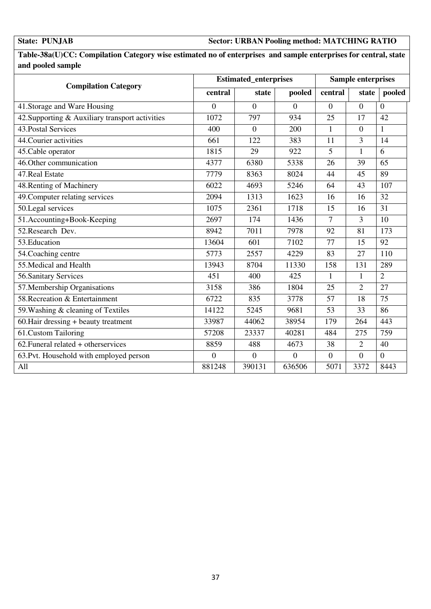### **State: PUNJAB Sector: URBAN Pooling method: MATCHING RATIO**

**Table-38a(U)CC: Compilation Category wise estimated no of enterprises and sample enterprises for central, state and pooled sample** 

| <b>Compilation Category</b>                        |          | <b>Estimated enterprises</b> |                |                  | <b>Sample enterprises</b> |                |
|----------------------------------------------------|----------|------------------------------|----------------|------------------|---------------------------|----------------|
|                                                    | central  | state                        | pooled         | central          | state                     | pooled         |
| 41. Storage and Ware Housing                       | $\theta$ | $\overline{0}$               | $\overline{0}$ | $\overline{0}$   | $\overline{0}$            | $\overline{0}$ |
| 42. Supporting & Auxiliary transport activities    | 1072     | 797                          | 934            | 25               | 17                        | 42             |
| 43. Postal Services                                | 400      | $\overline{0}$               | 200            | $\mathbf{1}$     | $\overline{0}$            | $\mathbf{1}$   |
| 44. Courier activities                             | 661      | 122                          | 383            | 11               | 3                         | 14             |
| 45. Cable operator                                 | 1815     | 29                           | 922            | 5                | $\mathbf{1}$              | 6              |
| 46. Other communication                            | 4377     | 6380                         | 5338           | 26               | 39                        | 65             |
| 47. Real Estate                                    | 7779     | 8363                         | 8024           | 44               | 45                        | 89             |
| 48. Renting of Machinery                           | 6022     | 4693                         | 5246           | 64               | 43                        | 107            |
| 49. Computer relating services                     | 2094     | 1313                         | 1623           | 16               | 16                        | 32             |
| 50.Legal services                                  | 1075     | 2361                         | 1718           | 15               | 16                        | 31             |
| 51.Accounting+Book-Keeping                         | 2697     | 174                          | 1436           | $\overline{7}$   | $\overline{3}$            | 10             |
| 52. Research Dev.                                  | 8942     | 7011                         | 7978           | 92               | 81                        | 173            |
| 53. Education                                      | 13604    | 601                          | 7102           | 77               | 15                        | 92             |
| 54. Coaching centre                                | 5773     | 2557                         | 4229           | 83               | 27                        | 110            |
| 55. Medical and Health                             | 13943    | 8704                         | 11330          | 158              | 131                       | 289            |
| 56. Sanitary Services                              | 451      | 400                          | 425            | 1                | $\mathbf{1}$              | $\overline{2}$ |
| 57. Membership Organisations                       | 3158     | 386                          | 1804           | 25               | $\overline{2}$            | 27             |
| 58. Recreation & Entertainment                     | 6722     | 835                          | 3778           | 57               | 18                        | 75             |
| 59. Washing & cleaning of Textiles                 | 14122    | 5245                         | 9681           | 53               | 33                        | 86             |
| $\overline{60}$ . Hair dressing + beauty treatment | 33987    | 44062                        | 38954          | 179              | 264                       | 443            |
| 61.Custom Tailoring                                | 57208    | 23337                        | 40281          | 484              | 275                       | 759            |
| 62. Funeral related + otherservices                | 8859     | 488                          | 4673           | 38               | $\overline{2}$            | 40             |
| 63. Pvt. Household with employed person            | $\theta$ | $\overline{0}$               | $\overline{0}$ | $\boldsymbol{0}$ | $\overline{0}$            | $\overline{0}$ |
| All                                                | 881248   | 390131                       | 636506         | 5071             | 3372                      | 8443           |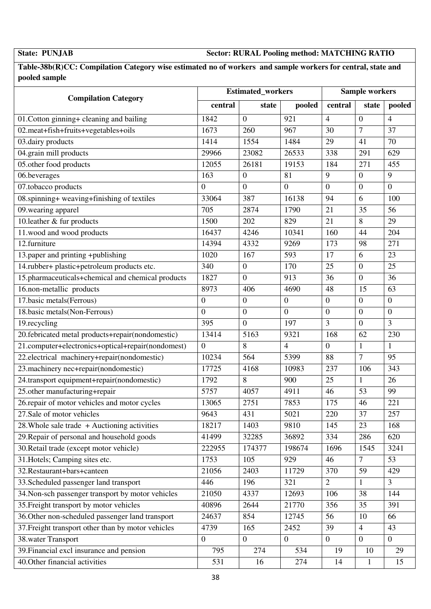**State: PUNJAB Sector: RURAL Pooling method: MATCHING RATIO** 

**Table-38b(R)CC: Compilation Category wise estimated no of workers and sample workers for central, state and pooled sample** 

|                                                    |                  | <b>Estimated_workers</b> |                  |                  | <b>Sample workers</b> |                  |  |
|----------------------------------------------------|------------------|--------------------------|------------------|------------------|-----------------------|------------------|--|
| <b>Compilation Category</b>                        | central          | state                    | pooled           | central          | state                 | pooled           |  |
| 01. Cotton ginning+ cleaning and bailing           | 1842             | $\overline{0}$           | 921              | $\overline{4}$   | $\overline{0}$        | $\overline{4}$   |  |
| 02.meat+fish+fruits+vegetables+oils                | 1673             | 260                      | 967              | 30               | $\overline{7}$        | 37               |  |
| 03.dairy products                                  | 1414             | 1554                     | 1484             | 29               | 41                    | 70               |  |
| 04.grain mill products                             | 29966            | 23082                    | 26533            | 338              | 291                   | 629              |  |
| 05.other food products                             | 12055            | 26181                    | 19153            | 184              | 271                   | 455              |  |
| 06.beverages                                       | 163              | $\boldsymbol{0}$         | 81               | 9                | $\mathbf{0}$          | 9                |  |
| 07.tobacco products                                | $\mathbf{0}$     | $\overline{0}$           | $\boldsymbol{0}$ | $\boldsymbol{0}$ | $\overline{0}$        | $\boldsymbol{0}$ |  |
| 08.spinning+ weaving+finishing of textiles         | 33064            | 387                      | 16138            | 94               | 6                     | 100              |  |
| 09. wearing apparel                                | 705              | 2874                     | 1790             | 21               | 35                    | 56               |  |
| 10.1eather $\&$ fur products                       | 1500             | 202                      | 829              | 21               | 8                     | 29               |  |
| 11.wood and wood products                          | 16437            | 4246                     | 10341            | 160              | 44                    | 204              |  |
| 12.furniture                                       | 14394            | 4332                     | 9269             | 173              | 98                    | 271              |  |
| 13.paper and printing +publishing                  | 1020             | 167                      | 593              | 17               | 6                     | 23               |  |
| 14.rubber+ plastic+petroleum products etc.         | 340              | $\boldsymbol{0}$         | 170              | 25               | $\boldsymbol{0}$      | 25               |  |
| 15.pharmaceuticals+chemical and chemical products  | 1827             | $\overline{0}$           | 913              | 36               | $\overline{0}$        | 36               |  |
| 16.non-metallic products                           | 8973             | 406                      | 4690             | 48               | 15                    | 63               |  |
| 17.basic metals(Ferrous)                           | $\boldsymbol{0}$ | $\overline{0}$           | $\boldsymbol{0}$ | $\boldsymbol{0}$ | $\overline{0}$        | $\overline{0}$   |  |
| 18.basic metals(Non-Ferrous)                       | $\overline{0}$   | $\overline{0}$           | $\overline{0}$   | $\boldsymbol{0}$ | $\overline{0}$        | $\overline{0}$   |  |
| 19.recycling                                       | 395              | $\overline{0}$           | 197              | 3                | $\overline{0}$        | $\overline{3}$   |  |
| 20.febricated metal products+repair(nondomestic)   | 13414            | 5163                     | 9321             | 168              | 62                    | 230              |  |
| 21.computer+electronics+optical+repair(nondomest)  | $\overline{0}$   | 8                        | $\overline{4}$   | $\boldsymbol{0}$ | $\mathbf{1}$          | $\mathbf{1}$     |  |
| 22.electrical machinery+repair(nondomestic)        | 10234            | 564                      | 5399             | 88               | $\overline{7}$        | 95               |  |
| 23. machinery nec+repair(nondomestic)              | 17725            | 4168                     | 10983            | 237              | 106                   | 343              |  |
| 24.transport equipment+repair(nondomestic)         | 1792             | 8                        | 900              | 25               | 1                     | 26               |  |
| 25.other manufacturing+repair                      | 5757             | 4057                     | 4911             | 46               | 53                    | 99               |  |
| 26.repair of motor vehicles and motor cycles       | 13065            | 2751                     | 7853             | 175              | 46                    | 221              |  |
| 27.Sale of motor vehicles                          | 9643             | 431                      | 5021             | 220              | 37                    | 257              |  |
| 28. Whole sale trade + Auctioning activities       | 18217            | 1403                     | 9810             | 145              | 23                    | 168              |  |
| 29. Repair of personal and household goods         | 41499            | 32285                    | 36892            | 334              | 286                   | 620              |  |
| 30. Retail trade (except motor vehicle)            | 222955           | 174377                   | 198674           | 1696             | 1545                  | 3241             |  |
| 31. Hotels; Camping sites etc.                     | 1753             | 105                      | 929              | 46               | $7\phantom{.0}$       | 53               |  |
| 32. Restaurant+bars+canteen                        | 21056            | 2403                     | 11729            | 370              | 59                    | 429              |  |
| 33. Scheduled passenger land transport             | 446              | 196                      | 321              | $\overline{2}$   | $\mathbf{1}$          | 3                |  |
| 34. Non-sch passenger transport by motor vehicles  | 21050            | 4337                     | 12693            | 106              | 38                    | 144              |  |
| 35. Freight transport by motor vehicles            | 40896            | 2644                     | 21770            | 356              | 35                    | 391              |  |
| 36. Other non-scheduled passenger land transport   | 24637            | 854                      | 12745            | 56               | 10                    | 66               |  |
| 37. Freight transport other than by motor vehicles | 4739             | 165                      | 2452             | 39               | $\overline{4}$        | 43               |  |
| 38. water Transport                                | $\boldsymbol{0}$ | $\overline{0}$           | $\boldsymbol{0}$ | $\boldsymbol{0}$ | $\mathbf{0}$          | $\mathbf{0}$     |  |
| 39. Financial excl insurance and pension           | 795              | 274                      | 534              | 19               | 10                    | 29               |  |
| 40. Other financial activities                     | 531              | 16                       | 274              | 14               | $\mathbf{1}$          | 15               |  |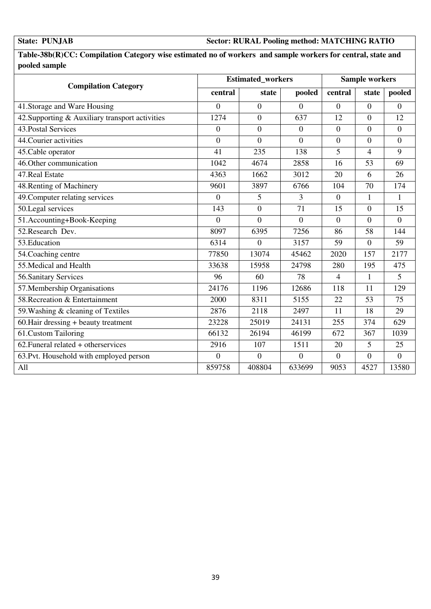### **State: PUNJAB Sector: RURAL Pooling method: MATCHING RATIO**

**Table-38b(R)CC: Compilation Category wise estimated no of workers and sample workers for central, state and pooled sample** 

| <b>Compilation Category</b>                     |                  | <b>Estimated_workers</b> |                 |                  |                | <b>Sample workers</b> |  |  |
|-------------------------------------------------|------------------|--------------------------|-----------------|------------------|----------------|-----------------------|--|--|
|                                                 | central          | state                    | pooled          | central          | state          | pooled                |  |  |
| 41. Storage and Ware Housing                    | $\theta$         | $\theta$                 | $\Omega$        | $\overline{0}$   | $\Omega$       | $\Omega$              |  |  |
| 42. Supporting & Auxiliary transport activities | 1274             | $\theta$                 | 637             | 12               | $\overline{0}$ | 12                    |  |  |
| 43. Postal Services                             | $\boldsymbol{0}$ | $\overline{0}$           | $\overline{0}$  | $\boldsymbol{0}$ | $\overline{0}$ | $\overline{0}$        |  |  |
| 44. Courier activities                          | $\overline{0}$   | $\theta$                 | $\theta$        | $\overline{0}$   | $\theta$       | $\theta$              |  |  |
| 45. Cable operator                              | 41               | 235                      | 138             | 5                | 4              | $\mathbf Q$           |  |  |
| 46. Other communication                         | 1042             | 4674                     | 2858            | 16               | 53             | 69                    |  |  |
| 47. Real Estate                                 | 4363             | 1662                     | 3012            | 20               | 6              | 26                    |  |  |
| 48. Renting of Machinery                        | 9601             | 3897                     | 6766            | 104              | 70             | 174                   |  |  |
| 49. Computer relating services                  | $\overline{0}$   | 5                        | 3               | $\overline{0}$   | 1              | $\mathbf{1}$          |  |  |
| 50.Legal services                               | 143              | $\overline{0}$           | $\overline{71}$ | 15               | $\overline{0}$ | 15                    |  |  |
| 51.Accounting+Book-Keeping                      | $\overline{0}$   | $\overline{0}$           | $\overline{0}$  | $\overline{0}$   | $\overline{0}$ | $\overline{0}$        |  |  |
| 52. Research Dev.                               | 8097             | 6395                     | 7256            | 86               | 58             | 144                   |  |  |
| 53. Education                                   | 6314             | $\overline{0}$           | 3157            | 59               | $\overline{0}$ | 59                    |  |  |
| 54. Coaching centre                             | 77850            | 13074                    | 45462           | 2020             | 157            | 2177                  |  |  |
| 55. Medical and Health                          | 33638            | 15958                    | 24798           | 280              | 195            | 475                   |  |  |
| 56. Sanitary Services                           | 96               | 60                       | 78              | 4                | 1              | 5                     |  |  |
| 57. Membership Organisations                    | 24176            | 1196                     | 12686           | 118              | 11             | 129                   |  |  |
| 58. Recreation & Entertainment                  | 2000             | 8311                     | 5155            | 22               | 53             | 75                    |  |  |
| 59. Washing & cleaning of Textiles              | 2876             | 2118                     | 2497            | 11               | 18             | 29                    |  |  |
| 60. Hair dressing + beauty treatment            | 23228            | 25019                    | 24131           | 255              | 374            | 629                   |  |  |
| 61.Custom Tailoring                             | 66132            | 26194                    | 46199           | 672              | 367            | 1039                  |  |  |
| $62.$ Funeral related + otherservices           | 2916             | 107                      | 1511            | 20               | 5              | 25                    |  |  |
| 63. Pvt. Household with employed person         | $\boldsymbol{0}$ | $\overline{0}$           | $\theta$        | $\boldsymbol{0}$ | $\overline{0}$ | $\overline{0}$        |  |  |
| All                                             | 859758           | 408804                   | 633699          | 9053             | 4527           | 13580                 |  |  |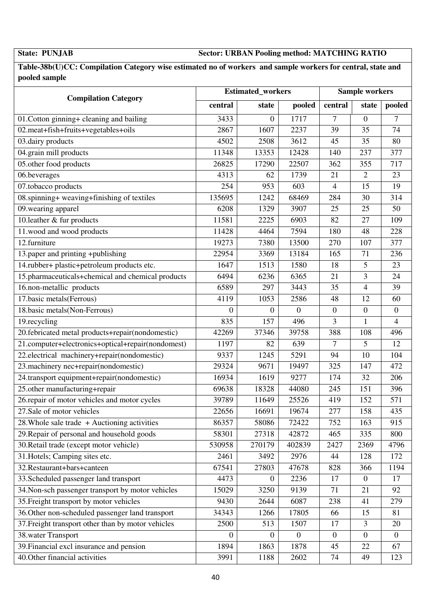**State: PUNJAB Sector: URBAN Pooling method: MATCHING RATIO** 

**Table-38b(U)CC: Compilation Category wise estimated no of workers and sample workers for central, state and pooled sample** 

|                                                    | <b>Estimated_workers</b> | <b>Sample workers</b> |              |                  |                  |                  |
|----------------------------------------------------|--------------------------|-----------------------|--------------|------------------|------------------|------------------|
| <b>Compilation Category</b>                        | central                  | state                 | pooled       | central          | state            | pooled           |
| 01. Cotton ginning+ cleaning and bailing           | 3433                     | 0                     | 1717         | 7                | $\overline{0}$   | 7                |
| 02.meat+fish+fruits+vegetables+oils                | 2867                     | 1607                  | 2237         | 39               | 35               | 74               |
| 03.dairy products                                  | 4502                     | 2508                  | 3612         | 45               | 35               | 80               |
| 04.grain mill products                             | 11348                    | 13353                 | 12428        | 140              | 237              | 377              |
| 05.other food products                             | 26825                    | 17290                 | 22507        | 362              | 355              | 717              |
| 06.beverages                                       | 4313                     | 62                    | 1739         | 21               | 2                | 23               |
| 07.tobacco products                                | 254                      | 953                   | 603          | $\overline{4}$   | 15               | 19               |
| 08.spinning+ weaving+finishing of textiles         | 135695                   | 1242                  | 68469        | 284              | 30               | 314              |
| 09. wearing apparel                                | 6208                     | 1329                  | 3907         | 25               | 25               | 50               |
| 10. leather $&$ fur products                       | 11581                    | 2225                  | 6903         | 82               | 27               | 109              |
| 11.wood and wood products                          | 11428                    | 4464                  | 7594         | 180              | 48               | 228              |
| 12.furniture                                       | 19273                    | 7380                  | 13500        | 270              | 107              | 377              |
| $\overline{13}$ .paper and printing +publishing    | 22954                    | 3369                  | 13184        | 165              | 71               | 236              |
| 14.rubber+ plastic+petroleum products etc.         | 1647                     | 1513                  | 1580         | 18               | 5                | 23               |
| 15.pharmaceuticals+chemical and chemical products  | 6494                     | 6236                  | 6365         | 21               | 3                | 24               |
| 16.non-metallic products                           | 6589                     | 297                   | 3443         | 35               | 4                | 39               |
| 17.basic metals(Ferrous)                           | 4119                     | 1053                  | 2586         | 48               | 12               | 60               |
| 18.basic metals(Non-Ferrous)                       | $\Omega$                 | 0                     | $\mathbf{0}$ | $\boldsymbol{0}$ | $\boldsymbol{0}$ | $\boldsymbol{0}$ |
| 19.recycling                                       | 835                      | 157                   | 496          | 3                | 1                | $\overline{4}$   |
| 20.febricated metal products+repair(nondomestic)   | 42269                    | 37346                 | 39758        | 388              | 108              | 496              |
| 21.computer+electronics+optical+repair(nondomest)  | 1197                     | 82                    | 639          | 7                | 5                | 12               |
| 22.electrical machinery+repair(nondomestic)        | 9337                     | 1245                  | 5291         | 94               | 10               | 104              |
| 23. machinery nec+repair(nondomestic)              | 29324                    | 9671                  | 19497        | 325              | 147              | 472              |
| 24.transport equipment+repair(nondomestic)         | 16934                    | 1619                  | 9277         | 174              | 32               | 206              |
| 25.other manufacturing+repair                      | 69638                    | 18328                 | 44080        | 245              | 151              | 396              |
| 26.repair of motor vehicles and motor cycles       | 39789                    | 11649                 | 25526        | 419              | 152              | 571              |
| 27. Sale of motor vehicles                         | 22656                    | 16691                 | 19674        | 277              | 158              | 435              |
| 28. Whole sale trade $+$ Auctioning activities     | 86357                    | 58086                 | 72422        | 752              | 163              | 915              |
| 29. Repair of personal and household goods         | 58301                    | 27318                 | 42872        | 465              | 335              | 800              |
| 30. Retail trade (except motor vehicle)            | 530958                   | 270179                | 402839       | 2427             | 2369             | 4796             |
| 31. Hotels; Camping sites etc.                     | 2461                     | 3492                  | 2976         | 44               | 128              | 172              |
| 32. Restaurant+bars+canteen                        | 67541                    | 27803                 | 47678        | 828              | 366              | 1194             |
| 33. Scheduled passenger land transport             | 4473                     | $\overline{0}$        | 2236         | 17               | $\boldsymbol{0}$ | 17               |
| 34. Non-sch passenger transport by motor vehicles  | 15029                    | 3250                  | 9139         | 71               | 21               | 92               |
| 35. Freight transport by motor vehicles            | 9430                     | 2644                  | 6087         | 238              | 41               | 279              |
| 36. Other non-scheduled passenger land transport   | 34343                    | 1266                  | 17805        | 66               | 15               | 81               |
| 37. Freight transport other than by motor vehicles | 2500                     | 513                   | 1507         | 17               | 3                | 20               |
| 38. water Transport                                | $\theta$                 | $^{(1)}$              | $\mathbf{0}$ | $\overline{0}$   | $\Omega$         | $\theta$         |
| 39. Financial excl insurance and pension           | 1894                     | 1863                  | 1878         | 45               | 22               | 67               |
| 40. Other financial activities                     | 3991                     | 1188                  | 2602         | 74               | 49               | 123              |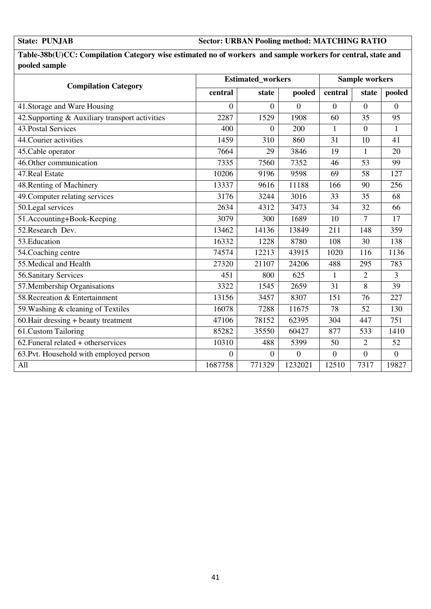### **State: PUNJAB Sector: URBAN Pooling method: MATCHING RATIO**

**Table-38b(U)CC: Compilation Category wise estimated no of workers and sample workers for central, state and pooled sample** 

| <b>Compilation Category</b>                     |                | <b>Estimated_workers</b> |                |                  |                  | <b>Sample workers</b> |  |  |
|-------------------------------------------------|----------------|--------------------------|----------------|------------------|------------------|-----------------------|--|--|
|                                                 | central        | state                    | pooled         | central          | state            | pooled                |  |  |
| 41. Storage and Ware Housing                    | $\overline{0}$ | $\overline{0}$           | $\overline{0}$ | $\overline{0}$   | $\overline{0}$   | $\overline{0}$        |  |  |
| 42. Supporting & Auxiliary transport activities | 2287           | 1529                     | 1908           | 60               | 35               | 95                    |  |  |
| 43. Postal Services                             | 400            | $\overline{0}$           | 200            | $\mathbf{1}$     | $\boldsymbol{0}$ | $\mathbf{1}$          |  |  |
| 44. Courier activities                          | 1459           | 310                      | 860            | 31               | 10               | 41                    |  |  |
| $\overline{45}$ . Cable operator                | 7664           | 29                       | 3846           | 19               | $\mathbf{1}$     | 20                    |  |  |
| 46. Other communication                         | 7335           | 7560                     | 7352           | 46               | 53               | 99                    |  |  |
| 47. Real Estate                                 | 10206          | 9196                     | 9598           | 69               | 58               | 127                   |  |  |
| 48. Renting of Machinery                        | 13337          | 9616                     | 11188          | 166              | 90               | 256                   |  |  |
| 49. Computer relating services                  | 3176           | 3244                     | 3016           | 33               | 35               | 68                    |  |  |
| 50.Legal services                               | 2634           | 4312                     | 3473           | 34               | 32               | 66                    |  |  |
| 51.Accounting+Book-Keeping                      | 3079           | 300                      | 1689           | 10               | $\overline{7}$   | 17                    |  |  |
| 52. Research Dev.                               | 13462          | 14136                    | 13849          | 211              | 148              | 359                   |  |  |
| 53. Education                                   | 16332          | 1228                     | 8780           | 108              | 30               | 138                   |  |  |
| 54. Coaching centre                             | 74574          | 12213                    | 43915          | 1020             | 116              | 1136                  |  |  |
| 55. Medical and Health                          | 27320          | 21107                    | 24206          | 488              | 295              | 783                   |  |  |
| 56. Sanitary Services                           | 451            | 800                      | 625            | $\mathbf{1}$     | $\overline{2}$   | 3                     |  |  |
| 57. Membership Organisations                    | 3322           | 1545                     | 2659           | 31               | 8                | 39                    |  |  |
| 58. Recreation & Entertainment                  | 13156          | 3457                     | 8307           | 151              | 76               | 227                   |  |  |
| 59. Washing & cleaning of Textiles              | 16078          | 7288                     | 11675          | 78               | 52               | 130                   |  |  |
| $60.$ Hair dressing + beauty treatment          | 47106          | 78152                    | 62395          | 304              | 447              | 751                   |  |  |
| 61.Custom Tailoring                             | 85282          | 35550                    | 60427          | 877              | 533              | 1410                  |  |  |
| $62.$ Funeral related + otherservices           | 10310          | 488                      | 5399           | 50               | $\overline{2}$   | 52                    |  |  |
| 63. Pvt. Household with employed person         | $\theta$       | $\overline{0}$           | $\overline{0}$ | $\boldsymbol{0}$ | $\overline{0}$   | $\overline{0}$        |  |  |
| All                                             | 1687758        | 771329                   | 1232021        | 12510            | 7317             | 19827                 |  |  |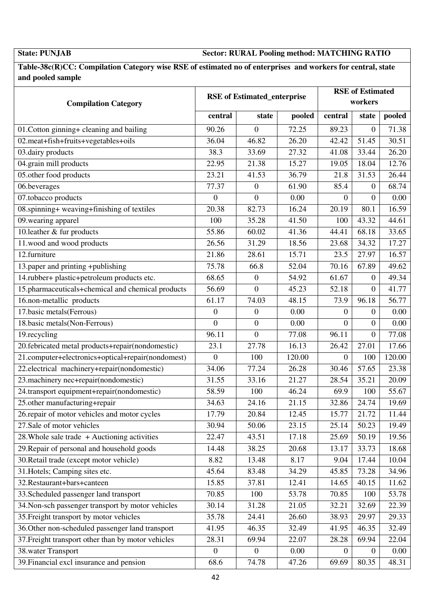**State: PUNJAB Sector: RURAL Pooling method: MATCHING RATIO** 

**Table-38c(R)CC: Compilation Category wise RSE of estimated no of enterprises and workers for central, state and pooled sample** 

| <b>Compilation Category</b>                        | <b>RSE</b> of Estimated_enterprise |                  |        |                  | <b>RSE</b> of Estimated<br>workers |        |  |  |
|----------------------------------------------------|------------------------------------|------------------|--------|------------------|------------------------------------|--------|--|--|
|                                                    | central                            | state            | pooled | central          | state                              | pooled |  |  |
| 01. Cotton ginning+ cleaning and bailing           | 90.26                              | $\boldsymbol{0}$ | 72.25  | 89.23            | $\overline{0}$                     | 71.38  |  |  |
| 02.meat+fish+fruits+vegetables+oils                | 36.04                              | 46.82            | 26.20  | 42.42            | 51.45                              | 30.51  |  |  |
| 03.dairy products                                  | 38.3                               | 33.69            | 27.32  | 41.08            | 33.44                              | 26.20  |  |  |
| 04.grain mill products                             | 22.95                              | 21.38            | 15.27  | 19.05            | 18.04                              | 12.76  |  |  |
| 05.other food products                             | 23.21                              | 41.53            | 36.79  | 21.8             | 31.53                              | 26.44  |  |  |
| 06.beverages                                       | 77.37                              | $\boldsymbol{0}$ | 61.90  | 85.4             | $\mathbf{0}$                       | 68.74  |  |  |
| 07.tobacco products                                | $\mathbf{0}$                       | $\boldsymbol{0}$ | 0.00   | $\overline{0}$   | $\overline{0}$                     | 0.00   |  |  |
| 08.spinning+ weaving+finishing of textiles         | 20.38                              | 82.73            | 16.24  | 20.19            | 80.1                               | 16.59  |  |  |
| 09. wearing apparel                                | 100                                | 35.28            | 41.50  | 100              | 43.32                              | 44.61  |  |  |
| 10.leather & fur products                          | 55.86                              | 60.02            | 41.36  | 44.41            | 68.18                              | 33.65  |  |  |
| 11.wood and wood products                          | 26.56                              | 31.29            | 18.56  | 23.68            | 34.32                              | 17.27  |  |  |
| 12.furniture                                       | 21.86                              | 28.61            | 15.71  | 23.5             | 27.97                              | 16.57  |  |  |
| 13.paper and printing +publishing                  | 75.78                              | 66.8             | 52.04  | 70.16            | 67.89                              | 49.62  |  |  |
| 14.rubber+ plastic+petroleum products etc.         | 68.65                              | $\boldsymbol{0}$ | 54.92  | 61.67            | $\overline{0}$                     | 49.34  |  |  |
| 15.pharmaceuticals+chemical and chemical products  | 56.69                              | $\overline{0}$   | 45.23  | 52.18            | $\overline{0}$                     | 41.77  |  |  |
| 16.non-metallic products                           | 61.17                              | 74.03            | 48.15  | 73.9             | 96.18                              | 56.77  |  |  |
| 17.basic metals(Ferrous)                           | $\boldsymbol{0}$                   | $\boldsymbol{0}$ | 0.00   | 0                | $\overline{0}$                     | 0.00   |  |  |
| 18.basic metals(Non-Ferrous)                       | $\overline{0}$                     | $\overline{0}$   | 0.00   | $\Omega$         | $\overline{0}$                     | 0.00   |  |  |
| 19.recycling                                       | 96.11                              | $\boldsymbol{0}$ | 77.08  | 96.11            | $\mathbf{0}$                       | 77.08  |  |  |
| 20.febricated metal products+repair(nondomestic)   | 23.1                               | 27.78            | 16.13  | 26.42            | 27.01                              | 17.66  |  |  |
| 21.computer+electronics+optical+repair(nondomest)  | $\overline{0}$                     | 100              | 120.00 | $\boldsymbol{0}$ | 100                                | 120.00 |  |  |
| 22.electrical machinery+repair(nondomestic)        | 34.06                              | 77.24            | 26.28  | 30.46            | 57.65                              | 23.38  |  |  |
| 23.machinery nec+repair(nondomestic)               | 31.55                              | 33.16            | 21.27  | 28.54            | 35.21                              | 20.09  |  |  |
| 24.transport equipment+repair(nondomestic)         | 58.59                              | 100              | 46.24  | 69.9             | 100                                | 55.67  |  |  |
| 25.other manufacturing+repair                      | 34.63                              | 24.16            | 21.15  | 32.86            | 24.74                              | 19.69  |  |  |
| 26. repair of motor vehicles and motor cycles      | 17.79                              | 20.84            | 12.45  | 15.77            | 21.72                              | 11.44  |  |  |
| 27.Sale of motor vehicles                          | 30.94                              | 50.06            | 23.15  | 25.14            | 50.23                              | 19.49  |  |  |
| 28. Whole sale trade $+$ Auctioning activities     | 22.47                              | 43.51            | 17.18  | 25.69            | 50.19                              | 19.56  |  |  |
| 29. Repair of personal and household goods         | 14.48                              | 38.25            | 20.68  | 13.17            | 33.73                              | 18.68  |  |  |
| 30. Retail trade (except motor vehicle)            | 8.82                               | 13.48            | 8.17   | 9.04             | 17.44                              | 10.04  |  |  |
| 31. Hotels; Camping sites etc.                     | 45.64                              | 83.48            | 34.29  | 45.85            | 73.28                              | 34.96  |  |  |
| 32. Restaurant+bars+canteen                        | 15.85                              | 37.81            | 12.41  | 14.65            | 40.15                              | 11.62  |  |  |
| 33. Scheduled passenger land transport             | 70.85                              | 100              | 53.78  | 70.85            | 100                                | 53.78  |  |  |
| 34. Non-sch passenger transport by motor vehicles  | 30.14                              | 31.28            | 21.05  | 32.21            | 32.69                              | 22.39  |  |  |
| 35. Freight transport by motor vehicles            | 35.78                              | 24.41            | 26.60  | 38.93            | 29.97                              | 29.33  |  |  |
| 36. Other non-scheduled passenger land transport   | 41.95                              | 46.35            | 32.49  | 41.95            | 46.35                              | 32.49  |  |  |
| 37. Freight transport other than by motor vehicles | 28.31                              | 69.94            | 22.07  | 28.28            | 69.94                              | 22.04  |  |  |
| 38. water Transport                                | $\boldsymbol{0}$                   | $\boldsymbol{0}$ | 0.00   | $\overline{0}$   | $\overline{0}$                     | 0.00   |  |  |
| 39. Financial excl insurance and pension           | 68.6                               | 74.78            | 47.26  | 69.69            | 80.35                              | 48.31  |  |  |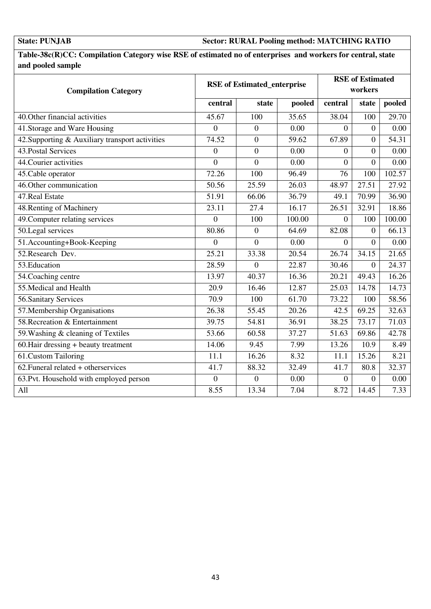### **State: PUNJAB Sector: RURAL Pooling method: MATCHING RATIO**

**Table-38c(R)CC: Compilation Category wise RSE of estimated no of enterprises and workers for central, state and pooled sample** 

| <b>Compilation Category</b>                     | <b>RSE</b> of Estimated_enterprise |                |        | <b>RSE</b> of Estimated<br>workers |                  |                    |
|-------------------------------------------------|------------------------------------|----------------|--------|------------------------------------|------------------|--------------------|
|                                                 | central                            | state          | pooled | central                            | state            | pooled             |
| 40. Other financial activities                  | 45.67                              | 100            | 35.65  | 38.04                              | 100              | 29.70              |
| 41. Storage and Ware Housing                    | $\overline{0}$                     | $\overline{0}$ | 0.00   | $\Omega$                           | $\overline{0}$   | 0.00               |
| 42. Supporting & Auxiliary transport activities | 74.52                              | $\overline{0}$ | 59.62  | 67.89                              | $\theta$         | 54.31              |
| 43. Postal Services                             | $\boldsymbol{0}$                   | $\mathbf{0}$   | 0.00   | $\theta$                           | $\overline{0}$   | 0.00               |
| 44. Courier activities                          | $\overline{0}$                     | $\theta$       | 0.00   | $\theta$                           | $\theta$         | 0.00               |
| 45. Cable operator                              | 72.26                              | 100            | 96.49  | 76                                 | 100              | 102.57             |
| 46. Other communication                         | 50.56                              | 25.59          | 26.03  | 48.97                              | 27.51            | 27.92              |
| 47. Real Estate                                 | $\overline{5}1.91$                 | 66.06          | 36.79  | 49.1                               | 70.99            | 36.90              |
| 48. Renting of Machinery                        | 23.11                              | 27.4           | 16.17  | 26.51                              | 32.91            | 18.86              |
| 49. Computer relating services                  | $\overline{0}$                     | 100            | 100.00 | $\overline{0}$                     | 100              | 100.00             |
| 50.Legal services                               | 80.86                              | $\overline{0}$ | 64.69  | 82.08                              | $\Omega$         | 66.13              |
| 51.Accounting+Book-Keeping                      | 0                                  | $\theta$       | 0.00   | $\Omega$                           | $\Omega$         | 0.00               |
| 52. Research Dev.                               | 25.21                              | 33.38          | 20.54  | 26.74                              | 34.15            | $\overline{21.65}$ |
| 53. Education                                   | 28.59                              | $\overline{0}$ | 22.87  | 30.46                              | $\boldsymbol{0}$ | 24.37              |
| 54. Coaching centre                             | 13.97                              | 40.37          | 16.36  | 20.21                              | 49.43            | 16.26              |
| 55. Medical and Health                          | 20.9                               | 16.46          | 12.87  | 25.03                              | 14.78            | 14.73              |
| 56. Sanitary Services                           | 70.9                               | 100            | 61.70  | 73.22                              | 100              | 58.56              |
| 57. Membership Organisations                    | 26.38                              | 55.45          | 20.26  | 42.5                               | 69.25            | 32.63              |
| 58. Recreation & Entertainment                  | 39.75                              | 54.81          | 36.91  | 38.25                              | 73.17            | 71.03              |
| 59. Washing & cleaning of Textiles              | 53.66                              | 60.58          | 37.27  | 51.63                              | 69.86            | 42.78              |
| 60. Hair dressing + beauty treatment            | 14.06                              | 9.45           | 7.99   | 13.26                              | 10.9             | 8.49               |
| 61.Custom Tailoring                             | 11.1                               | 16.26          | 8.32   | 11.1                               | 15.26            | 8.21               |
| 62. Funeral related + otherservices             | 41.7                               | 88.32          | 32.49  | 41.7                               | 80.8             | 32.37              |
| 63. Pvt. Household with employed person         | $\boldsymbol{0}$                   | $\overline{0}$ | 0.00   | $\overline{0}$                     | $\Omega$         | 0.00               |
| All                                             | 8.55                               | 13.34          | 7.04   | 8.72                               | 14.45            | 7.33               |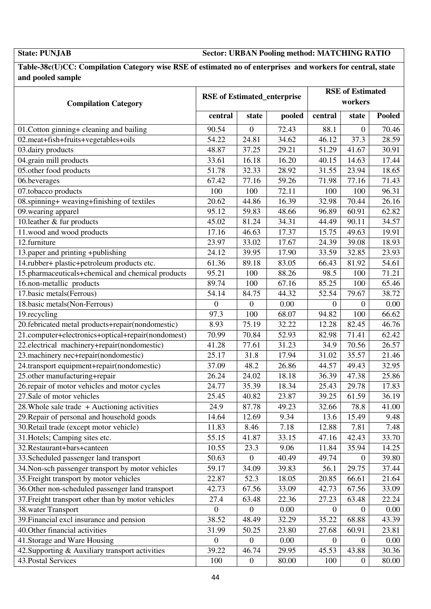**State: PUNJAB Sector: URBAN Pooling method: MATCHING RATIO** 

**Table-38c(U)CC: Compilation Category wise RSE of estimated no of enterprises and workers for central, state and pooled sample** 

| <b>Compilation Category</b>                        | <b>RSE</b> of Estimated_enterprise |                  |        | <b>RSE</b> of Estimated<br>workers |                  |               |  |
|----------------------------------------------------|------------------------------------|------------------|--------|------------------------------------|------------------|---------------|--|
|                                                    | central                            | state            | pooled | central                            | state            | <b>Pooled</b> |  |
| 01. Cotton ginning+ cleaning and bailing           | 90.54                              | 0                | 72.43  | 88.1                               | $\theta$         | 70.46         |  |
| 02.meat+fish+fruits+vegetables+oils                | 54.22                              | 24.81            | 34.62  | 46.12                              | 37.3             | 28.59         |  |
| 03.dairy products                                  | 48.87                              | 37.25            | 29.21  | 51.29                              | 41.67            | 30.91         |  |
| 04.grain mill products                             | 33.61                              | 16.18            | 16.20  | 40.15                              | 14.63            | 17.44         |  |
| 05.other food products                             | 51.78                              | 32.33            | 28.92  | 31.55                              | 23.94            | 18.65         |  |
| 06.beverages                                       | 67.42                              | 77.16            | 59.26  | 71.98                              | 77.16            | 71.43         |  |
| $\overline{07}$ .tobacco products                  | 100                                | 100              | 72.11  | 100                                | 100              | 96.31         |  |
| 08.spinning+ weaving+finishing of textiles         | 20.62                              | 44.86            | 16.39  | 32.98                              | 70.44            | 26.16         |  |
| 09. wearing apparel                                | 95.12                              | 59.83            | 48.66  | 96.89                              | 60.91            | 62.82         |  |
| 10.leather & fur products                          | 45.02                              | 81.24            | 34.31  | 44.49                              | 90.11            | 34.57         |  |
| 11.wood and wood products                          | 17.16                              | 46.63            | 17.37  | 15.75                              | 49.63            | 19.91         |  |
| 12.furniture                                       | 23.97                              | 33.02            | 17.67  | 24.39                              | 39.08            | 18.93         |  |
| 13.paper and printing +publishing                  | 24.12                              | 39.95            | 17.90  | 33.59                              | 32.85            | 23.93         |  |
| 14.rubber+ plastic+petroleum products etc.         | 61.36                              | 89.18            | 83.05  | 66.43                              | 81.92            | 54.61         |  |
| 15.pharmaceuticals+chemical and chemical products  | 95.21                              | 100              | 88.26  | 98.5                               | 100              | 71.21         |  |
| 16.non-metallic products                           | 89.74                              | 100              | 67.16  | 85.25                              | 100              | 65.46         |  |
| 17.basic metals(Ferrous)                           | 54.14                              | 84.75            | 44.32  | 52.54                              | 79.67            | 38.72         |  |
| 18.basic metals(Non-Ferrous)                       | $\boldsymbol{0}$                   | $\boldsymbol{0}$ | 0.00   | $\overline{0}$                     | $\boldsymbol{0}$ | 0.00          |  |
| 19.recycling                                       | 97.3                               | 100              | 68.07  | 94.82                              | 100              | 66.62         |  |
| 20.febricated metal products+repair(nondomestic)   | 8.93                               | 75.19            | 32.22  | 12.28                              | 82.45            | 46.76         |  |
| 21.computer+electronics+optical+repair(nondomest)  | 70.99                              | 70.84            | 52.93  | 82.98                              | 71.41            | 62.42         |  |
| 22.electrical machinery+repair(nondomestic)        | 41.28                              | 77.61            | 31.23  | 34.9                               | 70.56            | 26.57         |  |
| 23. machinery nec+repair(nondomestic)              | 25.17                              | 31.8             | 17.94  | 31.02                              | 35.57            | 21.46         |  |
| 24.transport equipment+repair(nondomestic)         | 37.09                              | 48.2             | 26.86  | 44.57                              | 49.43            | 32.95         |  |
| 25.other manufacturing+repair                      | 26.24                              | 24.02            | 18.18  | 36.39                              | 47.38            | 25.86         |  |
| 26.repair of motor vehicles and motor cycles       | 24.77                              | 35.39            | 18.34  | 25.43                              | 29.78            | 17.83         |  |
| 27.Sale of motor vehicles                          | 25.45                              | 40.82            | 23.87  | 39.25                              | 61.59            | 36.19         |  |
| 28. Whole sale trade + Auctioning activities       | 24.9                               | 87.78            | 49.23  | 32.66                              | 78.8             | 41.00         |  |
| 29. Repair of personal and household goods         | 14.64                              | 12.69            | 9.34   | 13.6                               | 15.49            | 9.48          |  |
| 30. Retail trade (except motor vehicle)            | 11.83                              | 8.46             | 7.18   | 12.88                              | 7.81             | 7.48          |  |
| 31. Hotels; Camping sites etc.                     | 55.15                              | 41.87            | 33.15  | 47.16                              | 42.43            | 33.70         |  |
| 32. Restaurant+bars+canteen                        | 10.55                              | 23.3             | 9.06   | 11.84                              | 35.94            | 14.25         |  |
| 33. Scheduled passenger land transport             | 50.63                              | $\boldsymbol{0}$ | 40.49  | 49.74                              | $\theta$         | 39.80         |  |
| 34. Non-sch passenger transport by motor vehicles  | 59.17                              | 34.09            | 39.83  | 56.1                               | 29.75            | 37.44         |  |
| 35. Freight transport by motor vehicles            | 22.87                              | 52.3             | 18.05  | 20.85                              | 66.61            | 21.64         |  |
| 36. Other non-scheduled passenger land transport   | 42.73                              | 67.56            | 33.09  | 42.73                              | 67.56            | 33.09         |  |
| 37. Freight transport other than by motor vehicles | 27.4                               | 63.48            | 22.36  | 27.23                              | 63.48            | 22.24         |  |
| 38. water Transport                                | $\boldsymbol{0}$                   | $\boldsymbol{0}$ | 0.00   | $\overline{0}$                     | $\overline{0}$   | 0.00          |  |
| 39. Financial excl insurance and pension           | 38.52                              | 48.49            | 32.29  | 35.22                              | 68.88            | 43.39         |  |
| 40. Other financial activities                     | 31.99                              | 50.25            | 23.80  | 27.68                              | 60.91            | 23.81         |  |
| 41. Storage and Ware Housing                       | $\boldsymbol{0}$                   | $\boldsymbol{0}$ | 0.00   | $\overline{0}$                     | $\overline{0}$   | 0.00          |  |
| 42. Supporting & Auxiliary transport activities    | 39.22                              | 46.74            | 29.95  | 45.53                              | 43.88            | 30.36         |  |
| 43. Postal Services                                | 100                                | $\boldsymbol{0}$ | 80.00  | 100                                | $\overline{0}$   | 80.00         |  |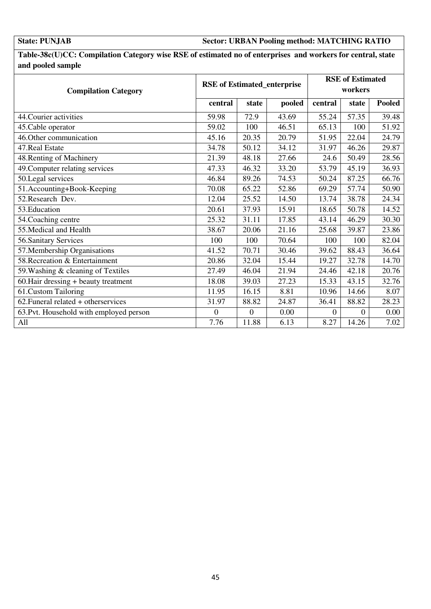### **State: PUNJAB Sector: URBAN Pooling method: MATCHING RATIO**

**Table-38c(U)CC: Compilation Category wise RSE of estimated no of enterprises and workers for central, state and pooled sample** 

| <b>Compilation Category</b>             | <b>RSE</b> of Estimated_enterprise |                |        | <b>RSE</b> of Estimated<br>workers |                |               |
|-----------------------------------------|------------------------------------|----------------|--------|------------------------------------|----------------|---------------|
|                                         | central                            | state          | pooled | central                            | state          | <b>Pooled</b> |
| 44. Courier activities                  | 59.98                              | 72.9           | 43.69  | 55.24                              | 57.35          | 39.48         |
| 45. Cable operator                      | 59.02                              | 100            | 46.51  | 65.13                              | 100            | 51.92         |
| 46. Other communication                 | 45.16                              | 20.35          | 20.79  | 51.95                              | 22.04          | 24.79         |
| 47. Real Estate                         | 34.78                              | 50.12          | 34.12  | 31.97                              | 46.26          | 29.87         |
| 48. Renting of Machinery                | 21.39                              | 48.18          | 27.66  | 24.6                               | 50.49          | 28.56         |
| 49. Computer relating services          | 47.33                              | 46.32          | 33.20  | 53.79                              | 45.19          | 36.93         |
| 50.Legal services                       | 46.84                              | 89.26          | 74.53  | 50.24                              | 87.25          | 66.76         |
| 51.Accounting+Book-Keeping              | 70.08                              | 65.22          | 52.86  | 69.29                              | 57.74          | 50.90         |
| 52. Research Dev.                       | 12.04                              | 25.52          | 14.50  | 13.74                              | 38.78          | 24.34         |
| 53. Education                           | 20.61                              | 37.93          | 15.91  | 18.65                              | 50.78          | 14.52         |
| 54. Coaching centre                     | 25.32                              | 31.11          | 17.85  | 43.14                              | 46.29          | 30.30         |
| 55. Medical and Health                  | 38.67                              | 20.06          | 21.16  | 25.68                              | 39.87          | 23.86         |
| 56. Sanitary Services                   | 100                                | 100            | 70.64  | 100                                | 100            | 82.04         |
| 57. Membership Organisations            | 41.52                              | 70.71          | 30.46  | 39.62                              | 88.43          | 36.64         |
| 58. Recreation & Entertainment          | 20.86                              | 32.04          | 15.44  | 19.27                              | 32.78          | 14.70         |
| 59. Washing & cleaning of Textiles      | 27.49                              | 46.04          | 21.94  | 24.46                              | 42.18          | 20.76         |
| 60. Hair dressing + beauty treatment    | 18.08                              | 39.03          | 27.23  | 15.33                              | 43.15          | 32.76         |
| 61.Custom Tailoring                     | 11.95                              | 16.15          | 8.81   | 10.96                              | 14.66          | 8.07          |
| 62. Funeral related + otherservices     | 31.97                              | 88.82          | 24.87  | 36.41                              | 88.82          | 28.23         |
| 63. Pvt. Household with employed person | $\theta$                           | $\overline{0}$ | 0.00   | $\theta$                           | $\overline{0}$ | 0.00          |
| All                                     | 7.76                               | 11.88          | 6.13   | 8.27                               | 14.26          | 7.02          |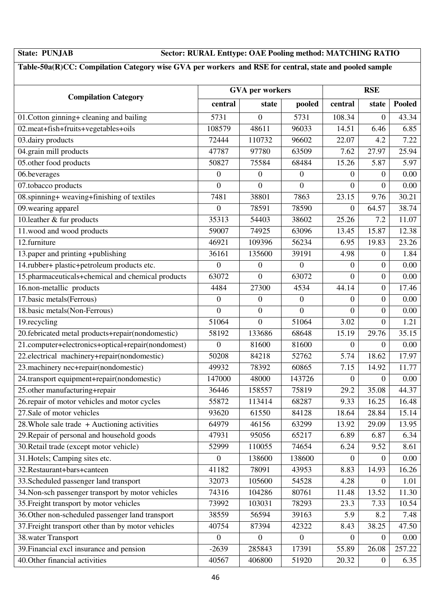### **State: PUNJAB Sector: RURAL Enttype: OAE Pooling method: MATCHING RATIO**

### **Table-50a(R)CC: Compilation Category wise GVA per workers and RSE for central, state and pooled sample**

|                                                    |                  | <b>GVA</b> per workers | <b>RSE</b>       |                  |                  |               |
|----------------------------------------------------|------------------|------------------------|------------------|------------------|------------------|---------------|
| <b>Compilation Category</b>                        | central          | state                  | pooled           | central          | state            | <b>Pooled</b> |
| 01. Cotton ginning+ cleaning and bailing           | 5731             | $\overline{0}$         | 5731             | 108.34           | $\boldsymbol{0}$ | 43.34         |
| 02.meat+fish+fruits+vegetables+oils                | 108579           | 48611                  | 96033            | 14.51            | 6.46             | 6.85          |
| 03.dairy products                                  | 72444            | 110732                 | 96602            | 22.07            | 4.2              | 7.22          |
| 04.grain mill products                             | 47787            | 97780                  | 63509            | 7.62             | 27.97            | 25.94         |
| 05.other food products                             | 50827            | 75584                  | 68484            | 15.26            | 5.87             | 5.97          |
| 06.beverages                                       | $\boldsymbol{0}$ | $\boldsymbol{0}$       | $\boldsymbol{0}$ | 0                | $\boldsymbol{0}$ | 0.00          |
| 07.tobacco products                                | $\mathbf{0}$     | $\boldsymbol{0}$       | $\overline{0}$   | $\boldsymbol{0}$ | $\boldsymbol{0}$ | 0.00          |
| 08.spinning+ weaving+finishing of textiles         | 7481             | 38801                  | 7863             | 23.15            | 9.76             | 30.21         |
| 09. wearing apparel                                | $\overline{0}$   | 78591                  | 78590            | $\mathbf{0}$     | 64.57            | 38.74         |
| 10.leather & fur products                          | 35313            | 54403                  | 38602            | 25.26            | 7.2              | 11.07         |
| 11.wood and wood products                          | 59007            | 74925                  | 63096            | 13.45            | 15.87            | 12.38         |
| 12.furniture                                       | 46921            | 109396                 | 56234            | 6.95             | 19.83            | 23.26         |
| 13.paper and printing +publishing                  | 36161            | 135600                 | 39191            | 4.98             | $\boldsymbol{0}$ | 1.84          |
| 14.rubber+ plastic+petroleum products etc.         | $\overline{0}$   | $\boldsymbol{0}$       | $\boldsymbol{0}$ | 0                | $\boldsymbol{0}$ | 0.00          |
| 15.pharmaceuticals+chemical and chemical products  | 63072            | $\boldsymbol{0}$       | 63072            | $\Omega$         | $\boldsymbol{0}$ | 0.00          |
| 16.non-metallic products                           | 4484             | 27300                  | 4534             | 44.14            | $\boldsymbol{0}$ | 17.46         |
| 17.basic metals(Ferrous)                           | $\boldsymbol{0}$ | $\boldsymbol{0}$       | $\boldsymbol{0}$ | $\mathbf{0}$     | $\boldsymbol{0}$ | 0.00          |
| 18.basic metals(Non-Ferrous)                       | $\overline{0}$   | $\boldsymbol{0}$       | $\overline{0}$   | $\theta$         | $\overline{0}$   | 0.00          |
| 19.recycling                                       | 51064            | $\overline{0}$         | 51064            | 3.02             | $\overline{0}$   | 1.21          |
| 20.febricated metal products+repair(nondomestic)   | 58192            | 133686                 | 68648            | 15.19            | 29.76            | 35.15         |
| 21.computer+electronics+optical+repair(nondomest)  | $\overline{0}$   | 81600                  | 81600            | $\theta$         | $\overline{0}$   | $0.00\,$      |
| 22.electrical machinery+repair(nondomestic)        | 50208            | 84218                  | 52762            | 5.74             | 18.62            | 17.97         |
| 23. machinery nec+repair(nondomestic)              | 49932            | 78392                  | 60865            | 7.15             | 14.92            | 11.77         |
| 24.transport equipment+repair(nondomestic)         | 147000           | 48000                  | 143726           | $\mathbf{0}$     | $\overline{0}$   | 0.00          |
| 25.other manufacturing+repair                      | 36446            | 158557                 | 75819            | 29.2             | 35.08            | 44.37         |
| 26.repair of motor vehicles and motor cycles       | 55872            | 113414                 | 68287            | 9.33             | 16.25            | 16.48         |
| 27.Sale of motor vehicles                          | 93620            | 61550                  | 84128            | 18.64            | 28.84            | 15.14         |
| 28. Whole sale trade $+$ Auctioning activities     | 64979            | 46156                  | 63299            | 13.92            | 29.09            | 13.95         |
| 29. Repair of personal and household goods         | 47931            | 95056                  | 65217            | 6.89             | 6.87             | 6.34          |
| 30. Retail trade (except motor vehicle)            | 52999            | 110055                 | 74654            | 6.24             | 9.52             | 8.61          |
| 31. Hotels; Camping sites etc.                     | $\mathbf{0}$     | 138600                 | 138600           | $\theta$         | $\overline{0}$   | 0.00          |
| 32. Restaurant+bars+canteen                        | 41182            | 78091                  | 43953            | 8.83             | 14.93            | 16.26         |
| 33. Scheduled passenger land transport             | 32073            | 105600                 | 54528            | 4.28             | 0                | 1.01          |
| 34. Non-sch passenger transport by motor vehicles  | 74316            | 104286                 | 80761            | 11.48            | 13.52            | 11.30         |
| 35. Freight transport by motor vehicles            | 73992            | 103031                 | 78293            | 23.3             | 7.33             | 10.54         |
| 36. Other non-scheduled passenger land transport   | 38559            | 56594                  | 39163            | 5.9              | 8.2              | 7.48          |
| 37. Freight transport other than by motor vehicles | 40754            | 87394                  | 42322            | 8.43             | 38.25            | 47.50         |
| 38. water Transport                                | $\mathbf{0}$     | $\overline{0}$         | $\boldsymbol{0}$ | $\overline{0}$   | $\boldsymbol{0}$ | 0.00          |
| 39. Financial excl insurance and pension           | $-2639$          | 285843                 | 17391            | 55.89            | 26.08            | 257.22        |
| 40. Other financial activities                     | 40567            | 406800                 | 51920            | 20.32            | $\boldsymbol{0}$ | 6.35          |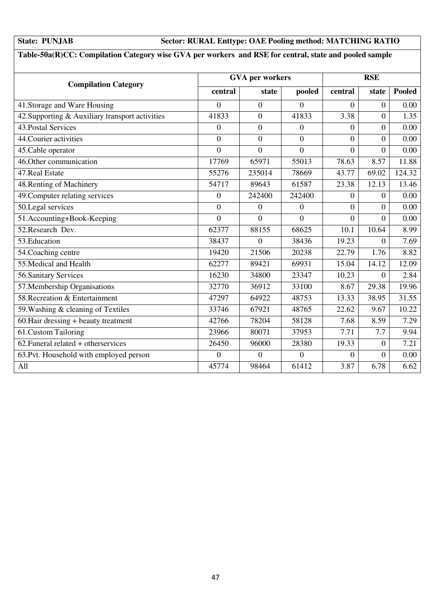### **State: PUNJAB Sector: RURAL Enttype: OAE Pooling method: MATCHING RATIO**

### **Table-50a(R)CC: Compilation Category wise GVA per workers and RSE for central, state and pooled sample**

| <b>Compilation Category</b>                     |                | <b>GVA</b> per workers |                  |                | <b>RSE</b>     |               |  |
|-------------------------------------------------|----------------|------------------------|------------------|----------------|----------------|---------------|--|
|                                                 | central        | state                  | pooled           | central        | state          | <b>Pooled</b> |  |
| 41. Storage and Ware Housing                    | $\Omega$       | $\overline{0}$         | $\Omega$         | $\Omega$       | $\overline{0}$ | 0.00          |  |
| 42. Supporting & Auxiliary transport activities | 41833          | $\overline{0}$         | 41833            | 3.38           | $\overline{0}$ | 1.35          |  |
| 43. Postal Services                             | $\overline{0}$ | $\mathbf{0}$           | $\boldsymbol{0}$ | $\overline{0}$ | $\overline{0}$ | 0.00          |  |
| 44. Courier activities                          | $\Omega$       | $\overline{0}$         | $\theta$         | $\Omega$       | $\overline{0}$ | 0.00          |  |
| 45. Cable operator                              | $\overline{0}$ | $\overline{0}$         | $\overline{0}$   | $\overline{0}$ | $\overline{0}$ | 0.00          |  |
| 46. Other communication                         | 17769          | 65971                  | 55013            | 78.63          | 8.57           | 11.88         |  |
| 47. Real Estate                                 | 55276          | 235014                 | 78669            | 43.77          | 69.02          | 124.32        |  |
| 48. Renting of Machinery                        | 54717          | 89643                  | 61587            | 23.38          | 12.13          | 13.46         |  |
| 49. Computer relating services                  | $\Omega$       | 242400                 | 242400           | $\Omega$       | $\overline{0}$ | 0.00          |  |
| 50.Legal services                               | $\overline{0}$ | $\overline{0}$         | $\overline{0}$   | $\overline{0}$ | $\overline{0}$ | 0.00          |  |
| 51.Accounting+Book-Keeping                      | $\theta$       | $\theta$               | $\theta$         | $\overline{0}$ | $\overline{0}$ | 0.00          |  |
| 52. Research Dev.                               | 62377          | 88155                  | 68625            | 10.1           | 10.64          | 8.99          |  |
| 53. Education                                   | 38437          | $\theta$               | 38436            | 19.23          | $\overline{0}$ | 7.69          |  |
| 54. Coaching centre                             | 19420          | 21506                  | 20238            | 22.79          | 1.76           | 8.82          |  |
| 55. Medical and Health                          | 62277          | 89421                  | 69931            | 15.04          | 14.12          | 12.09         |  |
| 56. Sanitary Services                           | 16230          | 34800                  | 23347            | 10.23          | $\overline{0}$ | 2.84          |  |
| 57. Membership Organisations                    | 32770          | 36912                  | 33100            | 8.67           | 29.38          | 19.96         |  |
| 58. Recreation & Entertainment                  | 47297          | 64922                  | 48753            | 13.33          | 38.95          | 31.55         |  |
| 59. Washing & cleaning of Textiles              | 33746          | 67921                  | 48765            | 22.62          | 9.67           | 10.22         |  |
| 60. Hair dressing + beauty treatment            | 42766          | 78204                  | 58128            | 7.68           | 8.59           | 7.29          |  |
| 61.Custom Tailoring                             | 23966          | 80071                  | 37953            | 7.71           | 7.7            | 9.94          |  |
| $62.$ Funeral related + otherservices           | 26450          | 96000                  | 28380            | 19.33          | $\overline{0}$ | 7.21          |  |
| 63. Pvt. Household with employed person         | $\overline{0}$ | $\overline{0}$         | $\overline{0}$   | $\overline{0}$ | $\overline{0}$ | 0.00          |  |
| A11                                             | 45774          | 98464                  | 61412            | 3.87           | 6.78           | 6.62          |  |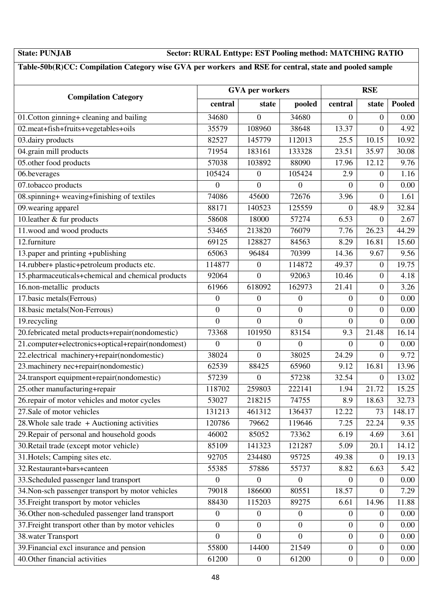### **State: PUNJAB Sector: RURAL Enttype: EST Pooling method: MATCHING RATIO**

### **Table-50b(R)CC: Compilation Category wise GVA per workers and RSE for central, state and pooled sample**

|                                                    |                  | <b>GVA</b> per workers | <b>RSE</b>       |                  |                  |               |
|----------------------------------------------------|------------------|------------------------|------------------|------------------|------------------|---------------|
| <b>Compilation Category</b>                        | central          | state                  | pooled           | central          | state            | <b>Pooled</b> |
| 01. Cotton ginning+ cleaning and bailing           | 34680            | $\Omega$               | 34680            | $\overline{0}$   | $\boldsymbol{0}$ | 0.00          |
| 02.meat+fish+fruits+vegetables+oils                | 35579            | 108960                 | 38648            | 13.37            | $\boldsymbol{0}$ | 4.92          |
| 03.dairy products                                  | 82527            | 145779                 | 112013           | 25.5             | 10.15            | 10.92         |
| 04.grain mill products                             | 71954            | 183161                 | 133328           | 23.51            | 35.97            | 30.08         |
| 05.other food products                             | 57038            | 103892                 | 88090            | 17.96            | 12.12            | 9.76          |
| 06.beverages                                       | 105424           | $\boldsymbol{0}$       | 105424           | 2.9              | $\boldsymbol{0}$ | 1.16          |
| 07.tobacco products                                | $\boldsymbol{0}$ | $\boldsymbol{0}$       | $\boldsymbol{0}$ | $\overline{0}$   | $\boldsymbol{0}$ | 0.00          |
| 08.spinning+ weaving+finishing of textiles         | 74086            | 45600                  | 72676            | 3.96             | $\boldsymbol{0}$ | 1.61          |
| 09. wearing apparel                                | 88171            | 140523                 | 125559           | $\overline{0}$   | 48.9             | 32.84         |
| 10.leather & fur products                          | 58608            | 18000                  | 57274            | 6.53             | $\boldsymbol{0}$ | 2.67          |
| 11.wood and wood products                          | 53465            | 213820                 | 76079            | 7.76             | 26.23            | 44.29         |
| 12.furniture                                       | 69125            | 128827                 | 84563            | 8.29             | 16.81            | 15.60         |
| 13.paper and printing +publishing                  | 65063            | 96484                  | 70399            | 14.36            | 9.67             | 9.56          |
| 14.rubber+ plastic+petroleum products etc.         | 114877           | $\overline{0}$         | 114872           | 49.37            | $\boldsymbol{0}$ | 19.75         |
| 15.pharmaceuticals+chemical and chemical products  | 92064            | $\boldsymbol{0}$       | 92063            | 10.46            | $\boldsymbol{0}$ | 4.18          |
| 16.non-metallic products                           | 61966            | 618092                 | 162973           | 21.41            | $\boldsymbol{0}$ | 3.26          |
| 17.basic metals(Ferrous)                           | $\boldsymbol{0}$ | $\boldsymbol{0}$       | $\boldsymbol{0}$ | $\overline{0}$   | $\boldsymbol{0}$ | 0.00          |
| 18.basic metals(Non-Ferrous)                       | $\boldsymbol{0}$ | $\boldsymbol{0}$       | $\boldsymbol{0}$ | $\overline{0}$   | $\boldsymbol{0}$ | 0.00          |
| 19.recycling                                       | $\overline{0}$   | $\overline{0}$         | $\overline{0}$   | $\boldsymbol{0}$ | $\boldsymbol{0}$ | 0.00          |
| 20.febricated metal products+repair(nondomestic)   | 73368            | 101950                 | 83154            | 9.3              | 21.48            | 16.14         |
| 21.computer+electronics+optical+repair(nondomest)  | $\boldsymbol{0}$ | $\overline{0}$         | $\boldsymbol{0}$ | $\overline{0}$   | $\mathbf{0}$     | 0.00          |
| 22.electrical machinery+repair(nondomestic)        | 38024            | $\overline{0}$         | 38025            | 24.29            | $\overline{0}$   | 9.72          |
| 23. machinery nec+repair(nondomestic)              | 62539            | 88425                  | 65960            | 9.12             | 16.81            | 13.96         |
| 24.transport equipment+repair(nondomestic)         | 57239            | $\overline{0}$         | 57238            | 32.54            | $\boldsymbol{0}$ | 13.02         |
| 25.other manufacturing+repair                      | 118702           | 259803                 | 222141           | 1.94             | 21.72            | 15.25         |
| 26.repair of motor vehicles and motor cycles       | 53027            | 218215                 | 74755            | 8.9              | 18.63            | 32.73         |
| 27.Sale of motor vehicles                          | 131213           | 461312                 | 136437           | 12.22            | 73               | 148.17        |
| 28. Whole sale trade $+$ Auctioning activities     | 120786           | 79662                  | 119646           | 7.25             | 22.24            | 9.35          |
| 29. Repair of personal and household goods         | 46002            | 85052                  | 73362            | 6.19             | 4.69             | 3.61          |
| 30. Retail trade (except motor vehicle)            | 85109            | 141323                 | 121287           | 5.09             | 20.1             | 14.12         |
| 31. Hotels; Camping sites etc.                     | 92705            | 234480                 | 95725            | 49.38            | 0                | 19.13         |
| 32. Restaurant+bars+canteen                        | 55385            | 57886                  | 55737            | 8.82             | 6.63             | 5.42          |
| 33. Scheduled passenger land transport             | $\theta$         | $\Omega$               | $\overline{0}$   | $\Omega$         | 0                | 0.00          |
| 34. Non-sch passenger transport by motor vehicles  | 79018            | 186600                 | 80551            | 18.57            | $\boldsymbol{0}$ | 7.29          |
| 35. Freight transport by motor vehicles            | 88430            | 115203                 | 89275            | 6.61             | 14.96            | 11.88         |
| 36. Other non-scheduled passenger land transport   | $\boldsymbol{0}$ | $\mathbf{0}$           | $\mathbf{0}$     | 0                | $\mathbf{0}$     | 0.00          |
| 37. Freight transport other than by motor vehicles | $\overline{0}$   | $\overline{0}$         | $\overline{0}$   | $\mathbf{0}$     | $\boldsymbol{0}$ | 0.00          |
| 38. water Transport                                | $\overline{0}$   | $\boldsymbol{0}$       | $\boldsymbol{0}$ | $\boldsymbol{0}$ | $\boldsymbol{0}$ | 0.00          |
| 39. Financial excl insurance and pension           | 55800            | 14400                  | 21549            | $\mathbf{0}$     | $\boldsymbol{0}$ | $0.00\,$      |
| 40. Other financial activities                     | 61200            | $\boldsymbol{0}$       | 61200            | $\boldsymbol{0}$ | $\boldsymbol{0}$ | 0.00          |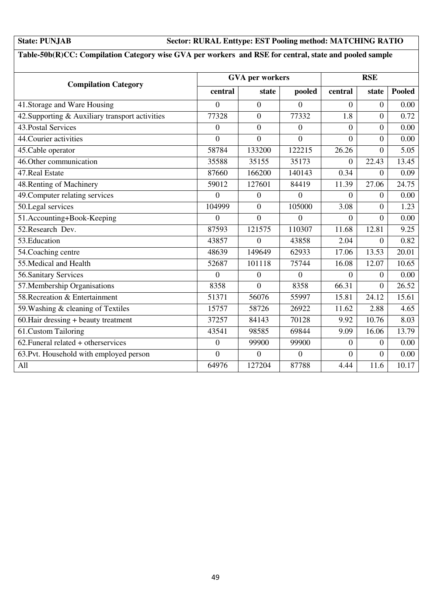### **State: PUNJAB Sector: RURAL Enttype: EST Pooling method: MATCHING RATIO**

### **Table-50b(R)CC: Compilation Category wise GVA per workers and RSE for central, state and pooled sample**

| <b>Compilation Category</b>                     |                | <b>GVA</b> per workers |                  |                | <b>RSE</b>     |        |  |
|-------------------------------------------------|----------------|------------------------|------------------|----------------|----------------|--------|--|
|                                                 | central        | state                  | pooled           | central        | state          | Pooled |  |
| 41. Storage and Ware Housing                    | $\theta$       | $\overline{0}$         | $\theta$         | $\overline{0}$ | $\overline{0}$ | 0.00   |  |
| 42. Supporting & Auxiliary transport activities | 77328          | $\overline{0}$         | 77332            | 1.8            | $\overline{0}$ | 0.72   |  |
| 43. Postal Services                             | $\overline{0}$ | $\mathbf{0}$           | $\boldsymbol{0}$ | $\overline{0}$ | $\overline{0}$ | 0.00   |  |
| 44. Courier activities                          | $\overline{0}$ | $\overline{0}$         | $\theta$         | $\overline{0}$ | $\overline{0}$ | 0.00   |  |
| 45. Cable operator                              | 58784          | 133200                 | 122215           | 26.26          | $\overline{0}$ | 5.05   |  |
| 46. Other communication                         | 35588          | 35155                  | 35173            | $\overline{0}$ | 22.43          | 13.45  |  |
| 47. Real Estate                                 | 87660          | 166200                 | 140143           | 0.34           | $\Omega$       | 0.09   |  |
| 48. Renting of Machinery                        | 59012          | 127601                 | 84419            | 11.39          | 27.06          | 24.75  |  |
| 49. Computer relating services                  | $\Omega$       | $\theta$               | $\Omega$         | $\Omega$       | $\overline{0}$ | 0.00   |  |
| 50.Legal services                               | 104999         | $\overline{0}$         | 105000           | 3.08           | $\overline{0}$ | 1.23   |  |
| 51.Accounting+Book-Keeping                      | $\Omega$       | $\theta$               | $\theta$         | $\theta$       | $\Omega$       | 0.00   |  |
| 52. Research Dev.                               | 87593          | 121575                 | 110307           | 11.68          | 12.81          | 9.25   |  |
| 53. Education                                   | 43857          | $\theta$               | 43858            | 2.04           | $\overline{0}$ | 0.82   |  |
| 54. Coaching centre                             | 48639          | 149649                 | 62933            | 17.06          | 13.53          | 20.01  |  |
| 55. Medical and Health                          | 52687          | 101118                 | 75744            | 16.08          | 12.07          | 10.65  |  |
| 56. Sanitary Services                           | $\Omega$       | $\overline{0}$         | $\theta$         | $\Omega$       | $\overline{0}$ | 0.00   |  |
| 57. Membership Organisations                    | 8358           | $\overline{0}$         | 8358             | 66.31          | $\overline{0}$ | 26.52  |  |
| 58. Recreation & Entertainment                  | 51371          | 56076                  | 55997            | 15.81          | 24.12          | 15.61  |  |
| 59. Washing & cleaning of Textiles              | 15757          | 58726                  | 26922            | 11.62          | 2.88           | 4.65   |  |
| 60. Hair dressing + beauty treatment            | 37257          | 84143                  | 70128            | 9.92           | 10.76          | 8.03   |  |
| 61.Custom Tailoring                             | 43541          | 98585                  | 69844            | 9.09           | 16.06          | 13.79  |  |
| $62.$ Funeral related + otherservices           | $\Omega$       | 99900                  | 99900            | $\Omega$       | $\overline{0}$ | 0.00   |  |
| 63. Pvt. Household with employed person         | $\overline{0}$ | $\mathbf{0}$           | $\boldsymbol{0}$ | $\overline{0}$ | $\overline{0}$ | 0.00   |  |
| All                                             | 64976          | 127204                 | 87788            | 4.44           | 11.6           | 10.17  |  |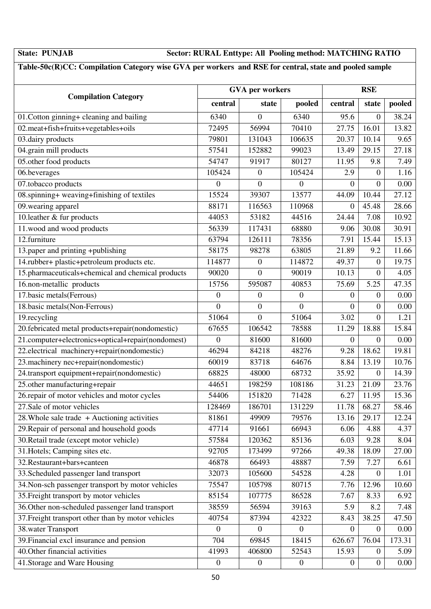### **State: PUNJAB Sector: RURAL Enttype: All Pooling method: MATCHING RATIO**

### **Table-50c(R)CC: Compilation Category wise GVA per workers and RSE for central, state and pooled sample**

|                                                    | <b>GVA</b> per workers | <b>RSE</b>       |                  |                  |                  |          |
|----------------------------------------------------|------------------------|------------------|------------------|------------------|------------------|----------|
| <b>Compilation Category</b>                        | central                | state            | pooled           | central          | state            | pooled   |
| 01. Cotton ginning+ cleaning and bailing           | 6340                   | $\overline{0}$   | 6340             | 95.6             | $\overline{0}$   | 38.24    |
| 02.meat+fish+fruits+vegetables+oils                | 72495                  | 56994            | 70410            | 27.75            | 16.01            | 13.82    |
| $\overline{03}$ .dairy products                    | 79801                  | 131043           | 106635           | 20.37            | 10.14            | 9.65     |
| 04.grain mill products                             | 57541                  | 152882           | 99023            | 13.49            | 29.15            | 27.18    |
| 05.other food products                             | 54747                  | 91917            | 80127            | 11.95            | 9.8              | 7.49     |
| 06.beverages                                       | 105424                 | $\overline{0}$   | 105424           | 2.9              | $\theta$         | 1.16     |
| 07.tobacco products                                | $\boldsymbol{0}$       | $\boldsymbol{0}$ | $\boldsymbol{0}$ | $\Omega$         | $\overline{0}$   | 0.00     |
| 08.spinning+ weaving+finishing of textiles         | 15524                  | 39307            | 13577            | 44.09            | 10.44            | 27.12    |
| 09. wearing apparel                                | 88171                  | 116563           | 110968           | $\Omega$         | 45.48            | 28.66    |
| 10.leather & fur products                          | 44053                  | 53182            | 44516            | 24.44            | 7.08             | 10.92    |
| 11.wood and wood products                          | 56339                  | 117431           | 68880            | 9.06             | 30.08            | 30.91    |
| 12.furniture                                       | 63794                  | 126111           | 78356            | 7.91             | 15.44            | 15.13    |
| 13.paper and printing +publishing                  | 58175                  | 98278            | 63805            | 21.89            | 9.2              | 11.66    |
| 14.rubber+ plastic+petroleum products etc.         | 114877                 | $\boldsymbol{0}$ | 114872           | 49.37            | $\boldsymbol{0}$ | 19.75    |
| 15.pharmaceuticals+chemical and chemical products  | 90020                  | $\overline{0}$   | 90019            | 10.13            | $\overline{0}$   | 4.05     |
| 16.non-metallic products                           | 15756                  | 595087           | 40853            | 75.69            | 5.25             | 47.35    |
| 17.basic metals(Ferrous)                           | $\boldsymbol{0}$       | $\mathbf{0}$     | $\theta$         | $\overline{0}$   | $\overline{0}$   | 0.00     |
| 18.basic metals(Non-Ferrous)                       | $\boldsymbol{0}$       | $\boldsymbol{0}$ | $\overline{0}$   | $\overline{0}$   | $\boldsymbol{0}$ | 0.00     |
| 19.recycling                                       | 51064                  | $\overline{0}$   | 51064            | 3.02             | $\overline{0}$   | 1.21     |
| 20.febricated metal products+repair(nondomestic)   | 67655                  | 106542           | 78588            | 11.29            | 18.88            | 15.84    |
| 21.computer+electronics+optical+repair(nondomest)  | $\boldsymbol{0}$       | 81600            | 81600            | $\overline{0}$   | $\boldsymbol{0}$ | 0.00     |
| 22.electrical machinery+repair(nondomestic)        | 46294                  | 84218            | 48276            | 9.28             | 18.62            | 19.81    |
| 23.machinery nec+repair(nondomestic)               | 60019                  | 83718            | 64676            | 8.84             | 13.19            | 10.76    |
| 24.transport equipment+repair(nondomestic)         | 68825                  | 48000            | 68732            | 35.92            | $\overline{0}$   | 14.39    |
| 25.other manufacturing+repair                      | 44651                  | 198259           | 108186           | 31.23            | 21.09            | 23.76    |
| 26.repair of motor vehicles and motor cycles       | 54406                  | 151820           | 71428            | 6.27             | 11.95            | 15.36    |
| 27. Sale of motor vehicles                         | 128469                 | 186701           | 131229           | 11.78            | 68.27            | 58.46    |
| 28. Whole sale trade $+$ Auctioning activities     | 81861                  | 49909            | 79576            | 13.16            | 29.17            | 12.24    |
| 29. Repair of personal and household goods         | 47714                  | 91661            | 66943            | 6.06             | 4.88             | 4.37     |
| 30. Retail trade (except motor vehicle)            | 57584                  | 120362           | 85136            | 6.03             | 9.28             | 8.04     |
| 31. Hotels; Camping sites etc.                     | 92705                  | 173499           | 97266            | 49.38            | 18.09            | 27.00    |
| 32. Restaurant+bars+canteen                        | 46878                  | 66493            | 48887            | 7.59             | 7.27             | 6.61     |
| 33. Scheduled passenger land transport             | 32073                  | 105600           | 54528            | 4.28             | $\theta$         | 1.01     |
| 34. Non-sch passenger transport by motor vehicles  | 75547                  | 105798           | 80715            | 7.76             | 12.96            | 10.60    |
| 35. Freight transport by motor vehicles            | 85154                  | 107775           | 86528            | 7.67             | 8.33             | 6.92     |
| 36. Other non-scheduled passenger land transport   | 38559                  | 56594            | 39163            | 5.9              | 8.2              | 7.48     |
| 37. Freight transport other than by motor vehicles | 40754                  | 87394            | 42322            | 8.43             | 38.25            | 47.50    |
| 38. water Transport                                | $\overline{0}$         | $\overline{0}$   | $\boldsymbol{0}$ | $\overline{0}$   | $\overline{0}$   | 0.00     |
| 39. Financial excl insurance and pension           | 704                    | 69845            | 18415            | 626.67           | 76.04            | 173.31   |
| 40. Other financial activities                     | 41993                  | 406800           | 52543            | 15.93            | $\boldsymbol{0}$ | 5.09     |
| 41. Storage and Ware Housing                       | $\boldsymbol{0}$       | $\boldsymbol{0}$ | $\boldsymbol{0}$ | $\boldsymbol{0}$ | $\boldsymbol{0}$ | $0.00\,$ |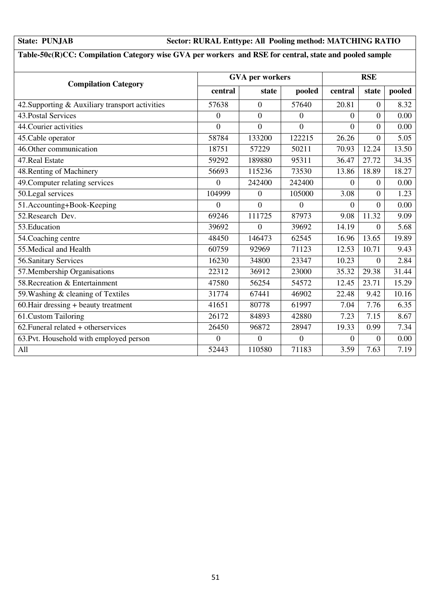### **State: PUNJAB Sector: RURAL Enttype: All Pooling method: MATCHING RATIO**

### **Table-50c(R)CC: Compilation Category wise GVA per workers and RSE for central, state and pooled sample**

| <b>Compilation Category</b>                     |                | <b>GVA</b> per workers |                | <b>RSE</b> |                  |        |  |
|-------------------------------------------------|----------------|------------------------|----------------|------------|------------------|--------|--|
|                                                 | central        | state                  | pooled         | central    | state            | pooled |  |
| 42. Supporting & Auxiliary transport activities | 57638          | $\Omega$               | 57640          | 20.81      | $\overline{0}$   | 8.32   |  |
| 43. Postal Services                             | $\mathbf{0}$   | $\overline{0}$         | $\overline{0}$ | $\Omega$   | $\overline{0}$   | 0.00   |  |
| 44. Courier activities                          | $\overline{0}$ | $\overline{0}$         | $\overline{0}$ | $\Omega$   | $\overline{0}$   | 0.00   |  |
| 45. Cable operator                              | 58784          | 133200                 | 122215         | 26.26      | $\overline{0}$   | 5.05   |  |
| 46. Other communication                         | 18751          | 57229                  | 50211          | 70.93      | 12.24            | 13.50  |  |
| 47. Real Estate                                 | 59292          | 189880                 | 95311          | 36.47      | 27.72            | 34.35  |  |
| 48. Renting of Machinery                        | 56693          | 115236                 | 73530          | 13.86      | 18.89            | 18.27  |  |
| 49. Computer relating services                  | $\Omega$       | 242400                 | 242400         | $\Omega$   | $\boldsymbol{0}$ | 0.00   |  |
| 50.Legal services                               | 104999         | $\overline{0}$         | 105000         | 3.08       | $\overline{0}$   | 1.23   |  |
| 51.Accounting+Book-Keeping                      | $\overline{0}$ | $\theta$               | $\theta$       | $\Omega$   | $\overline{0}$   | 0.00   |  |
| 52. Research Dev.                               | 69246          | 111725                 | 87973          | 9.08       | 11.32            | 9.09   |  |
| 53. Education                                   | 39692          | $\Omega$               | 39692          | 14.19      | $\theta$         | 5.68   |  |
| 54. Coaching centre                             | 48450          | 146473                 | 62545          | 16.96      | 13.65            | 19.89  |  |
| 55. Medical and Health                          | 60759          | 92969                  | 71123          | 12.53      | 10.71            | 9.43   |  |
| 56. Sanitary Services                           | 16230          | 34800                  | 23347          | 10.23      | $\theta$         | 2.84   |  |
| 57. Membership Organisations                    | 22312          | 36912                  | 23000          | 35.32      | 29.38            | 31.44  |  |
| 58. Recreation & Entertainment                  | 47580          | 56254                  | 54572          | 12.45      | 23.71            | 15.29  |  |
| 59. Washing & cleaning of Textiles              | 31774          | 67441                  | 46902          | 22.48      | 9.42             | 10.16  |  |
| 60. Hair dressing + beauty treatment            | 41651          | 80778                  | 61997          | 7.04       | 7.76             | 6.35   |  |
| 61.Custom Tailoring                             | 26172          | 84893                  | 42880          | 7.23       | 7.15             | 8.67   |  |
| $62.$ Funeral related + otherservices           | 26450          | 96872                  | 28947          | 19.33      | 0.99             | 7.34   |  |
| 63. Pvt. Household with employed person         | $\overline{0}$ | $\overline{0}$         | $\overline{0}$ | $\theta$   | $\overline{0}$   | 0.00   |  |
| All                                             | 52443          | 110580                 | 71183          | 3.59       | 7.63             | 7.19   |  |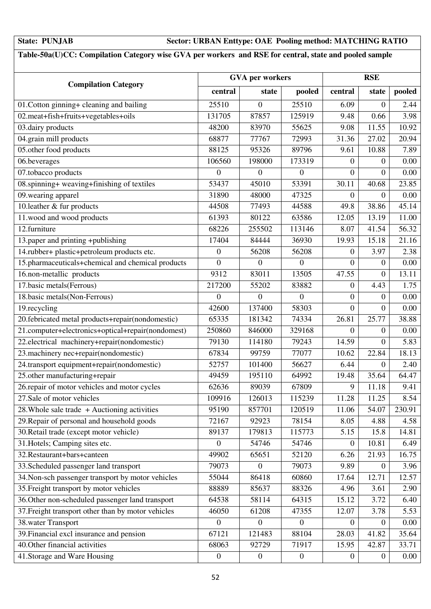### **State: PUNJAB Sector: URBAN Enttype: OAE Pooling method: MATCHING RATIO**

### **Table-50a(U)CC: Compilation Category wise GVA per workers and RSE for central, state and pooled sample**

| <b>GVA</b> per workers                             |                  |                  |                  | <b>RSE</b>       |                  |          |  |
|----------------------------------------------------|------------------|------------------|------------------|------------------|------------------|----------|--|
| <b>Compilation Category</b>                        | central          | state            | pooled           | central          | state            | pooled   |  |
| 01. Cotton ginning+ cleaning and bailing           | 25510            | $\boldsymbol{0}$ | 25510            | 6.09             | $\boldsymbol{0}$ | 2.44     |  |
| 02.meat+fish+fruits+vegetables+oils                | 131705           | 87857            | 125919           | 9.48             | 0.66             | 3.98     |  |
| 03.dairy products                                  | 48200            | 83970            | 55625            | 9.08             | 11.55            | 10.92    |  |
| 04.grain mill products                             | 68877            | 77767            | 72993            | 31.36            | 27.02            | 20.94    |  |
| 05.other food products                             | 88125            | 95326            | 89796            | 9.61             | 10.88            | 7.89     |  |
| 06.beverages                                       | 106560           | 198000           | 173319           | $\Omega$         | $\Omega$         | 0.00     |  |
| 07.tobacco products                                | $\mathbf{0}$     | $\boldsymbol{0}$ | $\boldsymbol{0}$ | $\boldsymbol{0}$ | $\overline{0}$   | 0.00     |  |
| 08.spinning+ weaving+finishing of textiles         | 53437            | 45010            | 53391            | 30.11            | 40.68            | 23.85    |  |
| 09. wearing apparel                                | 31890            | 48000            | 47325            | $\overline{0}$   | $\overline{0}$   | 0.00     |  |
| 10.leather & fur products                          | 44508            | 77493            | 44588            | 49.8             | 38.86            | 45.14    |  |
| 11.wood and wood products                          | 61393            | 80122            | 63586            | 12.05            | 13.19            | 11.00    |  |
| 12.furniture                                       | 68226            | 255502           | 113146           | 8.07             | 41.54            | 56.32    |  |
| 13.paper and printing +publishing                  | 17404            | 84444            | 36930            | 19.93            | 15.18            | 21.16    |  |
| 14.rubber+ plastic+petroleum products etc.         | $\boldsymbol{0}$ | 56208            | 56208            | $\mathbf{0}$     | 3.97             | 2.38     |  |
| 15.pharmaceuticals+chemical and chemical products  | $\overline{0}$   | $\overline{0}$   | $\overline{0}$   | $\overline{0}$   | $\boldsymbol{0}$ | 0.00     |  |
| 16.non-metallic products                           | 9312             | 83011            | 13505            | 47.55            | $\boldsymbol{0}$ | 13.11    |  |
| 17.basic metals(Ferrous)                           | 217200           | 55202            | 83882            | $\boldsymbol{0}$ | 4.43             | 1.75     |  |
| 18.basic metals(Non-Ferrous)                       | $\overline{0}$   | $\boldsymbol{0}$ | $\overline{0}$   | $\boldsymbol{0}$ | $\boldsymbol{0}$ | 0.00     |  |
| 19.recycling                                       | 42600            | 137400           | 58303            | $\overline{0}$   | $\boldsymbol{0}$ | 0.00     |  |
| 20.febricated metal products+repair(nondomestic)   | 65335            | 181342           | 74334            | 26.81            | 25.77            | 38.88    |  |
| 21.computer+electronics+optical+repair(nondomest)  | 250860           | 846000           | 329168           | $\overline{0}$   | $\boldsymbol{0}$ | 0.00     |  |
| 22.electrical machinery+repair(nondomestic)        | 79130            | 114180           | 79243            | 14.59            | $\overline{0}$   | 5.83     |  |
| 23. machinery nec+repair(nondomestic)              | 67834            | 99759            | 77077            | 10.62            | 22.84            | 18.13    |  |
| 24.transport equipment+repair(nondomestic)         | 52757            | 101400           | 56627            | 6.44             | $\overline{0}$   | 2.40     |  |
| 25.other manufacturing+repair                      | 49459            | 195110           | 64992            | 19.48            | 35.64            | 64.47    |  |
| 26.repair of motor vehicles and motor cycles       | 62636            | 89039            | 67809            | 9                | 11.18            | 9.41     |  |
| 27. Sale of motor vehicles                         | 109916           | 126013           | 115239           | 11.28            | 11.25            | 8.54     |  |
| 28. Whole sale trade $+$ Auctioning activities     | 95190            | 857701           | 120519           | 11.06            | 54.07            | 230.91   |  |
| 29. Repair of personal and household goods         | 72167            | 92923            | 78154            | 8.05             | 4.88             | 4.58     |  |
| 30. Retail trade (except motor vehicle)            | 89137            | 179813           | 115773           | 5.15             | 15.8             | 14.81    |  |
| 31. Hotels; Camping sites etc.                     | $\theta$         | 54746            | 54746            | $\theta$         | 10.81            | 6.49     |  |
| 32. Restaurant+bars+canteen                        | 49902            | 65651            | 52120            | 6.26             | 21.93            | 16.75    |  |
| 33. Scheduled passenger land transport             | 79073            | $\mathbf{0}$     | 79073            | 9.89             | $\overline{0}$   | 3.96     |  |
| 34. Non-sch passenger transport by motor vehicles  | 55044            | 86418            | 60860            | 17.64            | 12.71            | 12.57    |  |
| 35. Freight transport by motor vehicles            | 88889            | 85637            | 88326            | 4.96             | 3.61             | 2.90     |  |
| 36. Other non-scheduled passenger land transport   | 64538            | 58114            | 64315            | 15.12            | 3.72             | 6.40     |  |
| 37. Freight transport other than by motor vehicles | 46050            | 61208            | 47355            | 12.07            | 3.78             | 5.53     |  |
| 38. water Transport                                | $\theta$         | $\mathbf{0}$     | $\theta$         | $\theta$         | $\overline{0}$   | 0.00     |  |
| 39. Financial excl insurance and pension           | 67121            | 121483           | 88104            | 28.03            | 41.82            | 35.64    |  |
| 40. Other financial activities                     | 68063            | 92729            | 71917            | 15.95            | 42.87            | 33.71    |  |
| 41. Storage and Ware Housing                       | $\boldsymbol{0}$ | $\boldsymbol{0}$ | $\boldsymbol{0}$ | $\boldsymbol{0}$ | $\boldsymbol{0}$ | $0.00\,$ |  |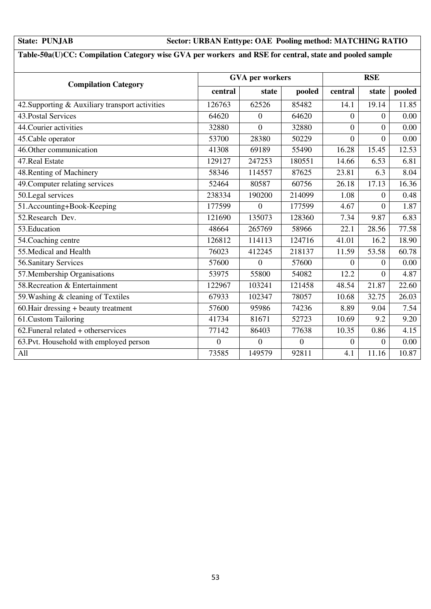### **State: PUNJAB Sector: URBAN Enttype: OAE Pooling method: MATCHING RATIO**

### **Table-50a(U)CC: Compilation Category wise GVA per workers and RSE for central, state and pooled sample**

| <b>Compilation Category</b>                     |          | <b>GVA</b> per workers |          | <b>RSE</b>       |                |        |
|-------------------------------------------------|----------|------------------------|----------|------------------|----------------|--------|
|                                                 | central  | state                  | pooled   | central          | state          | pooled |
| 42. Supporting & Auxiliary transport activities | 126763   | 62526                  | 85482    | 14.1             | 19.14          | 11.85  |
| 43. Postal Services                             | 64620    | $\boldsymbol{0}$       | 64620    | $\boldsymbol{0}$ | $\overline{0}$ | 0.00   |
| 44. Courier activities                          | 32880    | $\overline{0}$         | 32880    | $\theta$         | $\overline{0}$ | 0.00   |
| 45. Cable operator                              | 53700    | 28380                  | 50229    | $\Omega$         | $\Omega$       | 0.00   |
| 46. Other communication                         | 41308    | 69189                  | 55490    | 16.28            | 15.45          | 12.53  |
| 47. Real Estate                                 | 129127   | 247253                 | 180551   | 14.66            | 6.53           | 6.81   |
| 48. Renting of Machinery                        | 58346    | 114557                 | 87625    | 23.81            | 6.3            | 8.04   |
| 49. Computer relating services                  | 52464    | 80587                  | 60756    | 26.18            | 17.13          | 16.36  |
| 50.Legal services                               | 238334   | 190200                 | 214099   | 1.08             | $\overline{0}$ | 0.48   |
| 51.Accounting+Book-Keeping                      | 177599   | $\Omega$               | 177599   | 4.67             | $\Omega$       | 1.87   |
| 52. Research Dev.                               | 121690   | 135073                 | 128360   | 7.34             | 9.87           | 6.83   |
| 53. Education                                   | 48664    | 265769                 | 58966    | 22.1             | 28.56          | 77.58  |
| 54. Coaching centre                             | 126812   | 114113                 | 124716   | 41.01            | 16.2           | 18.90  |
| 55. Medical and Health                          | 76023    | 412245                 | 218137   | 11.59            | 53.58          | 60.78  |
| 56. Sanitary Services                           | 57600    | $\overline{0}$         | 57600    | $\Omega$         | $\overline{0}$ | 0.00   |
| 57. Membership Organisations                    | 53975    | 55800                  | 54082    | 12.2             | $\overline{0}$ | 4.87   |
| 58. Recreation & Entertainment                  | 122967   | 103241                 | 121458   | 48.54            | 21.87          | 22.60  |
| 59. Washing & cleaning of Textiles              | 67933    | 102347                 | 78057    | 10.68            | 32.75          | 26.03  |
| 60. Hair dressing + beauty treatment            | 57600    | 95986                  | 74236    | 8.89             | 9.04           | 7.54   |
| 61.Custom Tailoring                             | 41734    | 81671                  | 52723    | 10.69            | 9.2            | 9.20   |
| 62. Funeral related + otherservices             | 77142    | 86403                  | 77638    | 10.35            | 0.86           | 4.15   |
| 63. Pvt. Household with employed person         | $\Omega$ | $\overline{0}$         | $\Omega$ | $\Omega$         | $\Omega$       | 0.00   |
| All                                             | 73585    | 149579                 | 92811    | 4.1              | 11.16          | 10.87  |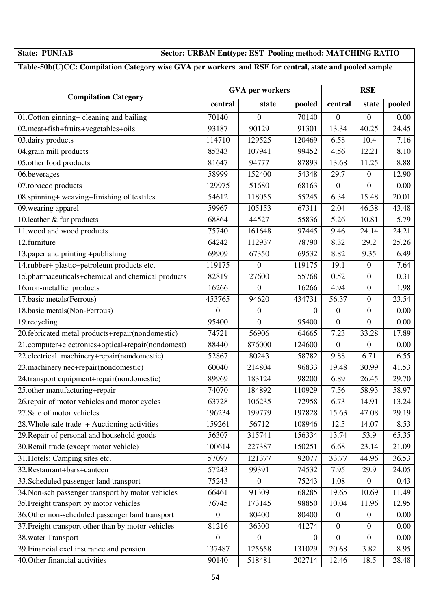### **State: PUNJAB Sector: URBAN Enttype: EST Pooling method: MATCHING RATIO**

### **Table-50b(U)CC: Compilation Category wise GVA per workers and RSE for central, state and pooled sample**

|                                                    | <b>GVA</b> per workers |                  |                | <b>RSE</b>       |                  |                    |
|----------------------------------------------------|------------------------|------------------|----------------|------------------|------------------|--------------------|
| <b>Compilation Category</b>                        | central                | state            | pooled         | central          | state            | pooled             |
| 01. Cotton ginning+ cleaning and bailing           | 70140                  | $\overline{0}$   | 70140          | $\overline{0}$   | $\mathbf{0}$     | 0.00               |
| 02.meat+fish+fruits+vegetables+oils                | 93187                  | 90129            | 91301          | 13.34            | 40.25            | 24.45              |
| 03.dairy products                                  | 114710                 | 129525           | 120469         | 6.58             | 10.4             | 7.16               |
| 04.grain mill products                             | 85343                  | 107941           | 99452          | 4.56             | 12.21            | 8.10               |
| 05.other food products                             | 81647                  | 94777            | 87893          | 13.68            | 11.25            | 8.88               |
| 06.beverages                                       | 58999                  | 152400           | 54348          | 29.7             | $\overline{0}$   | 12.90              |
| 07.tobacco products                                | 129975                 | 51680            | 68163          | $\boldsymbol{0}$ | $\overline{0}$   | 0.00               |
| 08.spinning+ weaving+finishing of textiles         | 54612                  | 118055           | 55245          | 6.34             | 15.48            | 20.01              |
| 09. wearing apparel                                | 59967                  | 105153           | 67311          | 2.04             | 46.38            | 43.48              |
| 10. leather $&$ fur products                       | 68864                  | 44527            | 55836          | 5.26             | 10.81            | 5.79               |
| 11.wood and wood products                          | 75740                  | 161648           | 97445          | 9.46             | 24.14            | 24.21              |
| 12.furniture                                       | 64242                  | 112937           | 78790          | 8.32             | 29.2             | 25.26              |
| 13.paper and printing +publishing                  | 69909                  | 67350            | 69532          | 8.82             | 9.35             | 6.49               |
| 14.rubber+ plastic+petroleum products etc.         | 119175                 | $\boldsymbol{0}$ | 119175         | 19.1             | $\boldsymbol{0}$ | 7.64               |
| 15.pharmaceuticals+chemical and chemical products  | 82819                  | 27600            | 55768          | 0.52             | $\overline{0}$   | 0.31               |
| 16.non-metallic products                           | 16266                  | $\boldsymbol{0}$ | 16266          | 4.94             | $\boldsymbol{0}$ | 1.98               |
| 17.basic metals(Ferrous)                           | 453765                 | 94620            | 434731         | 56.37            | $\boldsymbol{0}$ | 23.54              |
| 18.basic metals(Non-Ferrous)                       | $\theta$               | $\overline{0}$   | $\overline{0}$ | $\overline{0}$   | $\overline{0}$   | 0.00               |
| 19.recycling                                       | 95400                  | $\overline{0}$   | 95400          | $\mathbf{0}$     | $\overline{0}$   | 0.00               |
| 20.febricated metal products+repair(nondomestic)   | 74721                  | 56906            | 64665          | 7.23             | 33.28            | 17.89              |
| 21.computer+electronics+optical+repair(nondomest)  | 88440                  | 876000           | 124600         | $\boldsymbol{0}$ | $\mathbf{0}$     | 0.00               |
| 22.electrical machinery+repair(nondomestic)        | 52867                  | 80243            | 58782          | 9.88             | 6.71             | 6.55               |
| 23. machinery nec+repair(nondomestic)              | 60040                  | 214804           | 96833          | 19.48            | 30.99            | 41.53              |
| 24.transport equipment+repair(nondomestic)         | 89969                  | 183124           | 98200          | 6.89             | 26.45            | 29.70              |
| 25.other manufacturing+repair                      | 74070                  | 184892           | 110929         | 7.56             | 58.93            | 58.97              |
| 26.repair of motor vehicles and motor cycles       | 63728                  | 106235           | 72958          | 6.73             | 14.91            | $\overline{1}3.24$ |
| 27.Sale of motor vehicles                          | 196234                 | 199779           | 197828         | 15.63            | 47.08            | 29.19              |
| $28$ . Whole sale trade + Auctioning activities    | 159261                 | 56712            | 108946         | 12.5             | 14.07            | 8.53               |
| 29. Repair of personal and household goods         | 56307                  | 315741           | 156334         | 13.74            | 53.9             | 65.35              |
| 30. Retail trade (except motor vehicle)            | 100614                 | 227387           | 150251         | 6.68             | 23.14            | 21.09              |
| 31. Hotels; Camping sites etc.                     | 57097                  | 121377           | 92077          | 33.77            | 44.96            | 36.53              |
| 32. Restaurant+bars+canteen                        | 57243                  | 99391            | 74532          | 7.95             | 29.9             | 24.05              |
| 33. Scheduled passenger land transport             | 75243                  | $\theta$         | 75243          | 1.08             | $\boldsymbol{0}$ | 0.43               |
| 34. Non-sch passenger transport by motor vehicles  | 66461                  | 91309            | 68285          | 19.65            | 10.69            | 11.49              |
| 35. Freight transport by motor vehicles            | 76745                  | 173145           | 98850          | 10.04            | 11.96            | 12.95              |
| 36. Other non-scheduled passenger land transport   | $\overline{0}$         | 80400            | 80400          | $\mathbf{0}$     | $\overline{0}$   | 0.00               |
| 37. Freight transport other than by motor vehicles | 81216                  | 36300            | 41274          | $\mathbf{0}$     | $\mathbf{0}$     | 0.00               |
| 38. water Transport                                | $\boldsymbol{0}$       | $\overline{0}$   | $\overline{0}$ | $\overline{0}$   | $\mathbf{0}$     | 0.00               |
| 39. Financial excl insurance and pension           | 137487                 | 125658           | 131029         | 20.68            | 3.82             | 8.95               |
| 40. Other financial activities                     | 90140                  | 518481           | 202714         | 12.46            | 18.5             | 28.48              |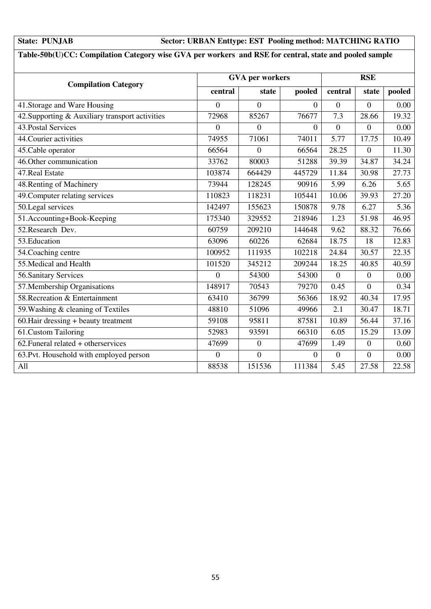### **State: PUNJAB Sector: URBAN Enttype: EST Pooling method: MATCHING RATIO**

### **Table-50b(U)CC: Compilation Category wise GVA per workers and RSE for central, state and pooled sample**

| <b>Compilation Category</b>                     |                  | <b>GVA</b> per workers |                |                  | <b>RSE</b>       |        |  |
|-------------------------------------------------|------------------|------------------------|----------------|------------------|------------------|--------|--|
|                                                 | central          | state                  | pooled         | central          | state            | pooled |  |
| 41. Storage and Ware Housing                    | $\Omega$         | $\Omega$               | $\Omega$       | $\Omega$         | $\Omega$         | 0.00   |  |
| 42. Supporting & Auxiliary transport activities | 72968            | 85267                  | 76677          | 7.3              | 28.66            | 19.32  |  |
| 43. Postal Services                             | $\boldsymbol{0}$ | $\theta$               | $\overline{0}$ | $\boldsymbol{0}$ | $\overline{0}$   | 0.00   |  |
| 44. Courier activities                          | 74955            | 71061                  | 74011          | 5.77             | 17.75            | 10.49  |  |
| 45. Cable operator                              | 66564            | $\overline{0}$         | 66564          | 28.25            | $\boldsymbol{0}$ | 11.30  |  |
| 46. Other communication                         | 33762            | 80003                  | 51288          | 39.39            | 34.87            | 34.24  |  |
| 47. Real Estate                                 | 103874           | 664429                 | 445729         | 11.84            | 30.98            | 27.73  |  |
| 48. Renting of Machinery                        | 73944            | 128245                 | 90916          | 5.99             | 6.26             | 5.65   |  |
| 49. Computer relating services                  | 110823           | 118231                 | 105441         | 10.06            | 39.93            | 27.20  |  |
| 50.Legal services                               | 142497           | 155623                 | 150878         | 9.78             | 6.27             | 5.36   |  |
| 51.Accounting+Book-Keeping                      | 175340           | 329552                 | 218946         | 1.23             | 51.98            | 46.95  |  |
| 52. Research Dev.                               | 60759            | 209210                 | 144648         | 9.62             | 88.32            | 76.66  |  |
| 53. Education                                   | 63096            | 60226                  | 62684          | 18.75            | 18               | 12.83  |  |
| 54. Coaching centre                             | 100952           | 111935                 | 102218         | 24.84            | 30.57            | 22.35  |  |
| 55. Medical and Health                          | 101520           | 345212                 | 209244         | 18.25            | 40.85            | 40.59  |  |
| 56. Sanitary Services                           | $\overline{0}$   | 54300                  | 54300          | $\Omega$         | $\Omega$         | 0.00   |  |
| 57. Membership Organisations                    | 148917           | 70543                  | 79270          | 0.45             | $\overline{0}$   | 0.34   |  |
| 58. Recreation & Entertainment                  | 63410            | 36799                  | 56366          | 18.92            | 40.34            | 17.95  |  |
| 59. Washing & cleaning of Textiles              | 48810            | 51096                  | 49966          | 2.1              | 30.47            | 18.71  |  |
| $60$ . Hair dressing + beauty treatment         | 59108            | 95811                  | 87581          | 10.89            | 56.44            | 37.16  |  |
| 61.Custom Tailoring                             | 52983            | 93591                  | 66310          | 6.05             | 15.29            | 13.09  |  |
| 62. Funeral related + otherservices             | 47699            | $\boldsymbol{0}$       | 47699          | 1.49             | $\boldsymbol{0}$ | 0.60   |  |
| 63. Pvt. Household with employed person         | $\overline{0}$   | $\overline{0}$         | $\theta$       | $\overline{0}$   | $\overline{0}$   | 0.00   |  |
| A11                                             | 88538            | 151536                 | 111384         | 5.45             | 27.58            | 22.58  |  |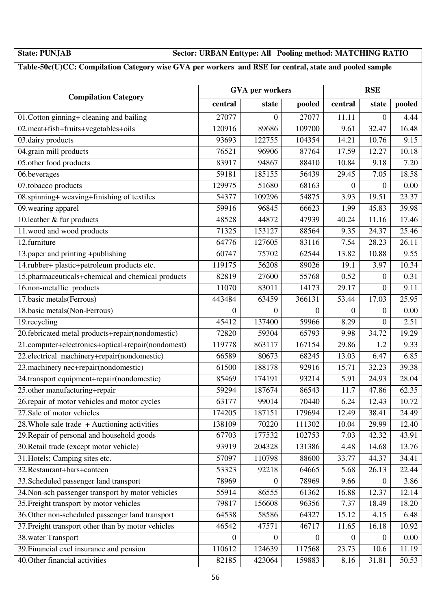### **State: PUNJAB Sector: URBAN Enttype: All Pooling method: MATCHING RATIO**

### **Table-50c(U)CC: Compilation Category wise GVA per workers and RSE for central, state and pooled sample**

|                                                    | <b>GVA</b> per workers |                  |                  | <b>RSE</b>         |                  |        |  |
|----------------------------------------------------|------------------------|------------------|------------------|--------------------|------------------|--------|--|
| <b>Compilation Category</b>                        | central                | state            | pooled           | central            | state            | pooled |  |
| 01. Cotton ginning+ cleaning and bailing           | 27077                  | $\overline{0}$   | 27077            | 11.11              | $\boldsymbol{0}$ | 4.44   |  |
| 02.meat+fish+fruits+vegetables+oils                | 120916                 | 89686            | 109700           | 9.61               | 32.47            | 16.48  |  |
| 03.dairy products                                  | 93693                  | 122755           | 104354           | 14.21              | 10.76            | 9.15   |  |
| 04.grain mill products                             | 76521                  | 96906            | 87764            | 17.59              | 12.27            | 10.18  |  |
| 05.other food products                             | 83917                  | 94867            | 88410            | 10.84              | 9.18             | 7.20   |  |
| 06.beverages                                       | 59181                  | 185155           | 56439            | 29.45              | 7.05             | 18.58  |  |
| $\overline{07}$ .tobacco products                  | 129975                 | 51680            | 68163            | 0                  | $\mathbf{0}$     | 0.00   |  |
| 08.spinning+ weaving+finishing of textiles         | 54377                  | 109296           | 54875            | 3.93               | 19.51            | 23.37  |  |
| 09. wearing apparel                                | 59916                  | 96845            | 66623            | 1.99               | 45.83            | 39.98  |  |
| $\overline{10}$ . leather & fur products           | 48528                  | 44872            | 47939            | 40.24              | 11.16            | 17.46  |  |
| 11.wood and wood products                          | 71325                  | 153127           | 88564            | 9.35               | 24.37            | 25.46  |  |
| 12.furniture                                       | 64776                  | 127605           | 83116            | 7.54               | 28.23            | 26.11  |  |
| 13.paper and printing +publishing                  | 60747                  | 75702            | 62544            | 13.82              | 10.88            | 9.55   |  |
| 14.rubber+ plastic+petroleum products etc.         | 119175                 | 56208            | 89026            | 19.1               | 3.97             | 10.34  |  |
| 15.pharmaceuticals+chemical and chemical products  | 82819                  | 27600            | 55768            | 0.52               | $\theta$         | 0.31   |  |
| 16.non-metallic products                           | 11070                  | 83011            | 14173            | $\overline{29.17}$ | $\boldsymbol{0}$ | 9.11   |  |
| 17.basic metals(Ferrous)                           | 443484                 | 63459            | 366131           | 53.44              | 17.03            | 25.95  |  |
| 18.basic metals(Non-Ferrous)                       | $\Omega$               | $\overline{0}$   | $\Omega$         | $\Omega$           | $\overline{0}$   | 0.00   |  |
| 19.recycling                                       | 45412                  | 137400           | 59966            | 8.29               | $\boldsymbol{0}$ | 2.51   |  |
| 20.febricated metal products+repair(nondomestic)   | 72820                  | 59304            | 65793            | 9.98               | 34.72            | 19.29  |  |
| 21.computer+electronics+optical+repair(nondomest)  | 119778                 | 863117           | 167154           | 29.86              | 1.2              | 9.33   |  |
| 22.electrical machinery+repair(nondomestic)        | 66589                  | 80673            | 68245            | 13.03              | 6.47             | 6.85   |  |
| 23. machinery nec+repair(nondomestic)              | 61500                  | 188178           | 92916            | 15.71              | 32.23            | 39.38  |  |
| 24.transport equipment+repair(nondomestic)         | 85469                  | 174191           | 93214            | 5.91               | 24.93            | 28.04  |  |
| 25.other manufacturing+repair                      | 59294                  | 187674           | 86543            | 11.7               | 47.86            | 62.35  |  |
| 26.repair of motor vehicles and motor cycles       | 63177                  | 99014            | 70440            | 6.24               | 12.43            | 10.72  |  |
| 27. Sale of motor vehicles                         | 174205                 | 187151           | 179694           | 12.49              | 38.41            | 24.49  |  |
| 28. Whole sale trade $+$ Auctioning activities     | 138109                 | 70220            | 111302           | 10.04              | 29.99            | 12.40  |  |
| 29. Repair of personal and household goods         | 67703                  | 177532           | 102753           | 7.03               | 42.32            | 43.91  |  |
| 30. Retail trade (except motor vehicle)            | 93919                  | 204328           | 131386           | 4.48               | 14.68            | 13.76  |  |
| 31. Hotels; Camping sites etc.                     | 57097                  | 110798           | 88600            | 33.77              | 44.37            | 34.41  |  |
| 32. Restaurant+bars+canteen                        | 53323                  | 92218            | 64665            | 5.68               | 26.13            | 22.44  |  |
| 33. Scheduled passenger land transport             | 78969                  | $\theta$         | 78969            | 9.66               | $\mathbf{0}$     | 3.86   |  |
| 34. Non-sch passenger transport by motor vehicles  | 55914                  | 86555            | 61362            | 16.88              | 12.37            | 12.14  |  |
| 35. Freight transport by motor vehicles            | 79817                  | 156608           | 96356            | 7.37               | 18.49            | 18.20  |  |
| 36. Other non-scheduled passenger land transport   | 64538                  | 58586            | 64327            | 15.12              | 4.15             | 6.48   |  |
| 37. Freight transport other than by motor vehicles | 46542                  | 47571            | 46717            | 11.65              | 16.18            | 10.92  |  |
| 38. water Transport                                | 0                      | $\boldsymbol{0}$ | $\boldsymbol{0}$ | $\overline{0}$     | $\overline{0}$   | 0.00   |  |
| 39. Financial excl insurance and pension           | 110612                 | 124639           | 117568           | 23.73              | 10.6             | 11.19  |  |
| 40. Other financial activities                     | 82185                  | 423064           | 159883           | 8.16               | 31.81            | 50.53  |  |